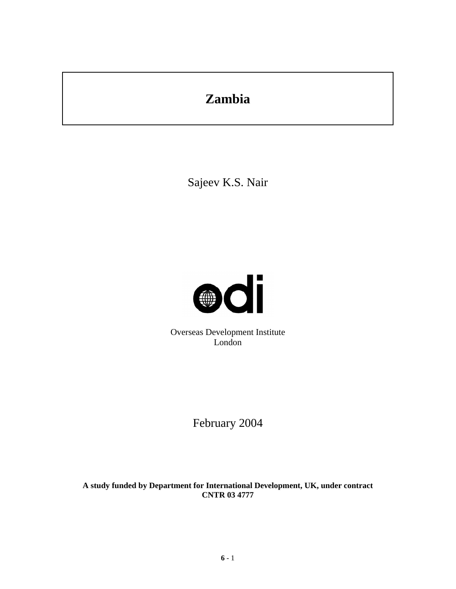# **Zambia**

Sajeev K.S. Nair



Overseas Development Institute London

February 2004

**A study funded by Department for International Development, UK, under contract CNTR 03 4777**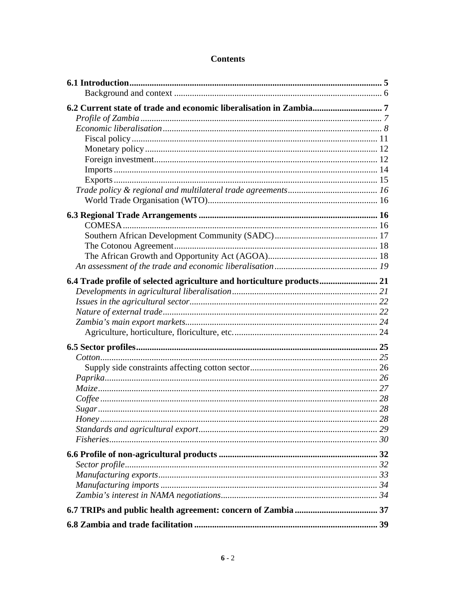# **Contents**

| 6.4 Trade profile of selected agriculture and horticulture products 21 |  |
|------------------------------------------------------------------------|--|
|                                                                        |  |
|                                                                        |  |
|                                                                        |  |
|                                                                        |  |
|                                                                        |  |
|                                                                        |  |
|                                                                        |  |
|                                                                        |  |
|                                                                        |  |
|                                                                        |  |
|                                                                        |  |
|                                                                        |  |
|                                                                        |  |
|                                                                        |  |
|                                                                        |  |
|                                                                        |  |
|                                                                        |  |
|                                                                        |  |
|                                                                        |  |
|                                                                        |  |
|                                                                        |  |
|                                                                        |  |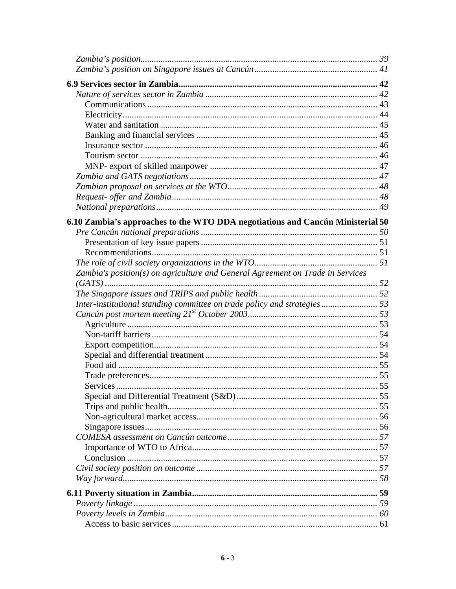| 6.10 Zambia's approaches to the WTO DDA negotiations and Cancún Ministerial 50 |  |
|--------------------------------------------------------------------------------|--|
|                                                                                |  |
|                                                                                |  |
|                                                                                |  |
|                                                                                |  |
| Zambia's position(s) on agriculture and General Agreement on Trade in Services |  |
|                                                                                |  |
|                                                                                |  |
| Inter-institutional standing committee on trade policy and strategies 53       |  |
|                                                                                |  |
|                                                                                |  |
|                                                                                |  |
|                                                                                |  |
|                                                                                |  |
|                                                                                |  |
|                                                                                |  |
| <b>Services</b>                                                                |  |
|                                                                                |  |
|                                                                                |  |
|                                                                                |  |
|                                                                                |  |
|                                                                                |  |
|                                                                                |  |
|                                                                                |  |
|                                                                                |  |
|                                                                                |  |
|                                                                                |  |
|                                                                                |  |
|                                                                                |  |
|                                                                                |  |
|                                                                                |  |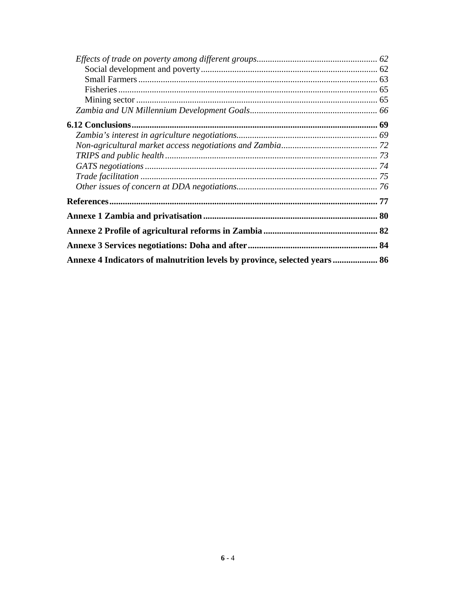| Annexe 4 Indicators of malnutrition levels by province, selected years  86 |  |
|----------------------------------------------------------------------------|--|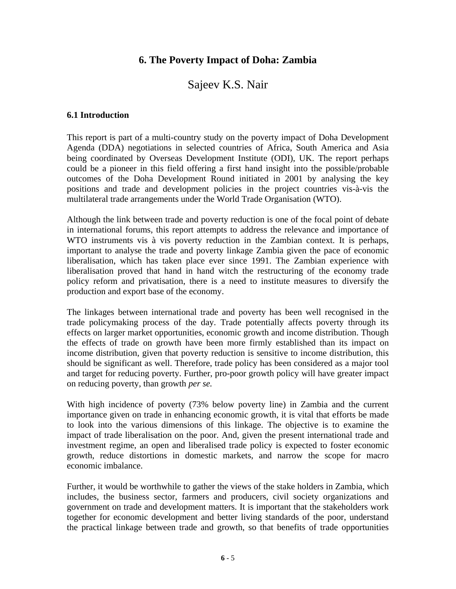# **6. The Poverty Impact of Doha: Zambia**

# Sajeev K.S. Nair

#### **6.1 Introduction**

This report is part of a multi-country study on the poverty impact of Doha Development Agenda (DDA) negotiations in selected countries of Africa, South America and Asia being coordinated by Overseas Development Institute (ODI), UK. The report perhaps could be a pioneer in this field offering a first hand insight into the possible/probable outcomes of the Doha Development Round initiated in 2001 by analysing the key positions and trade and development policies in the project countries vis-à-vis the multilateral trade arrangements under the World Trade Organisation (WTO).

Although the link between trade and poverty reduction is one of the focal point of debate in international forums, this report attempts to address the relevance and importance of WTO instruments vis à vis poverty reduction in the Zambian context. It is perhaps, important to analyse the trade and poverty linkage Zambia given the pace of economic liberalisation, which has taken place ever since 1991. The Zambian experience with liberalisation proved that hand in hand witch the restructuring of the economy trade policy reform and privatisation, there is a need to institute measures to diversify the production and export base of the economy.

The linkages between international trade and poverty has been well recognised in the trade policymaking process of the day. Trade potentially affects poverty through its effects on larger market opportunities, economic growth and income distribution. Though the effects of trade on growth have been more firmly established than its impact on income distribution, given that poverty reduction is sensitive to income distribution, this should be significant as well. Therefore, trade policy has been considered as a major tool and target for reducing poverty. Further, pro-poor growth policy will have greater impact on reducing poverty, than growth *per se.*

With high incidence of poverty (73% below poverty line) in Zambia and the current importance given on trade in enhancing economic growth, it is vital that efforts be made to look into the various dimensions of this linkage. The objective is to examine the impact of trade liberalisation on the poor. And, given the present international trade and investment regime, an open and liberalised trade policy is expected to foster economic growth, reduce distortions in domestic markets, and narrow the scope for macro economic imbalance.

Further, it would be worthwhile to gather the views of the stake holders in Zambia, which includes, the business sector, farmers and producers, civil society organizations and government on trade and development matters. It is important that the stakeholders work together for economic development and better living standards of the poor, understand the practical linkage between trade and growth, so that benefits of trade opportunities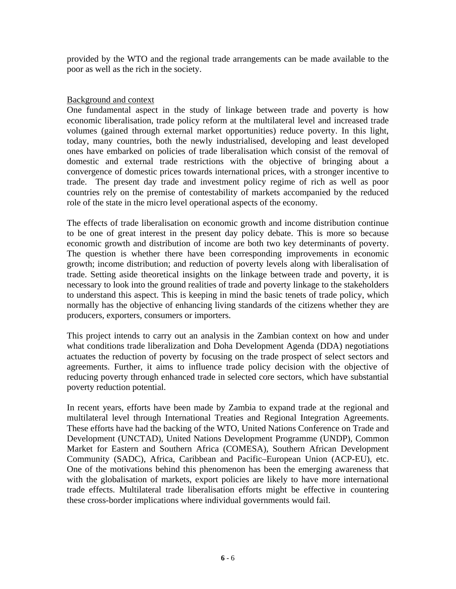provided by the WTO and the regional trade arrangements can be made available to the poor as well as the rich in the society.

#### Background and context

One fundamental aspect in the study of linkage between trade and poverty is how economic liberalisation, trade policy reform at the multilateral level and increased trade volumes (gained through external market opportunities) reduce poverty. In this light, today, many countries, both the newly industrialised, developing and least developed ones have embarked on policies of trade liberalisation which consist of the removal of domestic and external trade restrictions with the objective of bringing about a convergence of domestic prices towards international prices, with a stronger incentive to trade. The present day trade and investment policy regime of rich as well as poor countries rely on the premise of contestability of markets accompanied by the reduced role of the state in the micro level operational aspects of the economy.

The effects of trade liberalisation on economic growth and income distribution continue to be one of great interest in the present day policy debate. This is more so because economic growth and distribution of income are both two key determinants of poverty. The question is whether there have been corresponding improvements in economic growth; income distribution; and reduction of poverty levels along with liberalisation of trade. Setting aside theoretical insights on the linkage between trade and poverty, it is necessary to look into the ground realities of trade and poverty linkage to the stakeholders to understand this aspect. This is keeping in mind the basic tenets of trade policy, which normally has the objective of enhancing living standards of the citizens whether they are producers, exporters, consumers or importers.

This project intends to carry out an analysis in the Zambian context on how and under what conditions trade liberalization and Doha Development Agenda (DDA) negotiations actuates the reduction of poverty by focusing on the trade prospect of select sectors and agreements. Further, it aims to influence trade policy decision with the objective of reducing poverty through enhanced trade in selected core sectors, which have substantial poverty reduction potential.

In recent years, efforts have been made by Zambia to expand trade at the regional and multilateral level through International Treaties and Regional Integration Agreements. These efforts have had the backing of the WTO, United Nations Conference on Trade and Development (UNCTAD), United Nations Development Programme (UNDP), Common Market for Eastern and Southern Africa (COMESA), Southern African Development Community (SADC), Africa, Caribbean and Pacific–European Union (ACP-EU), etc. One of the motivations behind this phenomenon has been the emerging awareness that with the globalisation of markets, export policies are likely to have more international trade effects. Multilateral trade liberalisation efforts might be effective in countering these cross-border implications where individual governments would fail.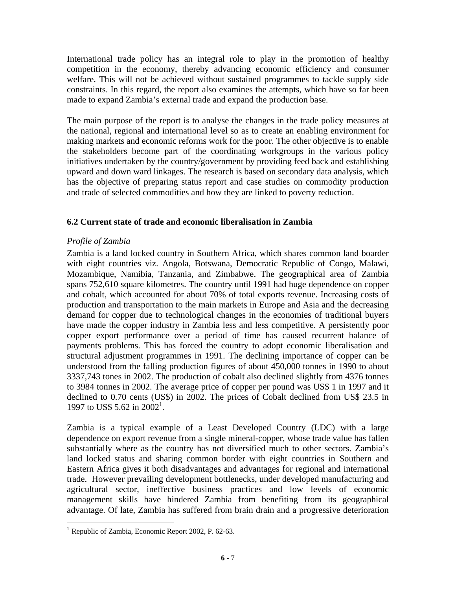International trade policy has an integral role to play in the promotion of healthy competition in the economy, thereby advancing economic efficiency and consumer welfare. This will not be achieved without sustained programmes to tackle supply side constraints. In this regard, the report also examines the attempts, which have so far been made to expand Zambia's external trade and expand the production base.

The main purpose of the report is to analyse the changes in the trade policy measures at the national, regional and international level so as to create an enabling environment for making markets and economic reforms work for the poor. The other objective is to enable the stakeholders become part of the coordinating workgroups in the various policy initiatives undertaken by the country/government by providing feed back and establishing upward and down ward linkages. The research is based on secondary data analysis, which has the objective of preparing status report and case studies on commodity production and trade of selected commodities and how they are linked to poverty reduction.

#### **6.2 Current state of trade and economic liberalisation in Zambia**

#### *Profile of Zambia*

Zambia is a land locked country in Southern Africa, which shares common land boarder with eight countries viz. Angola, Botswana, Democratic Republic of Congo, Malawi, Mozambique, Namibia, Tanzania, and Zimbabwe. The geographical area of Zambia spans 752,610 square kilometres. The country until 1991 had huge dependence on copper and cobalt, which accounted for about 70% of total exports revenue. Increasing costs of production and transportation to the main markets in Europe and Asia and the decreasing demand for copper due to technological changes in the economies of traditional buyers have made the copper industry in Zambia less and less competitive. A persistently poor copper export performance over a period of time has caused recurrent balance of payments problems. This has forced the country to adopt economic liberalisation and structural adjustment programmes in 1991. The declining importance of copper can be understood from the falling production figures of about 450,000 tonnes in 1990 to about 3337,743 tones in 2002. The production of cobalt also declined slightly from 4376 tonnes to 3984 tonnes in 2002. The average price of copper per pound was US\$ 1 in 1997 and it declined to 0.70 cents (US\$) in 2002. The prices of Cobalt declined from US\$ 23.5 in 1997 to US\$ 5.62 in 2002<sup>1</sup>.

Zambia is a typical example of a Least Developed Country (LDC) with a large dependence on export revenue from a single mineral-copper, whose trade value has fallen substantially where as the country has not diversified much to other sectors. Zambia's land locked status and sharing common border with eight countries in Southern and Eastern Africa gives it both disadvantages and advantages for regional and international trade. However prevailing development bottlenecks, under developed manufacturing and agricultural sector, ineffective business practices and low levels of economic management skills have hindered Zambia from benefiting from its geographical advantage. Of late, Zambia has suffered from brain drain and a progressive deterioration

<sup>&</sup>lt;sup>1</sup> Republic of Zambia, Economic Report 2002, P. 62-63.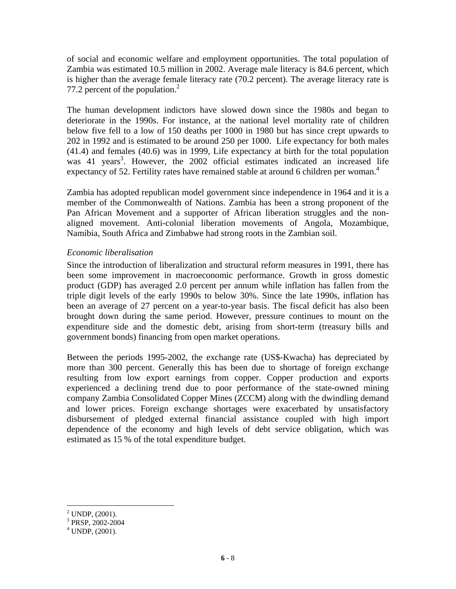of social and economic welfare and employment opportunities. The total population of Zambia was estimated 10.5 million in 2002. Average male literacy is 84.6 percent, which is higher than the average female literacy rate (70.2 percent). The average literacy rate is 77.2 percent of the population.<sup>2</sup>

The human development indictors have slowed down since the 1980s and began to deteriorate in the 1990s. For instance, at the national level mortality rate of children below five fell to a low of 150 deaths per 1000 in 1980 but has since crept upwards to 202 in 1992 and is estimated to be around 250 per 1000. Life expectancy for both males (41.4) and females (40.6) was in 1999, Life expectancy at birth for the total population was 41 years<sup>3</sup>. However, the 2002 official estimates indicated an increased life expectancy of 52. Fertility rates have remained stable at around 6 children per woman.<sup>4</sup>

Zambia has adopted republican model government since independence in 1964 and it is a member of the Commonwealth of Nations. Zambia has been a strong proponent of the Pan African Movement and a supporter of African liberation struggles and the nonaligned movement. Anti-colonial liberation movements of Angola, Mozambique, Namibia, South Africa and Zimbabwe had strong roots in the Zambian soil.

#### *Economic liberalisation*

Since the introduction of liberalization and structural reform measures in 1991, there has been some improvement in macroeconomic performance. Growth in gross domestic product (GDP) has averaged 2.0 percent per annum while inflation has fallen from the triple digit levels of the early 1990s to below 30%. Since the late 1990s, inflation has been an average of 27 percent on a year-to-year basis. The fiscal deficit has also been brought down during the same period. However, pressure continues to mount on the expenditure side and the domestic debt, arising from short-term (treasury bills and government bonds) financing from open market operations.

Between the periods 1995-2002, the exchange rate (US\$-Kwacha) has depreciated by more than 300 percent. Generally this has been due to shortage of foreign exchange resulting from low export earnings from copper. Copper production and exports experienced a declining trend due to poor performance of the state-owned mining company Zambia Consolidated Copper Mines (ZCCM) along with the dwindling demand and lower prices. Foreign exchange shortages were exacerbated by unsatisfactory disbursement of pledged external financial assistance coupled with high import dependence of the economy and high levels of debt service obligation, which was estimated as 15 % of the total expenditure budget.

 $2^2$  UNDP,  $(2001)$ .

<sup>3</sup> PRSP, 2002-2004

 $4$  UNDP,  $(2001)$ .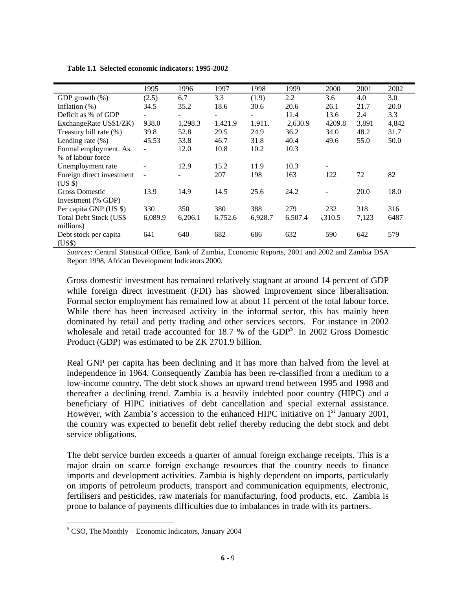|                                | 1995           | 1996    | 1997    | 1998                     | 1999    | 2000                     | 2001  | 2002  |
|--------------------------------|----------------|---------|---------|--------------------------|---------|--------------------------|-------|-------|
| GDP growth $(\%)$              | (2.5)          | 6.7     | 3.3     | (1.9)                    | 2.2     | 3.6                      | 4.0   | 3.0   |
| Inflation $(\%)$               | 34.5           | 35.2    | 18.6    | 30.6                     | 20.6    | 26.1                     | 21.7  | 20.0  |
| Deficit as % of GDP            |                |         | $\sim$  | $\overline{\phantom{0}}$ | 11.4    | 13.6                     | 2.4   | 3.3   |
| ExchangeRate US\$1/ZK)         | 938.0          | 1,298.3 | 1,421.9 | 1,911.                   | 2,630.9 | 4209.8                   | 3,891 | 4,842 |
| Treasury bill rate (%)         | 39.8           | 52.8    | 29.5    | 24.9                     | 36.2    | 34.0                     | 48.2  | 31.7  |
| Lending rate $(\% )$           | 45.53          | 53.8    | 46.7    | 31.8                     | 40.4    | 49.6                     | 55.0  | 50.0  |
| Formal employment. As          |                | 12.0    | 10.8    | 10.2                     | 10.3    |                          |       |       |
| % of labour force              |                |         |         |                          |         |                          |       |       |
| Unemployment rate              |                | 12.9    | 15.2    | 11.9                     | 10.3    | $\overline{\phantom{a}}$ |       |       |
| Foreign direct investment      | $\overline{a}$ |         | 207     | 198                      | 163     | 122                      | 72    | 82    |
| $(US \$                        |                |         |         |                          |         |                          |       |       |
| <b>Gross Domestic</b>          | 13.9           | 14.9    | 14.5    | 25.6                     | 24.2    |                          | 20.0  | 18.0  |
| Investment (% GDP)             |                |         |         |                          |         |                          |       |       |
| Per capita GNP (US \$)         | 330            | 350     | 380     | 388                      | 279     | 232                      | 318   | 316   |
| <b>Total Debt Stock (US\$)</b> | 6,089.9        | 6,206.1 | 6,752.6 | 6,928.7                  | 6,507.4 | 5,310.5                  | 7,123 | 6487  |
| millions)                      |                |         |         |                          |         |                          |       |       |
| Debt stock per capita          | 641            | 640     | 682     | 686                      | 632     | 590                      | 642   | 579   |
| (US\$)                         |                |         |         |                          |         |                          |       |       |

**Table 1.1 Selected economic indicators: 1995-2002**

*Sources*: Central Statistical Office, Bank of Zambia, Economic Reports, 2001 and 2002 and Zambia DSA Report 1998, African Development Indicators 2000.

Gross domestic investment has remained relatively stagnant at around 14 percent of GDP while foreign direct investment (FDI) has showed improvement since liberalisation. Formal sector employment has remained low at about 11 percent of the total labour force. While there has been increased activity in the informal sector, this has mainly been dominated by retail and petty trading and other services sectors. For instance in 2002 wholesale and retail trade accounted for 18.7 % of the GDP<sup>5</sup>. In 2002 Gross Domestic Product (GDP) was estimated to be ZK 2701.9 billion.

Real GNP per capita has been declining and it has more than halved from the level at independence in 1964. Consequently Zambia has been re-classified from a medium to a low-income country. The debt stock shows an upward trend between 1995 and 1998 and thereafter a declining trend. Zambia is a heavily indebted poor country (HIPC) and a beneficiary of HIPC initiatives of debt cancellation and special external assistance. However, with Zambia's accession to the enhanced HIPC initiative on  $1<sup>st</sup>$  January 2001, the country was expected to benefit debt relief thereby reducing the debt stock and debt service obligations.

The debt service burden exceeds a quarter of annual foreign exchange receipts. This is a major drain on scarce foreign exchange resources that the country needs to finance imports and development activities. Zambia is highly dependent on imports, particularly on imports of petroleum products, transport and communication equipments, electronic, fertilisers and pesticides, raw materials for manufacturing, food products, etc. Zambia is prone to balance of payments difficulties due to imbalances in trade with its partners.

 $<sup>5</sup>$  CSO, The Monthly – Economic Indicators, January 2004</sup>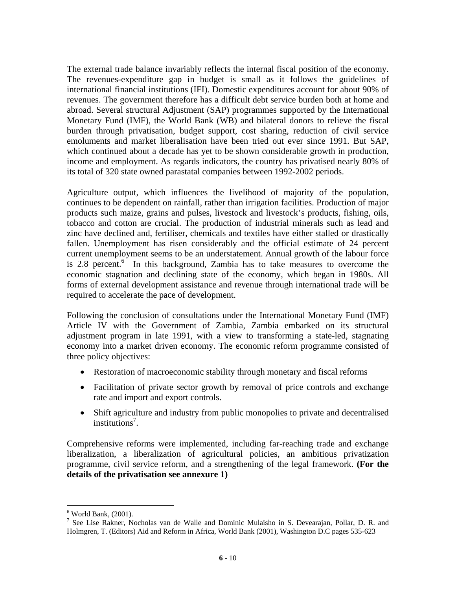The external trade balance invariably reflects the internal fiscal position of the economy. The revenues-expenditure gap in budget is small as it follows the guidelines of international financial institutions (IFI). Domestic expenditures account for about 90% of revenues. The government therefore has a difficult debt service burden both at home and abroad. Several structural Adjustment (SAP) programmes supported by the International Monetary Fund (IMF), the World Bank (WB) and bilateral donors to relieve the fiscal burden through privatisation, budget support, cost sharing, reduction of civil service emoluments and market liberalisation have been tried out ever since 1991. But SAP, which continued about a decade has yet to be shown considerable growth in production, income and employment. As regards indicators, the country has privatised nearly 80% of its total of 320 state owned parastatal companies between 1992-2002 periods.

Agriculture output, which influences the livelihood of majority of the population, continues to be dependent on rainfall, rather than irrigation facilities. Production of major products such maize, grains and pulses, livestock and livestock's products, fishing, oils, tobacco and cotton are crucial. The production of industrial minerals such as lead and zinc have declined and, fertiliser, chemicals and textiles have either stalled or drastically fallen. Unemployment has risen considerably and the official estimate of 24 percent current unemployment seems to be an understatement. Annual growth of the labour force is 2.8 percent. $6$  In this background, Zambia has to take measures to overcome the economic stagnation and declining state of the economy, which began in 1980s. All forms of external development assistance and revenue through international trade will be required to accelerate the pace of development.

Following the conclusion of consultations under the International Monetary Fund (IMF) Article IV with the Government of Zambia, Zambia embarked on its structural adjustment program in late 1991, with a view to transforming a state-led, stagnating economy into a market driven economy. The economic reform programme consisted of three policy objectives:

- Restoration of macroeconomic stability through monetary and fiscal reforms
- Facilitation of private sector growth by removal of price controls and exchange rate and import and export controls.
- Shift agriculture and industry from public monopolies to private and decentralised institutions<sup>7</sup>.

Comprehensive reforms were implemented, including far-reaching trade and exchange liberalization, a liberalization of agricultural policies, an ambitious privatization programme, civil service reform, and a strengthening of the legal framework. **(For the details of the privatisation see annexure 1)** 

<sup>6</sup> World Bank, (2001).

<sup>&</sup>lt;sup>7</sup> See Lise Rakner, Nocholas van de Walle and Dominic Mulaisho in S. Devearajan, Pollar, D. R. and Holmgren, T. (Editors) Aid and Reform in Africa, World Bank (2001), Washington D.C pages 535-623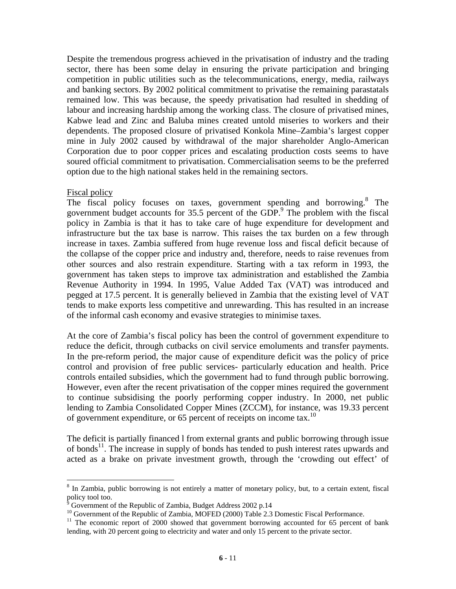Despite the tremendous progress achieved in the privatisation of industry and the trading sector, there has been some delay in ensuring the private participation and bringing competition in public utilities such as the telecommunications, energy, media, railways and banking sectors. By 2002 political commitment to privatise the remaining parastatals remained low. This was because, the speedy privatisation had resulted in shedding of labour and increasing hardship among the working class. The closure of privatised mines, Kabwe lead and Zinc and Baluba mines created untold miseries to workers and their dependents. The proposed closure of privatised Konkola Mine–Zambia's largest copper mine in July 2002 caused by withdrawal of the major shareholder Anglo-American Corporation due to poor copper prices and escalating production costs seems to have soured official commitment to privatisation. Commercialisation seems to be the preferred option due to the high national stakes held in the remaining sectors.

#### Fiscal policy

 $\overline{a}$ 

The fiscal policy focuses on taxes, government spending and borrowing.<sup>8</sup> The government budget accounts for 35.5 percent of the GDP.<sup>9</sup> The problem with the fiscal policy in Zambia is that it has to take care of huge expenditure for development and infrastructure but the tax base is narrow. This raises the tax burden on a few through increase in taxes. Zambia suffered from huge revenue loss and fiscal deficit because of the collapse of the copper price and industry and, therefore, needs to raise revenues from other sources and also restrain expenditure. Starting with a tax reform in 1993, the government has taken steps to improve tax administration and established the Zambia Revenue Authority in 1994. In 1995, Value Added Tax (VAT) was introduced and pegged at 17.5 percent. It is generally believed in Zambia that the existing level of VAT tends to make exports less competitive and unrewarding. This has resulted in an increase of the informal cash economy and evasive strategies to minimise taxes.

At the core of Zambia's fiscal policy has been the control of government expenditure to reduce the deficit, through cutbacks on civil service emoluments and transfer payments. In the pre-reform period, the major cause of expenditure deficit was the policy of price control and provision of free public services- particularly education and health. Price controls entailed subsidies, which the government had to fund through public borrowing. However, even after the recent privatisation of the copper mines required the government to continue subsidising the poorly performing copper industry. In 2000, net public lending to Zambia Consolidated Copper Mines (ZCCM), for instance, was 19.33 percent of government expenditure, or 65 percent of receipts on income tax.<sup>10</sup>

The deficit is partially financed l from external grants and public borrowing through issue of bonds<sup>11</sup>. The increase in supply of bonds has tended to push interest rates upwards and acted as a brake on private investment growth, through the 'crowding out effect' of

<sup>&</sup>lt;sup>8</sup> In Zambia, public borrowing is not entirely a matter of monetary policy, but, to a certain extent, fiscal policy tool too.<br><sup>9</sup> Government o

Government of the Republic of Zambia, Budget Address 2002 p.14

<sup>&</sup>lt;sup>10</sup> Government of the Republic of Zambia, MOFED (2000) Table 2.3 Domestic Fiscal Performance.

<sup>&</sup>lt;sup>11</sup> The economic report of 2000 showed that government borrowing accounted for 65 percent of bank lending, with 20 percent going to electricity and water and only 15 percent to the private sector.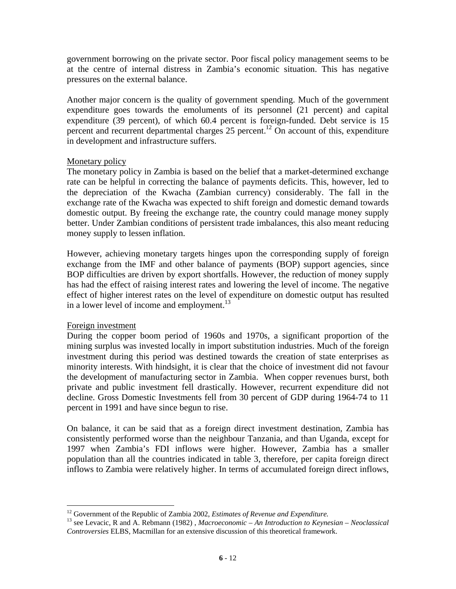government borrowing on the private sector. Poor fiscal policy management seems to be at the centre of internal distress in Zambia's economic situation. This has negative pressures on the external balance.

Another major concern is the quality of government spending. Much of the government expenditure goes towards the emoluments of its personnel (21 percent) and capital expenditure (39 percent), of which 60.4 percent is foreign-funded. Debt service is 15 percent and recurrent departmental charges 25 percent.<sup>12</sup> On account of this, expenditure in development and infrastructure suffers.

#### Monetary policy

The monetary policy in Zambia is based on the belief that a market-determined exchange rate can be helpful in correcting the balance of payments deficits. This, however, led to the depreciation of the Kwacha (Zambian currency) considerably. The fall in the exchange rate of the Kwacha was expected to shift foreign and domestic demand towards domestic output. By freeing the exchange rate, the country could manage money supply better. Under Zambian conditions of persistent trade imbalances, this also meant reducing money supply to lessen inflation.

However, achieving monetary targets hinges upon the corresponding supply of foreign exchange from the IMF and other balance of payments (BOP) support agencies, since BOP difficulties are driven by export shortfalls. However, the reduction of money supply has had the effect of raising interest rates and lowering the level of income. The negative effect of higher interest rates on the level of expenditure on domestic output has resulted in a lower level of income and employment.<sup>13</sup>

#### Foreign investment

During the copper boom period of 1960s and 1970s, a significant proportion of the mining surplus was invested locally in import substitution industries. Much of the foreign investment during this period was destined towards the creation of state enterprises as minority interests. With hindsight, it is clear that the choice of investment did not favour the development of manufacturing sector in Zambia. When copper revenues burst, both private and public investment fell drastically. However, recurrent expenditure did not decline. Gross Domestic Investments fell from 30 percent of GDP during 1964-74 to 11 percent in 1991 and have since begun to rise.

On balance, it can be said that as a foreign direct investment destination, Zambia has consistently performed worse than the neighbour Tanzania, and than Uganda, except for 1997 when Zambia's FDI inflows were higher. However, Zambia has a smaller population than all the countries indicated in table 3, therefore, per capita foreign direct inflows to Zambia were relatively higher. In terms of accumulated foreign direct inflows,

 $12$  Government of the Republic of Zambia 2002, *Estimates of Revenue and Expenditure*.

<sup>&</sup>lt;sup>13</sup> see Levacic, R and A. Rebmann (1982) , *Macroeconomic – An Introduction to Keynesian – Neoclassical Controversies* ELBS, Macmillan for an extensive discussion of this theoretical framework.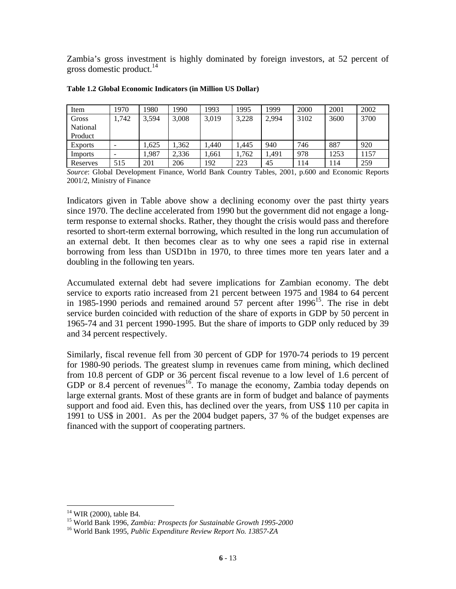Zambia's gross investment is highly dominated by foreign investors, at 52 percent of gross domestic product. $^{14}$ 

| Item           | 1970                     | 1980  | 1990  | 993   | 1995  | 1999  | 2000 | 2001 | 2002 |
|----------------|--------------------------|-------|-------|-------|-------|-------|------|------|------|
| Gross          | 1,742                    | 3,594 | 3,008 | 3,019 | 3,228 | 2.994 | 3102 | 3600 | 3700 |
| National       |                          |       |       |       |       |       |      |      |      |
| Product        |                          |       |       |       |       |       |      |      |      |
| <b>Exports</b> | $\overline{\phantom{0}}$ | 1,625 | .362  | .440  | .445  | 940   | 746  | 887  | 920  |
| Imports        | -                        | 1,987 | 2,336 | .661  | 1.762 | l.491 | 978  | 1253 | 1157 |
| Reserves       | 515                      | 201   | 206   | 192   | 223   | 45    | 114  | 114  | 259  |

#### **Table 1.2 Global Economic Indicators (in Million US Dollar)**

*Source*: Global Development Finance, World Bank Country Tables, 2001, p.600 and Economic Reports 2001/2, Ministry of Finance

Indicators given in Table above show a declining economy over the past thirty years since 1970. The decline accelerated from 1990 but the government did not engage a longterm response to external shocks. Rather, they thought the crisis would pass and therefore resorted to short-term external borrowing, which resulted in the long run accumulation of an external debt. It then becomes clear as to why one sees a rapid rise in external borrowing from less than USD1bn in 1970, to three times more ten years later and a doubling in the following ten years.

Accumulated external debt had severe implications for Zambian economy. The debt service to exports ratio increased from 21 percent between 1975 and 1984 to 64 percent in 1985-1990 periods and remained around 57 percent after 1996<sup>15</sup>. The rise in debt service burden coincided with reduction of the share of exports in GDP by 50 percent in 1965-74 and 31 percent 1990-1995. But the share of imports to GDP only reduced by 39 and 34 percent respectively.

Similarly, fiscal revenue fell from 30 percent of GDP for 1970-74 periods to 19 percent for 1980-90 periods. The greatest slump in revenues came from mining, which declined from 10.8 percent of GDP or 36 percent fiscal revenue to a low level of 1.6 percent of GDP or 8.4 percent of revenues<sup>16</sup>. To manage the economy, Zambia today depends on large external grants. Most of these grants are in form of budget and balance of payments support and food aid. Even this, has declined over the years, from US\$ 110 per capita in 1991 to US\$ in 2001. As per the 2004 budget papers, 37 % of the budget expenses are financed with the support of cooperating partners.

<sup>&</sup>lt;sup>14</sup> WIR (2000), table B4.

<sup>15</sup> World Bank 1996, *Zambia: Prospects for Sustainable Growth 1995-2000* 16 World Bank 1995, *Public Expenditure Review Report No. 13857-ZA*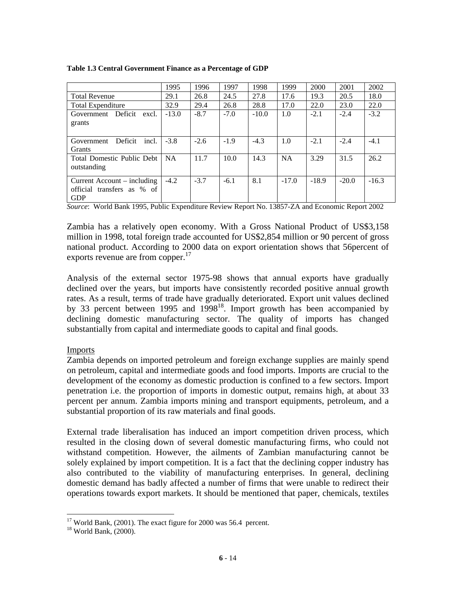|  |  |  | Table 1.3 Central Government Finance as a Percentage of GDP |  |  |
|--|--|--|-------------------------------------------------------------|--|--|
|--|--|--|-------------------------------------------------------------|--|--|

|                                                                             | 1995      | 1996   | 1997   | 1998    | 1999      | 2000    | 2001    | 2002    |
|-----------------------------------------------------------------------------|-----------|--------|--------|---------|-----------|---------|---------|---------|
| <b>Total Revenue</b>                                                        | 29.1      | 26.8   | 24.5   | 27.8    | 17.6      | 19.3    | 20.5    | 18.0    |
| <b>Total Expenditure</b>                                                    | 32.9      | 29.4   | 26.8   | 28.8    | 17.0      | 22.0    | 23.0    | 22.0    |
| Government Deficit<br>excl.<br>grants                                       | $-13.0$   | $-8.7$ | $-7.0$ | $-10.0$ | 1.0       | $-2.1$  | $-2.4$  | $-3.2$  |
| Deficit<br>incl.<br>Government<br>Grants                                    | $-3.8$    | $-2.6$ | $-1.9$ | $-4.3$  | 1.0       | $-2.1$  | $-2.4$  | $-4.1$  |
| Total Domestic Public Debt<br>outstanding                                   | <b>NA</b> | 11.7   | 10.0   | 14.3    | <b>NA</b> | 3.29    | 31.5    | 26.2    |
| $Current$ $Account - including$<br>official transfers as % of<br><b>GDP</b> | $-4.2$    | $-3.7$ | $-6.1$ | 8.1     | $-17.0$   | $-18.9$ | $-20.0$ | $-16.3$ |

*Source*: World Bank 1995, Public Expenditure Review Report No. 13857-ZA and Economic Report 2002

Zambia has a relatively open economy. With a Gross National Product of US\$3,158 million in 1998, total foreign trade accounted for US\$2,854 million or 90 percent of gross national product. According to 2000 data on export orientation shows that 56percent of exports revenue are from copper.<sup>17</sup>

Analysis of the external sector 1975-98 shows that annual exports have gradually declined over the years, but imports have consistently recorded positive annual growth rates. As a result, terms of trade have gradually deteriorated. Export unit values declined by 33 percent between 1995 and  $1998^{18}$ . Import growth has been accompanied by declining domestic manufacturing sector. The quality of imports has changed substantially from capital and intermediate goods to capital and final goods.

#### Imports

Zambia depends on imported petroleum and foreign exchange supplies are mainly spend on petroleum, capital and intermediate goods and food imports. Imports are crucial to the development of the economy as domestic production is confined to a few sectors. Import penetration i.e. the proportion of imports in domestic output, remains high, at about 33 percent per annum. Zambia imports mining and transport equipments, petroleum, and a substantial proportion of its raw materials and final goods.

External trade liberalisation has induced an import competition driven process, which resulted in the closing down of several domestic manufacturing firms, who could not withstand competition. However, the ailments of Zambian manufacturing cannot be solely explained by import competition. It is a fact that the declining copper industry has also contributed to the viability of manufacturing enterprises. In general, declining domestic demand has badly affected a number of firms that were unable to redirect their operations towards export markets. It should be mentioned that paper, chemicals, textiles

 $17$  World Bank, (2001). The exact figure for 2000 was 56.4 percent.

<sup>18</sup> World Bank, (2000).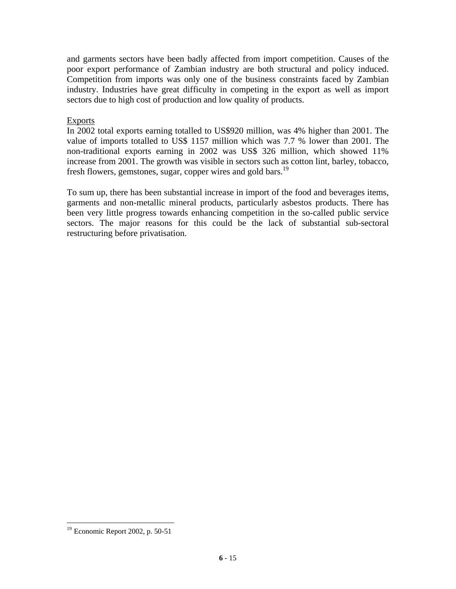and garments sectors have been badly affected from import competition. Causes of the poor export performance of Zambian industry are both structural and policy induced. Competition from imports was only one of the business constraints faced by Zambian industry. Industries have great difficulty in competing in the export as well as import sectors due to high cost of production and low quality of products.

#### Exports

In 2002 total exports earning totalled to US\$920 million, was 4% higher than 2001. The value of imports totalled to US\$ 1157 million which was 7.7 % lower than 2001. The non-traditional exports earning in 2002 was US\$ 326 million, which showed 11% increase from 2001. The growth was visible in sectors such as cotton lint, barley, tobacco, fresh flowers, gemstones, sugar, copper wires and gold bars.<sup>19</sup>

To sum up, there has been substantial increase in import of the food and beverages items, garments and non-metallic mineral products, particularly asbestos products. There has been very little progress towards enhancing competition in the so-called public service sectors. The major reasons for this could be the lack of substantial sub-sectoral restructuring before privatisation.

<sup>19</sup> Economic Report 2002, p. 50-51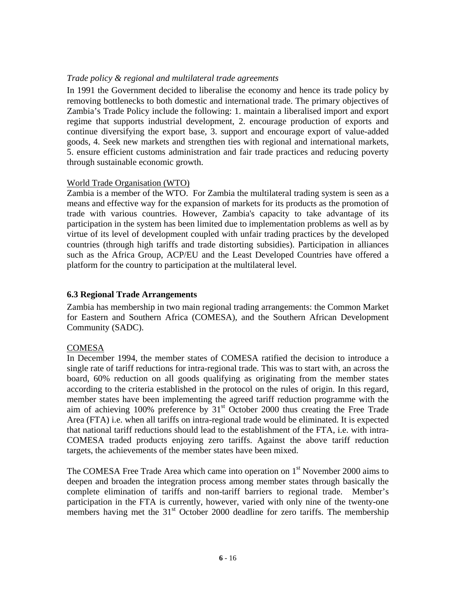#### *Trade policy & regional and multilateral trade agreements*

In 1991 the Government decided to liberalise the economy and hence its trade policy by removing bottlenecks to both domestic and international trade. The primary objectives of Zambia's Trade Policy include the following: 1. maintain a liberalised import and export regime that supports industrial development, 2. encourage production of exports and continue diversifying the export base, 3. support and encourage export of value-added goods, 4. Seek new markets and strengthen ties with regional and international markets, 5. ensure efficient customs administration and fair trade practices and reducing poverty through sustainable economic growth.

#### World Trade Organisation (WTO)

Zambia is a member of the WTO. For Zambia the multilateral trading system is seen as a means and effective way for the expansion of markets for its products as the promotion of trade with various countries. However, Zambia's capacity to take advantage of its participation in the system has been limited due to implementation problems as well as by virtue of its level of development coupled with unfair trading practices by the developed countries (through high tariffs and trade distorting subsidies). Participation in alliances such as the Africa Group, ACP/EU and the Least Developed Countries have offered a platform for the country to participation at the multilateral level.

#### **6.3 Regional Trade Arrangements**

Zambia has membership in two main regional trading arrangements: the Common Market for Eastern and Southern Africa (COMESA), and the Southern African Development Community (SADC).

#### **COMESA**

In December 1994, the member states of COMESA ratified the decision to introduce a single rate of tariff reductions for intra-regional trade. This was to start with, an across the board, 60% reduction on all goods qualifying as originating from the member states according to the criteria established in the protocol on the rules of origin. In this regard, member states have been implementing the agreed tariff reduction programme with the aim of achieving 100% preference by  $31<sup>st</sup>$  October 2000 thus creating the Free Trade Area (FTA) i.e. when all tariffs on intra-regional trade would be eliminated. It is expected that national tariff reductions should lead to the establishment of the FTA, i.e. with intra-COMESA traded products enjoying zero tariffs. Against the above tariff reduction targets, the achievements of the member states have been mixed.

The COMESA Free Trade Area which came into operation on  $1<sup>st</sup>$  November 2000 aims to deepen and broaden the integration process among member states through basically the complete elimination of tariffs and non-tariff barriers to regional trade. Member's participation in the FTA is currently, however, varied with only nine of the twenty-one members having met the  $31<sup>st</sup>$  October 2000 deadline for zero tariffs. The membership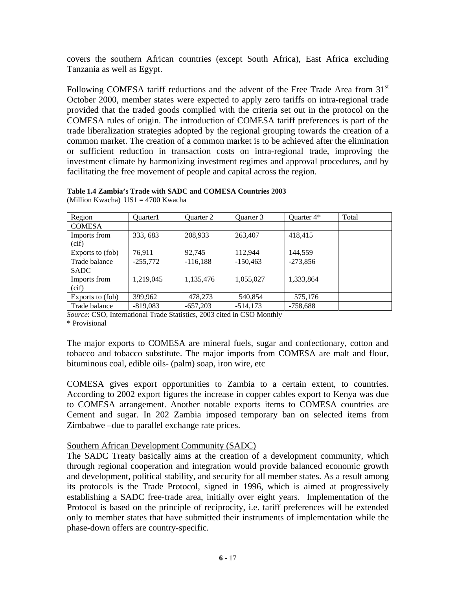covers the southern African countries (except South Africa), East Africa excluding Tanzania as well as Egypt.

Following COMESA tariff reductions and the advent of the Free Trade Area from  $31<sup>st</sup>$ October 2000, member states were expected to apply zero tariffs on intra-regional trade provided that the traded goods complied with the criteria set out in the protocol on the COMESA rules of origin. The introduction of COMESA tariff preferences is part of the trade liberalization strategies adopted by the regional grouping towards the creation of a common market. The creation of a common market is to be achieved after the elimination or sufficient reduction in transaction costs on intra-regional trade, improving the investment climate by harmonizing investment regimes and approval procedures, and by facilitating the free movement of people and capital across the region.

| Region                | Ouarter1   | Ouarter 2  | Ouarter 3  | Quarter 4* | Total |
|-----------------------|------------|------------|------------|------------|-------|
| <b>COMESA</b>         |            |            |            |            |       |
| Imports from<br>(cif) | 333, 683   | 208,933    | 263,407    | 418,415    |       |
| Exports to (fob)      | 76.911     | 92,745     | 112.944    | 144,559    |       |
| Trade balance         | $-255,772$ | $-116,188$ | $-150,463$ | $-273,856$ |       |
| <b>SADC</b>           |            |            |            |            |       |
| Imports from<br>(cif) | 1,219,045  | 1,135,476  | 1,055,027  | 1,333,864  |       |
| Exports to (fob)      | 399,962    | 478,273    | 540,854    | 575,176    |       |
| Trade balance         | $-819,083$ | $-657,203$ | $-514.173$ | $-758,688$ |       |

#### **Table 1.4 Zambia's Trade with SADC and COMESA Countries 2003**

(Million Kwacha) US1 = 4700 Kwacha

*Source*: CSO, International Trade Statistics, 2003 cited in CSO Monthly

\* Provisional

The major exports to COMESA are mineral fuels, sugar and confectionary, cotton and tobacco and tobacco substitute. The major imports from COMESA are malt and flour, bituminous coal, edible oils- (palm) soap, iron wire, etc

COMESA gives export opportunities to Zambia to a certain extent, to countries. According to 2002 export figures the increase in copper cables export to Kenya was due to COMESA arrangement. Another notable exports items to COMESA countries are Cement and sugar. In 202 Zambia imposed temporary ban on selected items from Zimbabwe –due to parallel exchange rate prices.

#### Southern African Development Community (SADC)

The SADC Treaty basically aims at the creation of a development community, which through regional cooperation and integration would provide balanced economic growth and development, political stability, and security for all member states. As a result among its protocols is the Trade Protocol, signed in 1996, which is aimed at progressively establishing a SADC free-trade area, initially over eight years. Implementation of the Protocol is based on the principle of reciprocity, i.e. tariff preferences will be extended only to member states that have submitted their instruments of implementation while the phase-down offers are country-specific.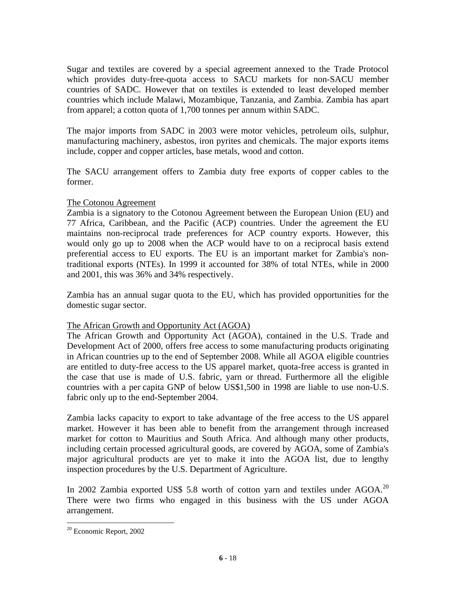Sugar and textiles are covered by a special agreement annexed to the Trade Protocol which provides duty-free-quota access to SACU markets for non-SACU member countries of SADC. However that on textiles is extended to least developed member countries which include Malawi, Mozambique, Tanzania, and Zambia. Zambia has apart from apparel; a cotton quota of 1,700 tonnes per annum within SADC.

The major imports from SADC in 2003 were motor vehicles, petroleum oils, sulphur, manufacturing machinery, asbestos, iron pyrites and chemicals. The major exports items include, copper and copper articles, base metals, wood and cotton.

The SACU arrangement offers to Zambia duty free exports of copper cables to the former.

#### The Cotonou Agreement

Zambia is a signatory to the Cotonou Agreement between the European Union (EU) and 77 Africa, Caribbean, and the Pacific (ACP) countries. Under the agreement the EU maintains non-reciprocal trade preferences for ACP country exports. However, this would only go up to 2008 when the ACP would have to on a reciprocal basis extend preferential access to EU exports. The EU is an important market for Zambia's nontraditional exports (NTEs). In 1999 it accounted for 38% of total NTEs, while in 2000 and 2001, this was 36% and 34% respectively.

Zambia has an annual sugar quota to the EU, which has provided opportunities for the domestic sugar sector.

#### The African Growth and Opportunity Act (AGOA)

The African Growth and Opportunity Act (AGOA), contained in the U.S. Trade and Development Act of 2000, offers free access to some manufacturing products originating in African countries up to the end of September 2008. While all AGOA eligible countries are entitled to duty-free access to the US apparel market, quota-free access is granted in the case that use is made of U.S. fabric, yarn or thread. Furthermore all the eligible countries with a per capita GNP of below US\$1,500 in 1998 are liable to use non-U.S. fabric only up to the end-September 2004.

Zambia lacks capacity to export to take advantage of the free access to the US apparel market. However it has been able to benefit from the arrangement through increased market for cotton to Mauritius and South Africa. And although many other products, including certain processed agricultural goods, are covered by AGOA, some of Zambia's major agricultural products are yet to make it into the AGOA list, due to lengthy inspection procedures by the U.S. Department of Agriculture.

In 2002 Zambia exported US\$ 5.8 worth of cotton yarn and textiles under  $AGOA<sup>20</sup>$ There were two firms who engaged in this business with the US under AGOA arrangement.

<sup>20</sup> Economic Report, 2002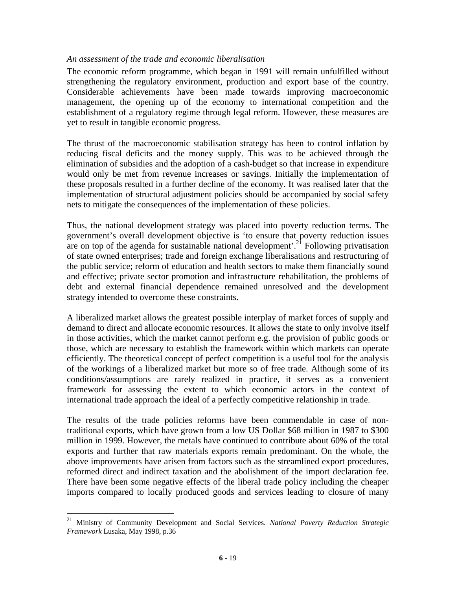#### *An assessment of the trade and economic liberalisation*

The economic reform programme, which began in 1991 will remain unfulfilled without strengthening the regulatory environment, production and export base of the country. Considerable achievements have been made towards improving macroeconomic management, the opening up of the economy to international competition and the establishment of a regulatory regime through legal reform. However, these measures are yet to result in tangible economic progress.

The thrust of the macroeconomic stabilisation strategy has been to control inflation by reducing fiscal deficits and the money supply. This was to be achieved through the elimination of subsidies and the adoption of a cash-budget so that increase in expenditure would only be met from revenue increases or savings. Initially the implementation of these proposals resulted in a further decline of the economy. It was realised later that the implementation of structural adjustment policies should be accompanied by social safety nets to mitigate the consequences of the implementation of these policies.

Thus, the national development strategy was placed into poverty reduction terms. The government's overall development objective is 'to ensure that poverty reduction issues are on top of the agenda for sustainable national development'.<sup>21</sup> Following privatisation of state owned enterprises; trade and foreign exchange liberalisations and restructuring of the public service; reform of education and health sectors to make them financially sound and effective; private sector promotion and infrastructure rehabilitation, the problems of debt and external financial dependence remained unresolved and the development strategy intended to overcome these constraints.

A liberalized market allows the greatest possible interplay of market forces of supply and demand to direct and allocate economic resources. It allows the state to only involve itself in those activities, which the market cannot perform e.g. the provision of public goods or those, which are necessary to establish the framework within which markets can operate efficiently. The theoretical concept of perfect competition is a useful tool for the analysis of the workings of a liberalized market but more so of free trade. Although some of its conditions/assumptions are rarely realized in practice, it serves as a convenient framework for assessing the extent to which economic actors in the context of international trade approach the ideal of a perfectly competitive relationship in trade.

The results of the trade policies reforms have been commendable in case of nontraditional exports, which have grown from a low US Dollar \$68 million in 1987 to \$300 million in 1999. However, the metals have continued to contribute about 60% of the total exports and further that raw materials exports remain predominant. On the whole, the above improvements have arisen from factors such as the streamlined export procedures, reformed direct and indirect taxation and the abolishment of the import declaration fee. There have been some negative effects of the liberal trade policy including the cheaper imports compared to locally produced goods and services leading to closure of many

<sup>21</sup> Ministry of Community Development and Social Services. *National Poverty Reduction Strategic Framework* Lusaka, May 1998, p.36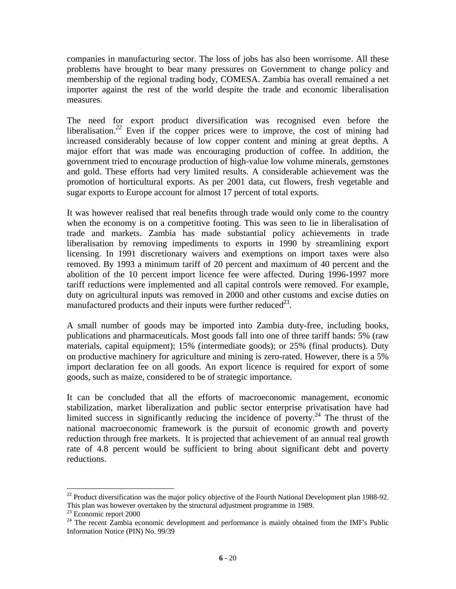companies in manufacturing sector. The loss of jobs has also been worrisome. All these problems have brought to bear many pressures on Government to change policy and membership of the regional trading body, COMESA. Zambia has overall remained a net importer against the rest of the world despite the trade and economic liberalisation measures.

The need for export product diversification was recognised even before the liberalisation.<sup>22</sup> Even if the copper prices were to improve, the cost of mining had increased considerably because of low copper content and mining at great depths. A major effort that was made was encouraging production of coffee. In addition, the government tried to encourage production of high-value low volume minerals, gemstones and gold. These efforts had very limited results. A considerable achievement was the promotion of horticultural exports. As per 2001 data, cut flowers, fresh vegetable and sugar exports to Europe account for almost 17 percent of total exports.

It was however realised that real benefits through trade would only come to the country when the economy is on a competitive footing. This was seen to lie in liberalisation of trade and markets. Zambia has made substantial policy achievements in trade liberalisation by removing impediments to exports in 1990 by streamlining export licensing. In 1991 discretionary waivers and exemptions on import taxes were also removed. By 1993 a minimum tariff of 20 percent and maximum of 40 percent and the abolition of the 10 percent import licence fee were affected. During 1996-1997 more tariff reductions were implemented and all capital controls were removed. For example, duty on agricultural inputs was removed in 2000 and other customs and excise duties on manufactured products and their inputs were further reduced  $23$ .

A small number of goods may be imported into Zambia duty-free, including books, publications and pharmaceuticals. Most goods fall into one of three tariff bands: 5% (raw materials, capital equipment); 15% (intermediate goods); or 25% (final products). Duty on productive machinery for agriculture and mining is zero-rated. However, there is a 5% import declaration fee on all goods. An export licence is required for export of some goods, such as maize, considered to be of strategic importance.

It can be concluded that all the efforts of macroeconomic management, economic stabilization, market liberalization and public sector enterprise privatisation have had limited success in significantly reducing the incidence of poverty.<sup>24</sup> The thrust of the national macroeconomic framework is the pursuit of economic growth and poverty reduction through free markets. It is projected that achievement of an annual real growth rate of 4.8 percent would be sufficient to bring about significant debt and poverty reductions.

 $22$  Product diversification was the major policy objective of the Fourth National Development plan 1988-92. This plan was however overtaken by the structural adjustment programme in 1989.

 $23$  Economic report 2000

 $24$  The recent Zambia economic development and performance is mainly obtained from the IMF's Public Information Notice (PIN) No. 99/39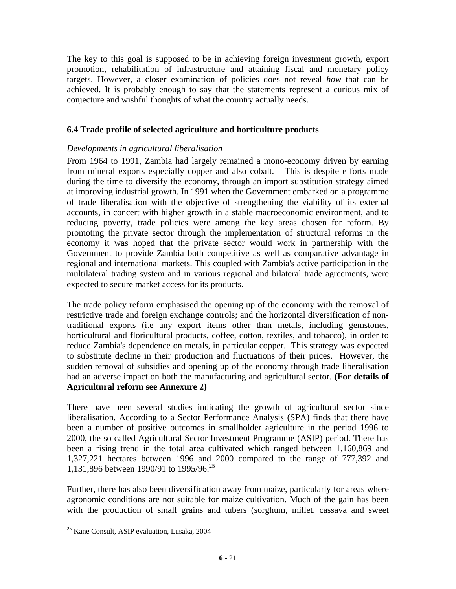The key to this goal is supposed to be in achieving foreign investment growth, export promotion, rehabilitation of infrastructure and attaining fiscal and monetary policy targets. However, a closer examination of policies does not reveal *how* that can be achieved. It is probably enough to say that the statements represent a curious mix of conjecture and wishful thoughts of what the country actually needs.

#### **6.4 Trade profile of selected agriculture and horticulture products**

#### *Developments in agricultural liberalisation*

From 1964 to 1991, Zambia had largely remained a mono-economy driven by earning from mineral exports especially copper and also cobalt. This is despite efforts made during the time to diversify the economy, through an import substitution strategy aimed at improving industrial growth. In 1991 when the Government embarked on a programme of trade liberalisation with the objective of strengthening the viability of its external accounts, in concert with higher growth in a stable macroeconomic environment, and to reducing poverty, trade policies were among the key areas chosen for reform. By promoting the private sector through the implementation of structural reforms in the economy it was hoped that the private sector would work in partnership with the Government to provide Zambia both competitive as well as comparative advantage in regional and international markets. This coupled with Zambia's active participation in the multilateral trading system and in various regional and bilateral trade agreements, were expected to secure market access for its products.

The trade policy reform emphasised the opening up of the economy with the removal of restrictive trade and foreign exchange controls; and the horizontal diversification of nontraditional exports (i.e any export items other than metals, including gemstones, horticultural and floricultural products, coffee, cotton, textiles, and tobacco), in order to reduce Zambia's dependence on metals, in particular copper. This strategy was expected to substitute decline in their production and fluctuations of their prices. However, the sudden removal of subsidies and opening up of the economy through trade liberalisation had an adverse impact on both the manufacturing and agricultural sector. **(For details of Agricultural reform see Annexure 2)**

There have been several studies indicating the growth of agricultural sector since liberalisation. According to a Sector Performance Analysis (SPA) finds that there have been a number of positive outcomes in smallholder agriculture in the period 1996 to 2000, the so called Agricultural Sector Investment Programme (ASIP) period. There has been a rising trend in the total area cultivated which ranged between 1,160,869 and 1,327,221 hectares between 1996 and 2000 compared to the range of 777,392 and 1,131,896 between 1990/91 to 1995/96.<sup>25</sup>

Further, there has also been diversification away from maize, particularly for areas where agronomic conditions are not suitable for maize cultivation. Much of the gain has been with the production of small grains and tubers (sorghum, millet, cassava and sweet

<sup>25</sup> Kane Consult, ASIP evaluation, Lusaka, 2004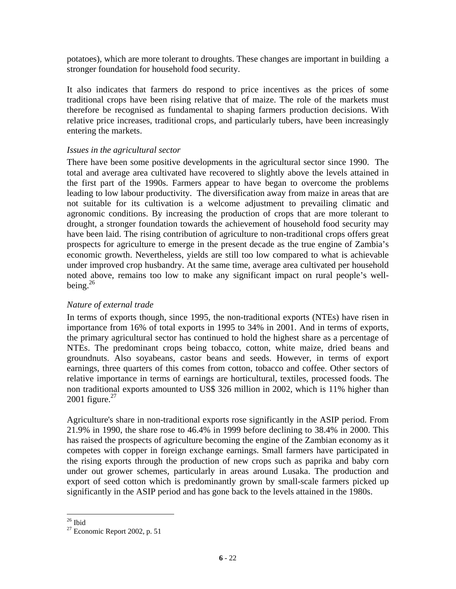potatoes), which are more tolerant to droughts. These changes are important in building a stronger foundation for household food security.

It also indicates that farmers do respond to price incentives as the prices of some traditional crops have been rising relative that of maize. The role of the markets must therefore be recognised as fundamental to shaping farmers production decisions. With relative price increases, traditional crops, and particularly tubers, have been increasingly entering the markets.

#### *Issues in the agricultural sector*

There have been some positive developments in the agricultural sector since 1990. The total and average area cultivated have recovered to slightly above the levels attained in the first part of the 1990s. Farmers appear to have began to overcome the problems leading to low labour productivity. The diversification away from maize in areas that are not suitable for its cultivation is a welcome adjustment to prevailing climatic and agronomic conditions. By increasing the production of crops that are more tolerant to drought, a stronger foundation towards the achievement of household food security may have been laid. The rising contribution of agriculture to non-traditional crops offers great prospects for agriculture to emerge in the present decade as the true engine of Zambia's economic growth. Nevertheless, yields are still too low compared to what is achievable under improved crop husbandry. At the same time, average area cultivated per household noted above, remains too low to make any significant impact on rural people's wellbeing. $^{26}$ 

#### *Nature of external trade*

In terms of exports though, since 1995, the non-traditional exports (NTEs) have risen in importance from 16% of total exports in 1995 to 34% in 2001. And in terms of exports, the primary agricultural sector has continued to hold the highest share as a percentage of NTEs. The predominant crops being tobacco, cotton, white maize, dried beans and groundnuts. Also soyabeans, castor beans and seeds. However, in terms of export earnings, three quarters of this comes from cotton, tobacco and coffee. Other sectors of relative importance in terms of earnings are horticultural, textiles, processed foods. The non traditional exports amounted to US\$ 326 million in 2002, which is 11% higher than 2001 figure. $27$ 

Agriculture's share in non-traditional exports rose significantly in the ASIP period. From 21.9% in 1990, the share rose to 46.4% in 1999 before declining to 38.4% in 2000. This has raised the prospects of agriculture becoming the engine of the Zambian economy as it competes with copper in foreign exchange earnings. Small farmers have participated in the rising exports through the production of new crops such as paprika and baby corn under out grower schemes, particularly in areas around Lusaka. The production and export of seed cotton which is predominantly grown by small-scale farmers picked up significantly in the ASIP period and has gone back to the levels attained in the 1980s.

 $\overline{a}$  $26$  Ibid

 $27$  Economic Report 2002, p. 51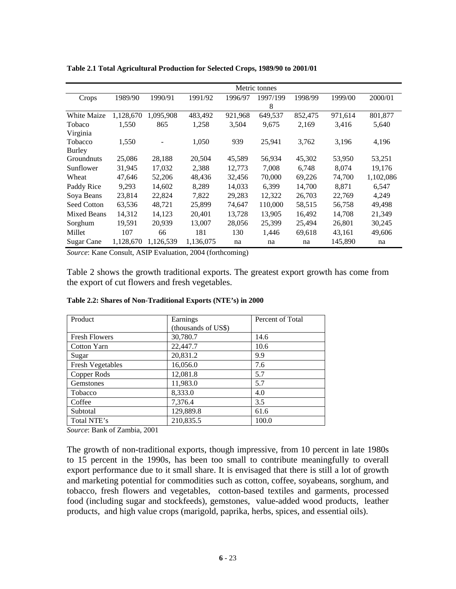|                    |           |           |           |         | Metric tonnes |         |         |           |
|--------------------|-----------|-----------|-----------|---------|---------------|---------|---------|-----------|
| Crops              | 1989/90   | 1990/91   | 1991/92   | 1996/97 | 1997/199      | 1998/99 | 1999/00 | 2000/01   |
|                    |           |           |           |         | 8             |         |         |           |
| <b>White Maize</b> | 1,128,670 | 1,095,908 | 483,492   | 921,968 | 649,537       | 852,475 | 971,614 | 801,877   |
| Tobaco             | 1,550     | 865       | 1,258     | 3,504   | 9,675         | 2,169   | 3,416   | 5,640     |
| Virginia           |           |           |           |         |               |         |         |           |
| Tobacco            | 1,550     |           | 1,050     | 939     | 25,941        | 3,762   | 3,196   | 4,196     |
| <b>Burley</b>      |           |           |           |         |               |         |         |           |
| Groundnuts         | 25,086    | 28,188    | 20,504    | 45,589  | 56,934        | 45,302  | 53,950  | 53,251    |
| Sunflower          | 31,945    | 17,032    | 2,388     | 12,773  | 7,008         | 6,748   | 8,074   | 19,176    |
| Wheat              | 47,646    | 52,206    | 48,436    | 32,456  | 70,000        | 69,226  | 74,700  | 1,102,086 |
| Paddy Rice         | 9,293     | 14,602    | 8,289     | 14,033  | 6,399         | 14,700  | 8,871   | 6,547     |
| Soya Beans         | 23,814    | 22,824    | 7,822     | 29,283  | 12,322        | 26,703  | 22,769  | 4,249     |
| Seed Cotton        | 63,536    | 48,721    | 25,899    | 74,647  | 110,000       | 58,515  | 56,758  | 49,498    |
| <b>Mixed Beans</b> | 14,312    | 14,123    | 20,401    | 13,728  | 13,905        | 16,492  | 14,708  | 21,349    |
| Sorghum            | 19,591    | 20,939    | 13,007    | 28,056  | 25,399        | 25,494  | 26,801  | 30,245    |
| Millet             | 107       | 66        | 181       | 130     | 1,446         | 69,618  | 43,161  | 49,606    |
| Sugar Cane         | 1,128,670 | 1,126,539 | 1,136,075 | na      | na            | na      | 145,890 | na        |

**Table 2.1 Total Agricultural Production for Selected Crops, 1989/90 to 2001/01** 

*Source*: Kane Consult, ASIP Evaluation, 2004 (forthcoming)

Table 2 shows the growth traditional exports. The greatest export growth has come from the export of cut flowers and fresh vegetables.

| Product                 | Earnings            | Percent of Total |
|-------------------------|---------------------|------------------|
|                         | (thousands of US\$) |                  |
| <b>Fresh Flowers</b>    | 30,780.7            | 14.6             |
| Cotton Yarn             | 22,447.7            | 10.6             |
| Sugar                   | 20,831.2            | 9.9              |
| <b>Fresh Vegetables</b> | 16,056.0            | 7.6              |
| Copper Rods             | 12,081.8            | 5.7              |
| <b>Gemstones</b>        | 11,983.0            | 5.7              |
| Tobacco                 | 8,333.0             | 4.0              |
| Coffee                  | 7,376.4             | 3.5              |
| Subtotal                | 129,889.8           | 61.6             |
| Total NTE's             | 210,835.5           | 100.0            |

**Table 2.2: Shares of Non-Traditional Exports (NTE's) in 2000** 

*Source*: Bank of Zambia, 2001

The growth of non-traditional exports, though impressive, from 10 percent in late 1980s to 15 percent in the 1990s, has been too small to contribute meaningfully to overall export performance due to it small share. It is envisaged that there is still a lot of growth and marketing potential for commodities such as cotton, coffee, soyabeans, sorghum, and tobacco, fresh flowers and vegetables, cotton-based textiles and garments, processed food (including sugar and stockfeeds), gemstones, value-added wood products, leather products, and high value crops (marigold, paprika, herbs, spices, and essential oils).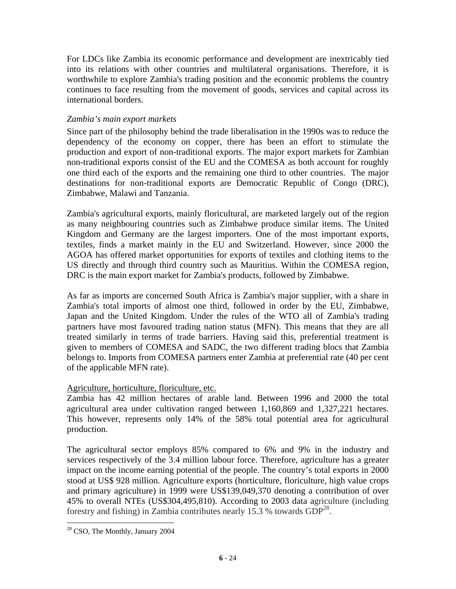For LDCs like Zambia its economic performance and development are inextricably tied into its relations with other countries and multilateral organisations. Therefore, it is worthwhile to explore Zambia's trading position and the economic problems the country continues to face resulting from the movement of goods, services and capital across its international borders.

#### *Zambia's main export markets*

Since part of the philosophy behind the trade liberalisation in the 1990s was to reduce the dependency of the economy on copper, there has been an effort to stimulate the production and export of non-traditional exports. The major export markets for Zambian non-traditional exports consist of the EU and the COMESA as both account for roughly one third each of the exports and the remaining one third to other countries. The major destinations for non-traditional exports are Democratic Republic of Congo (DRC), Zimbabwe, Malawi and Tanzania.

Zambia's agricultural exports, mainly floricultural, are marketed largely out of the region as many neighbouring countries such as Zimbabwe produce similar items. The United Kingdom and Germany are the largest importers. One of the most important exports, textiles, finds a market mainly in the EU and Switzerland. However, since 2000 the AGOA has offered market opportunities for exports of textiles and clothing items to the US directly and through third country such as Mauritius. Within the COMESA region, DRC is the main export market for Zambia's products, followed by Zimbabwe.

As far as imports are concerned South Africa is Zambia's major supplier, with a share in Zambia's total imports of almost one third, followed in order by the EU, Zimbabwe, Japan and the United Kingdom. Under the rules of the WTO all of Zambia's trading partners have most favoured trading nation status (MFN). This means that they are all treated similarly in terms of trade barriers. Having said this, preferential treatment is given to members of COMESA and SADC, the two different trading blocs that Zambia belongs to. Imports from COMESA partners enter Zambia at preferential rate (40 per cent of the applicable MFN rate).

#### Agriculture, horticulture, floriculture, etc.

Zambia has 42 million hectares of arable land. Between 1996 and 2000 the total agricultural area under cultivation ranged between 1,160,869 and 1,327,221 hectares. This however, represents only 14% of the 58% total potential area for agricultural production.

The agricultural sector employs 85% compared to 6% and 9% in the industry and services respectively of the 3.4 million labour force. Therefore, agriculture has a greater impact on the income earning potential of the people. The country's total exports in 2000 stood at US\$ 928 million. Agriculture exports (horticulture, floriculture, high value crops and primary agriculture) in 1999 were US\$139,049,370 denoting a contribution of over 45% to overall NTEs (US\$304,495,810). According to 2003 data agriculture (including forestry and fishing) in Zambia contributes nearly 15.3 % towards  $GDP^{28}$ .

<sup>28</sup> CSO, The Monthly, January 2004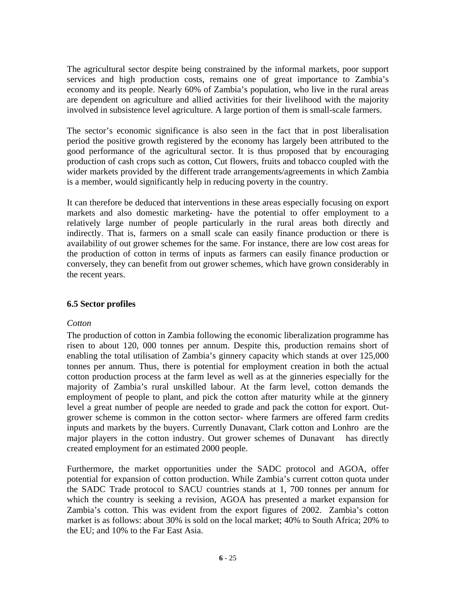The agricultural sector despite being constrained by the informal markets, poor support services and high production costs, remains one of great importance to Zambia's economy and its people. Nearly 60% of Zambia's population, who live in the rural areas are dependent on agriculture and allied activities for their livelihood with the majority involved in subsistence level agriculture. A large portion of them is small-scale farmers.

The sector's economic significance is also seen in the fact that in post liberalisation period the positive growth registered by the economy has largely been attributed to the good performance of the agricultural sector. It is thus proposed that by encouraging production of cash crops such as cotton, Cut flowers, fruits and tobacco coupled with the wider markets provided by the different trade arrangements/agreements in which Zambia is a member, would significantly help in reducing poverty in the country.

It can therefore be deduced that interventions in these areas especially focusing on export markets and also domestic marketing- have the potential to offer employment to a relatively large number of people particularly in the rural areas both directly and indirectly. That is, farmers on a small scale can easily finance production or there is availability of out grower schemes for the same. For instance, there are low cost areas for the production of cotton in terms of inputs as farmers can easily finance production or conversely, they can benefit from out grower schemes, which have grown considerably in the recent years.

#### **6.5 Sector profiles**

#### *Cotton*

The production of cotton in Zambia following the economic liberalization programme has risen to about 120, 000 tonnes per annum. Despite this, production remains short of enabling the total utilisation of Zambia's ginnery capacity which stands at over 125,000 tonnes per annum. Thus, there is potential for employment creation in both the actual cotton production process at the farm level as well as at the ginneries especially for the majority of Zambia's rural unskilled labour. At the farm level, cotton demands the employment of people to plant, and pick the cotton after maturity while at the ginnery level a great number of people are needed to grade and pack the cotton for export. Outgrower scheme is common in the cotton sector- where farmers are offered farm credits inputs and markets by the buyers. Currently Dunavant, Clark cotton and Lonhro are the major players in the cotton industry. Out grower schemes of Dunavant has directly created employment for an estimated 2000 people.

Furthermore, the market opportunities under the SADC protocol and AGOA, offer potential for expansion of cotton production. While Zambia's current cotton quota under the SADC Trade protocol to SACU countries stands at 1, 700 tonnes per annum for which the country is seeking a revision, AGOA has presented a market expansion for Zambia's cotton. This was evident from the export figures of 2002. Zambia's cotton market is as follows: about 30% is sold on the local market; 40% to South Africa; 20% to the EU; and 10% to the Far East Asia.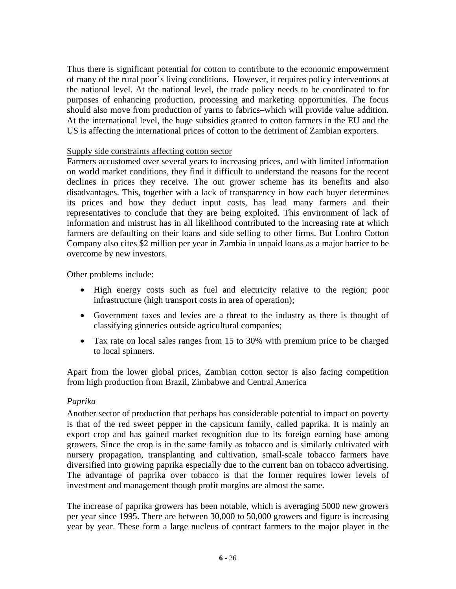Thus there is significant potential for cotton to contribute to the economic empowerment of many of the rural poor's living conditions. However, it requires policy interventions at the national level. At the national level, the trade policy needs to be coordinated to for purposes of enhancing production, processing and marketing opportunities. The focus should also move from production of yarns to fabrics–which will provide value addition. At the international level, the huge subsidies granted to cotton farmers in the EU and the US is affecting the international prices of cotton to the detriment of Zambian exporters.

#### Supply side constraints affecting cotton sector

Farmers accustomed over several years to increasing prices, and with limited information on world market conditions, they find it difficult to understand the reasons for the recent declines in prices they receive. The out grower scheme has its benefits and also disadvantages. This, together with a lack of transparency in how each buyer determines its prices and how they deduct input costs, has lead many farmers and their representatives to conclude that they are being exploited. This environment of lack of information and mistrust has in all likelihood contributed to the increasing rate at which farmers are defaulting on their loans and side selling to other firms. But Lonhro Cotton Company also cites \$2 million per year in Zambia in unpaid loans as a major barrier to be overcome by new investors.

Other problems include:

- High energy costs such as fuel and electricity relative to the region; poor infrastructure (high transport costs in area of operation);
- Government taxes and levies are a threat to the industry as there is thought of classifying ginneries outside agricultural companies;
- Tax rate on local sales ranges from 15 to 30% with premium price to be charged to local spinners.

Apart from the lower global prices, Zambian cotton sector is also facing competition from high production from Brazil, Zimbabwe and Central America

#### *Paprika*

Another sector of production that perhaps has considerable potential to impact on poverty is that of the red sweet pepper in the capsicum family, called paprika. It is mainly an export crop and has gained market recognition due to its foreign earning base among growers. Since the crop is in the same family as tobacco and is similarly cultivated with nursery propagation, transplanting and cultivation, small-scale tobacco farmers have diversified into growing paprika especially due to the current ban on tobacco advertising. The advantage of paprika over tobacco is that the former requires lower levels of investment and management though profit margins are almost the same.

The increase of paprika growers has been notable, which is averaging 5000 new growers per year since 1995. There are between 30,000 to 50,000 growers and figure is increasing year by year. These form a large nucleus of contract farmers to the major player in the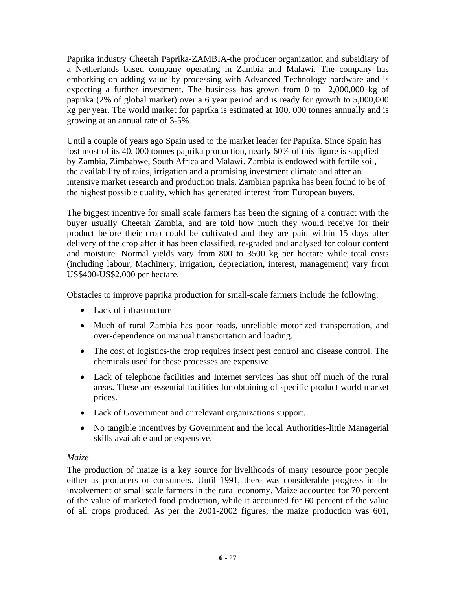Paprika industry Cheetah Paprika-ZAMBIA-the producer organization and subsidiary of a Netherlands based company operating in Zambia and Malawi. The company has embarking on adding value by processing with Advanced Technology hardware and is expecting a further investment. The business has grown from 0 to 2,000,000 kg of paprika (2% of global market) over a 6 year period and is ready for growth to 5,000,000 kg per year. The world market for paprika is estimated at 100, 000 tonnes annually and is growing at an annual rate of 3-5%.

Until a couple of years ago Spain used to the market leader for Paprika. Since Spain has lost most of its 40, 000 tonnes paprika production, nearly 60% of this figure is supplied by Zambia, Zimbabwe, South Africa and Malawi. Zambia is endowed with fertile soil, the availability of rains, irrigation and a promising investment climate and after an intensive market research and production trials, Zambian paprika has been found to be of the highest possible quality, which has generated interest from European buyers.

The biggest incentive for small scale farmers has been the signing of a contract with the buyer usually Cheetah Zambia, and are told how much they would receive for their product before their crop could be cultivated and they are paid within 15 days after delivery of the crop after it has been classified, re-graded and analysed for colour content and moisture. Normal yields vary from 800 to 3500 kg per hectare while total costs (including labour, Machinery, irrigation, depreciation, interest, management) vary from US\$400-US\$2,000 per hectare.

Obstacles to improve paprika production for small-scale farmers include the following:

- Lack of infrastructure
- Much of rural Zambia has poor roads, unreliable motorized transportation, and over-dependence on manual transportation and loading.
- The cost of logistics-the crop requires insect pest control and disease control. The chemicals used for these processes are expensive.
- Lack of telephone facilities and Internet services has shut off much of the rural areas. These are essential facilities for obtaining of specific product world market prices.
- Lack of Government and or relevant organizations support.
- No tangible incentives by Government and the local Authorities-little Managerial skills available and or expensive.

#### *Maize*

The production of maize is a key source for livelihoods of many resource poor people either as producers or consumers. Until 1991, there was considerable progress in the involvement of small scale farmers in the rural economy. Maize accounted for 70 percent of the value of marketed food production, while it accounted for 60 percent of the value of all crops produced. As per the 2001-2002 figures, the maize production was 601,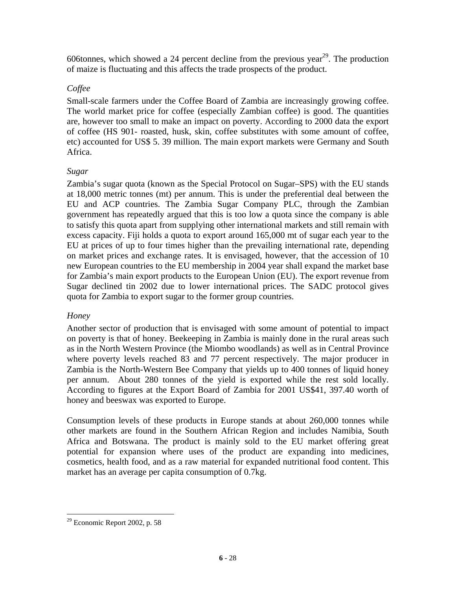606tonnes, which showed a 24 percent decline from the previous year<sup>29</sup>. The production of maize is fluctuating and this affects the trade prospects of the product.

#### *Coffee*

Small-scale farmers under the Coffee Board of Zambia are increasingly growing coffee. The world market price for coffee (especially Zambian coffee) is good. The quantities are, however too small to make an impact on poverty. According to 2000 data the export of coffee (HS 901- roasted, husk, skin, coffee substitutes with some amount of coffee, etc) accounted for US\$ 5. 39 million. The main export markets were Germany and South Africa.

# *Sugar*

Zambia's sugar quota (known as the Special Protocol on Sugar–SPS) with the EU stands at 18,000 metric tonnes (mt) per annum. This is under the preferential deal between the EU and ACP countries. The Zambia Sugar Company PLC, through the Zambian government has repeatedly argued that this is too low a quota since the company is able to satisfy this quota apart from supplying other international markets and still remain with excess capacity. Fiji holds a quota to export around 165,000 mt of sugar each year to the EU at prices of up to four times higher than the prevailing international rate, depending on market prices and exchange rates. It is envisaged, however, that the accession of 10 new European countries to the EU membership in 2004 year shall expand the market base for Zambia's main export products to the European Union (EU). The export revenue from Sugar declined tin 2002 due to lower international prices. The SADC protocol gives quota for Zambia to export sugar to the former group countries.

#### *Honey*

Another sector of production that is envisaged with some amount of potential to impact on poverty is that of honey. Beekeeping in Zambia is mainly done in the rural areas such as in the North Western Province (the Miombo woodlands) as well as in Central Province where poverty levels reached 83 and 77 percent respectively. The major producer in Zambia is the North-Western Bee Company that yields up to 400 tonnes of liquid honey per annum. About 280 tonnes of the yield is exported while the rest sold locally. According to figures at the Export Board of Zambia for 2001 US\$41, 397.40 worth of honey and beeswax was exported to Europe.

Consumption levels of these products in Europe stands at about 260,000 tonnes while other markets are found in the Southern African Region and includes Namibia, South Africa and Botswana. The product is mainly sold to the EU market offering great potential for expansion where uses of the product are expanding into medicines, cosmetics, health food, and as a raw material for expanded nutritional food content. This market has an average per capita consumption of 0.7kg.

 $\overline{a}$  $29$  Economic Report 2002, p. 58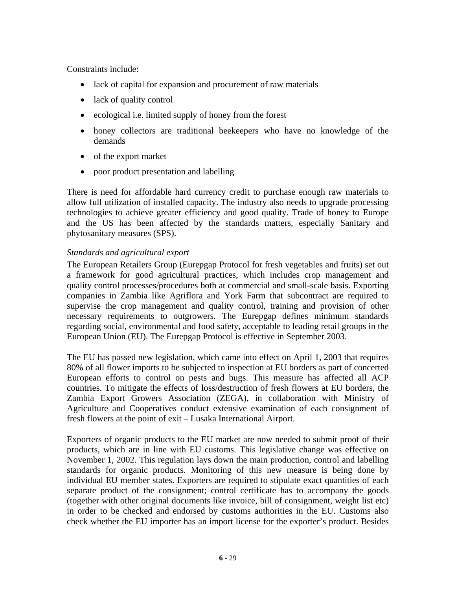Constraints include:

- lack of capital for expansion and procurement of raw materials
- lack of quality control
- ecological i.e. limited supply of honey from the forest
- honey collectors are traditional beekeepers who have no knowledge of the demands
- of the export market
- poor product presentation and labelling

There is need for affordable hard currency credit to purchase enough raw materials to allow full utilization of installed capacity. The industry also needs to upgrade processing technologies to achieve greater efficiency and good quality. Trade of honey to Europe and the US has been affected by the standards matters, especially Sanitary and phytosanitary measures (SPS).

#### *Standards and agricultural export*

The European Retailers Group (Eurepgap Protocol for fresh vegetables and fruits) set out a framework for good agricultural practices, which includes crop management and quality control processes/procedures both at commercial and small-scale basis. Exporting companies in Zambia like Agriflora and York Farm that subcontract are required to supervise the crop management and quality control, training and provision of other necessary requirements to outgrowers. The Eurepgap defines minimum standards regarding social, environmental and food safety, acceptable to leading retail groups in the European Union (EU). The Eurepgap Protocol is effective in September 2003.

The EU has passed new legislation, which came into effect on April 1, 2003 that requires 80% of all flower imports to be subjected to inspection at EU borders as part of concerted European efforts to control on pests and bugs. This measure has affected all ACP countries. To mitigate the effects of loss/destruction of fresh flowers at EU borders, the Zambia Export Growers Association (ZEGA), in collaboration with Ministry of Agriculture and Cooperatives conduct extensive examination of each consignment of fresh flowers at the point of exit – Lusaka International Airport.

Exporters of organic products to the EU market are now needed to submit proof of their products, which are in line with EU customs. This legislative change was effective on November 1, 2002. This regulation lays down the main production, control and labelling standards for organic products. Monitoring of this new measure is being done by individual EU member states. Exporters are required to stipulate exact quantities of each separate product of the consignment; control certificate has to accompany the goods (together with other original documents like invoice, bill of consignment, weight list etc) in order to be checked and endorsed by customs authorities in the EU. Customs also check whether the EU importer has an import license for the exporter's product. Besides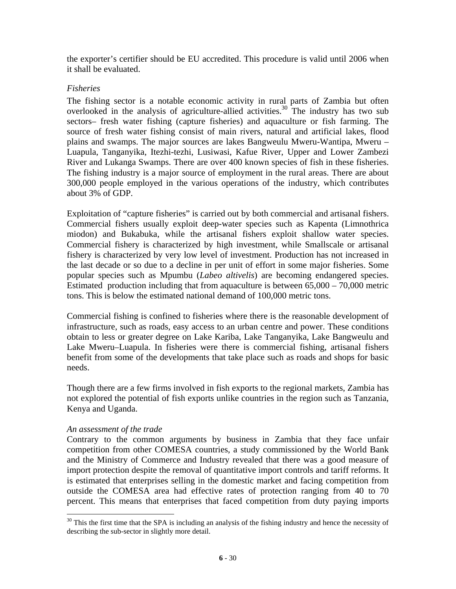the exporter's certifier should be EU accredited. This procedure is valid until 2006 when it shall be evaluated.

#### *Fisheries*

The fishing sector is a notable economic activity in rural parts of Zambia but often overlooked in the analysis of agriculture-allied activities.<sup>30</sup> The industry has two sub sectors– fresh water fishing (capture fisheries) and aquaculture or fish farming. The source of fresh water fishing consist of main rivers, natural and artificial lakes, flood plains and swamps. The major sources are lakes Bangweulu Mweru-Wantipa, Mweru – Luapula, Tanganyika, Itezhi-tezhi, Lusiwasi, Kafue River, Upper and Lower Zambezi River and Lukanga Swamps. There are over 400 known species of fish in these fisheries. The fishing industry is a major source of employment in the rural areas. There are about 300,000 people employed in the various operations of the industry, which contributes about 3% of GDP.

Exploitation of "capture fisheries" is carried out by both commercial and artisanal fishers. Commercial fishers usually exploit deep-water species such as Kapenta (Limnothrica miodon) and Bukabuka, while the artisanal fishers exploit shallow water species. Commercial fishery is characterized by high investment, while Smallscale or artisanal fishery is characterized by very low level of investment. Production has not increased in the last decade or so due to a decline in per unit of effort in some major fisheries. Some popular species such as Mpumbu (*Labeo altivelis*) are becoming endangered species. Estimated production including that from aquaculture is between 65,000 – 70,000 metric tons. This is below the estimated national demand of 100,000 metric tons.

Commercial fishing is confined to fisheries where there is the reasonable development of infrastructure, such as roads, easy access to an urban centre and power. These conditions obtain to less or greater degree on Lake Kariba, Lake Tanganyika, Lake Bangweulu and Lake Mweru–Luapula. In fisheries were there is commercial fishing, artisanal fishers benefit from some of the developments that take place such as roads and shops for basic needs.

Though there are a few firms involved in fish exports to the regional markets, Zambia has not explored the potential of fish exports unlike countries in the region such as Tanzania, Kenya and Uganda.

#### *An assessment of the trade*

 $\overline{a}$ 

Contrary to the common arguments by business in Zambia that they face unfair competition from other COMESA countries, a study commissioned by the World Bank and the Ministry of Commerce and Industry revealed that there was a good measure of import protection despite the removal of quantitative import controls and tariff reforms. It is estimated that enterprises selling in the domestic market and facing competition from outside the COMESA area had effective rates of protection ranging from 40 to 70 percent. This means that enterprises that faced competition from duty paying imports

 $30$  This the first time that the SPA is including an analysis of the fishing industry and hence the necessity of describing the sub-sector in slightly more detail.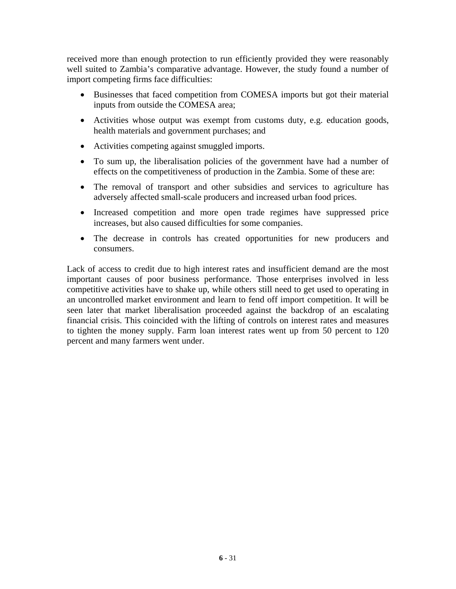received more than enough protection to run efficiently provided they were reasonably well suited to Zambia's comparative advantage. However, the study found a number of import competing firms face difficulties:

- Businesses that faced competition from COMESA imports but got their material inputs from outside the COMESA area;
- Activities whose output was exempt from customs duty, e.g. education goods, health materials and government purchases; and
- Activities competing against smuggled imports.
- To sum up, the liberalisation policies of the government have had a number of effects on the competitiveness of production in the Zambia. Some of these are:
- The removal of transport and other subsidies and services to agriculture has adversely affected small-scale producers and increased urban food prices.
- Increased competition and more open trade regimes have suppressed price increases, but also caused difficulties for some companies.
- The decrease in controls has created opportunities for new producers and consumers.

Lack of access to credit due to high interest rates and insufficient demand are the most important causes of poor business performance. Those enterprises involved in less competitive activities have to shake up, while others still need to get used to operating in an uncontrolled market environment and learn to fend off import competition. It will be seen later that market liberalisation proceeded against the backdrop of an escalating financial crisis. This coincided with the lifting of controls on interest rates and measures to tighten the money supply. Farm loan interest rates went up from 50 percent to 120 percent and many farmers went under.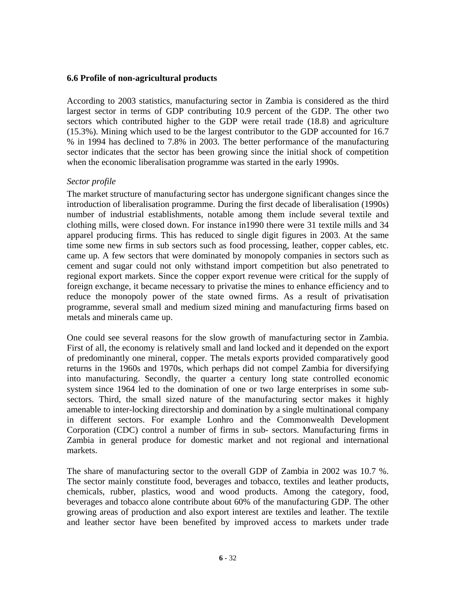#### **6.6 Profile of non-agricultural products**

According to 2003 statistics, manufacturing sector in Zambia is considered as the third largest sector in terms of GDP contributing 10.9 percent of the GDP. The other two sectors which contributed higher to the GDP were retail trade (18.8) and agriculture (15.3%). Mining which used to be the largest contributor to the GDP accounted for 16.7 % in 1994 has declined to 7.8% in 2003. The better performance of the manufacturing sector indicates that the sector has been growing since the initial shock of competition when the economic liberalisation programme was started in the early 1990s.

#### *Sector profile*

The market structure of manufacturing sector has undergone significant changes since the introduction of liberalisation programme. During the first decade of liberalisation (1990s) number of industrial establishments, notable among them include several textile and clothing mills, were closed down. For instance in1990 there were 31 textile mills and 34 apparel producing firms. This has reduced to single digit figures in 2003. At the same time some new firms in sub sectors such as food processing, leather, copper cables, etc. came up. A few sectors that were dominated by monopoly companies in sectors such as cement and sugar could not only withstand import competition but also penetrated to regional export markets. Since the copper export revenue were critical for the supply of foreign exchange, it became necessary to privatise the mines to enhance efficiency and to reduce the monopoly power of the state owned firms. As a result of privatisation programme, several small and medium sized mining and manufacturing firms based on metals and minerals came up.

One could see several reasons for the slow growth of manufacturing sector in Zambia. First of all, the economy is relatively small and land locked and it depended on the export of predominantly one mineral, copper. The metals exports provided comparatively good returns in the 1960s and 1970s, which perhaps did not compel Zambia for diversifying into manufacturing. Secondly, the quarter a century long state controlled economic system since 1964 led to the domination of one or two large enterprises in some subsectors. Third, the small sized nature of the manufacturing sector makes it highly amenable to inter-locking directorship and domination by a single multinational company in different sectors. For example Lonhro and the Commonwealth Development Corporation (CDC) control a number of firms in sub- sectors. Manufacturing firms in Zambia in general produce for domestic market and not regional and international markets.

The share of manufacturing sector to the overall GDP of Zambia in 2002 was 10.7 %. The sector mainly constitute food, beverages and tobacco, textiles and leather products, chemicals, rubber, plastics, wood and wood products. Among the category, food, beverages and tobacco alone contribute about 60% of the manufacturing GDP. The other growing areas of production and also export interest are textiles and leather. The textile and leather sector have been benefited by improved access to markets under trade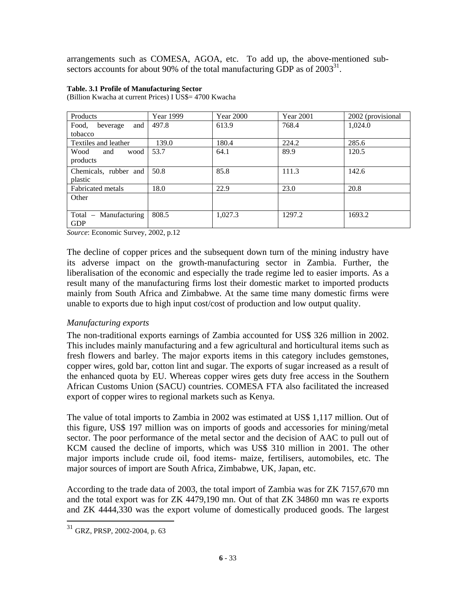arrangements such as COMESA, AGOA, etc. To add up, the above-mentioned subsectors accounts for about 90% of the total manufacturing GDP as of  $2003^{31}$ .

#### **Table. 3.1 Profile of Manufacturing Sector**

(Billion Kwacha at current Prices) I US\$= 4700 Kwacha

| <b>Products</b>            | Year 1999 | <b>Year 2000</b> | <b>Year 2001</b> | 2002 (provisional |
|----------------------------|-----------|------------------|------------------|-------------------|
| and<br>Food,<br>beverage   | 497.8     | 613.9            | 768.4            | 1.024.0           |
| tobacco                    |           |                  |                  |                   |
| Textiles and leather       | 139.0     | 180.4            | 224.2            | 285.6             |
| Wood<br>wood<br>and        | 53.7      | 64.1             | 89.9             | 120.5             |
| products                   |           |                  |                  |                   |
| Chemicals, rubber and      | 50.8      | 85.8             | 111.3            | 142.6             |
| plastic                    |           |                  |                  |                   |
| Fabricated metals          | 18.0      | 22.9             | 23.0             | 20.8              |
| Other                      |           |                  |                  |                   |
|                            |           |                  |                  |                   |
| Manufacturing<br>Total $-$ | 808.5     | 1,027.3          | 1297.2           | 1693.2            |
| <b>GDP</b>                 |           |                  |                  |                   |

*Source*: Economic Survey, 2002, p.12

The decline of copper prices and the subsequent down turn of the mining industry have its adverse impact on the growth-manufacturing sector in Zambia. Further, the liberalisation of the economic and especially the trade regime led to easier imports. As a result many of the manufacturing firms lost their domestic market to imported products mainly from South Africa and Zimbabwe. At the same time many domestic firms were unable to exports due to high input cost/cost of production and low output quality.

#### *Manufacturing exports*

The non-traditional exports earnings of Zambia accounted for US\$ 326 million in 2002. This includes mainly manufacturing and a few agricultural and horticultural items such as fresh flowers and barley. The major exports items in this category includes gemstones, copper wires, gold bar, cotton lint and sugar. The exports of sugar increased as a result of the enhanced quota by EU. Whereas copper wires gets duty free access in the Southern African Customs Union (SACU) countries. COMESA FTA also facilitated the increased export of copper wires to regional markets such as Kenya.

The value of total imports to Zambia in 2002 was estimated at US\$ 1,117 million. Out of this figure, US\$ 197 million was on imports of goods and accessories for mining/metal sector. The poor performance of the metal sector and the decision of AAC to pull out of KCM caused the decline of imports, which was US\$ 310 million in 2001. The other major imports include crude oil, food items- maize, fertilisers, automobiles, etc. The major sources of import are South Africa, Zimbabwe, UK, Japan, etc.

According to the trade data of 2003, the total import of Zambia was for ZK 7157,670 mn and the total export was for ZK 4479,190 mn. Out of that ZK 34860 mn was re exports and ZK 4444,330 was the export volume of domestically produced goods. The largest

 $31$  GRZ, PRSP, 2002-2004, p. 63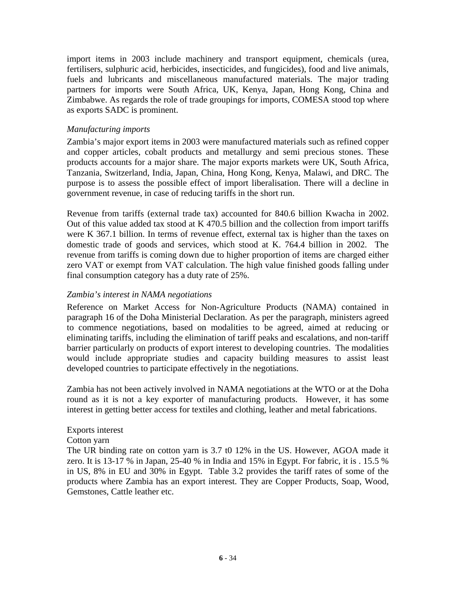import items in 2003 include machinery and transport equipment, chemicals (urea, fertilisers, sulphuric acid, herbicides, insecticides, and fungicides), food and live animals, fuels and lubricants and miscellaneous manufactured materials. The major trading partners for imports were South Africa, UK, Kenya, Japan, Hong Kong, China and Zimbabwe. As regards the role of trade groupings for imports, COMESA stood top where as exports SADC is prominent.

#### *Manufacturing imports*

Zambia's major export items in 2003 were manufactured materials such as refined copper and copper articles, cobalt products and metallurgy and semi precious stones. These products accounts for a major share. The major exports markets were UK, South Africa, Tanzania, Switzerland, India, Japan, China, Hong Kong, Kenya, Malawi, and DRC. The purpose is to assess the possible effect of import liberalisation. There will a decline in government revenue, in case of reducing tariffs in the short run.

Revenue from tariffs (external trade tax) accounted for 840.6 billion Kwacha in 2002. Out of this value added tax stood at K 470.5 billion and the collection from import tariffs were K 367.1 billion. In terms of revenue effect, external tax is higher than the taxes on domestic trade of goods and services, which stood at K. 764.4 billion in 2002. The revenue from tariffs is coming down due to higher proportion of items are charged either zero VAT or exempt from VAT calculation. The high value finished goods falling under final consumption category has a duty rate of 25%.

#### *Zambia's interest in NAMA negotiations*

Reference on Market Access for Non-Agriculture Products (NAMA) contained in paragraph 16 of the Doha Ministerial Declaration. As per the paragraph, ministers agreed to commence negotiations, based on modalities to be agreed, aimed at reducing or eliminating tariffs, including the elimination of tariff peaks and escalations, and non-tariff barrier particularly on products of export interest to developing countries. The modalities would include appropriate studies and capacity building measures to assist least developed countries to participate effectively in the negotiations.

Zambia has not been actively involved in NAMA negotiations at the WTO or at the Doha round as it is not a key exporter of manufacturing products. However, it has some interest in getting better access for textiles and clothing, leather and metal fabrications.

#### Exports interest

#### Cotton yarn

The UR binding rate on cotton yarn is 3.7 t0 12% in the US. However, AGOA made it zero. It is 13-17 % in Japan, 25-40 % in India and 15% in Egypt. For fabric, it is . 15.5 % in US, 8% in EU and 30% in Egypt. Table 3.2 provides the tariff rates of some of the products where Zambia has an export interest. They are Copper Products, Soap, Wood, Gemstones, Cattle leather etc.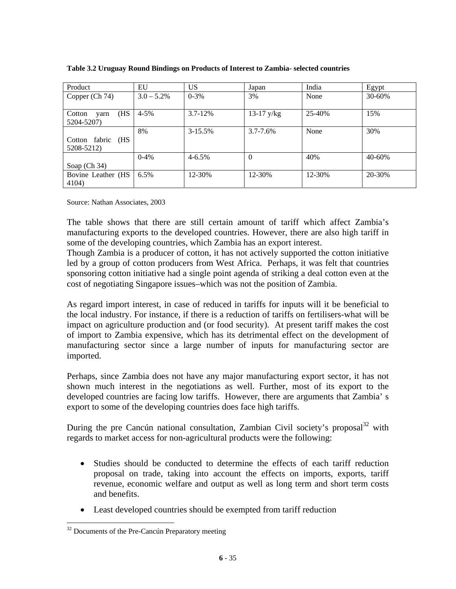| Product               | EU            | <b>US</b>    | Japan         | India  | Egypt  |
|-----------------------|---------------|--------------|---------------|--------|--------|
| Copper (Ch 74)        | $3.0 - 5.2\%$ | $0 - 3\%$    | 3%            | None   | 30-60% |
|                       |               |              |               |        |        |
| (HS<br>Cotton<br>varn | $4 - 5\%$     | $3.7 - 12%$  | $13-17$ y/kg  | 25-40% | 15%    |
| 5204-5207)            |               |              |               |        |        |
|                       | 8%            | $3 - 15.5\%$ | $3.7 - 7.6\%$ | None   | 30%    |
| Cotton fabric (HS     |               |              |               |        |        |
| 5208-5212)            |               |              |               |        |        |
|                       | $0-4%$        | $4 - 6.5%$   | $\Omega$      | 40%    | 40-60% |
| Soap $(Ch 34)$        |               |              |               |        |        |
| Bovine Leather (HS    | 6.5%          | 12-30%       | 12-30%        | 12-30% | 20-30% |
| 4104)                 |               |              |               |        |        |

**Table 3.2 Uruguay Round Bindings on Products of Interest to Zambia- selected countries** 

Source: Nathan Associates, 2003

The table shows that there are still certain amount of tariff which affect Zambia's manufacturing exports to the developed countries. However, there are also high tariff in some of the developing countries, which Zambia has an export interest.

Though Zambia is a producer of cotton, it has not actively supported the cotton initiative led by a group of cotton producers from West Africa. Perhaps, it was felt that countries sponsoring cotton initiative had a single point agenda of striking a deal cotton even at the cost of negotiating Singapore issues–which was not the position of Zambia.

As regard import interest, in case of reduced in tariffs for inputs will it be beneficial to the local industry. For instance, if there is a reduction of tariffs on fertilisers-what will be impact on agriculture production and (or food security). At present tariff makes the cost of import to Zambia expensive, which has its detrimental effect on the development of manufacturing sector since a large number of inputs for manufacturing sector are imported.

Perhaps, since Zambia does not have any major manufacturing export sector, it has not shown much interest in the negotiations as well. Further, most of its export to the developed countries are facing low tariffs. However, there are arguments that Zambia' s export to some of the developing countries does face high tariffs.

During the pre Cancún national consultation, Zambian Civil society's proposal<sup>32</sup> with regards to market access for non-agricultural products were the following:

- Studies should be conducted to determine the effects of each tariff reduction proposal on trade, taking into account the effects on imports, exports, tariff revenue, economic welfare and output as well as long term and short term costs and benefits.
- Least developed countries should be exempted from tariff reduction

 $\overline{a}$  $32$  Documents of the Pre-Cancún Preparatory meeting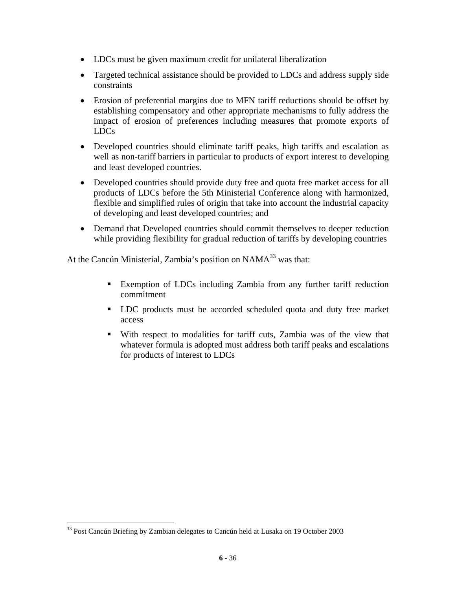- LDCs must be given maximum credit for unilateral liberalization
- Targeted technical assistance should be provided to LDCs and address supply side constraints
- Erosion of preferential margins due to MFN tariff reductions should be offset by establishing compensatory and other appropriate mechanisms to fully address the impact of erosion of preferences including measures that promote exports of LDCs
- Developed countries should eliminate tariff peaks, high tariffs and escalation as well as non-tariff barriers in particular to products of export interest to developing and least developed countries.
- Developed countries should provide duty free and quota free market access for all products of LDCs before the 5th Ministerial Conference along with harmonized, flexible and simplified rules of origin that take into account the industrial capacity of developing and least developed countries; and
- Demand that Developed countries should commit themselves to deeper reduction while providing flexibility for gradual reduction of tariffs by developing countries

At the Cancún Ministerial, Zambia's position on NAMA<sup>33</sup> was that:

- Exemption of LDCs including Zambia from any further tariff reduction commitment
- LDC products must be accorded scheduled quota and duty free market access
- With respect to modalities for tariff cuts, Zambia was of the view that whatever formula is adopted must address both tariff peaks and escalations for products of interest to LDCs

<sup>&</sup>lt;sup>33</sup> Post Cancún Briefing by Zambian delegates to Cancún held at Lusaka on 19 October 2003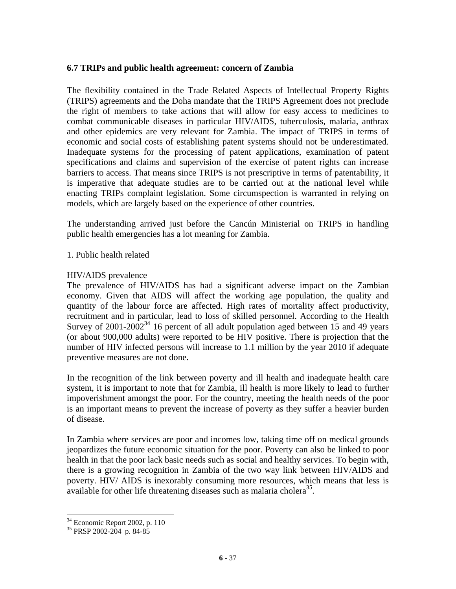#### **6.7 TRIPs and public health agreement: concern of Zambia**

The flexibility contained in the Trade Related Aspects of Intellectual Property Rights (TRIPS) agreements and the Doha mandate that the TRIPS Agreement does not preclude the right of members to take actions that will allow for easy access to medicines to combat communicable diseases in particular HIV/AIDS, tuberculosis, malaria, anthrax and other epidemics are very relevant for Zambia. The impact of TRIPS in terms of economic and social costs of establishing patent systems should not be underestimated. Inadequate systems for the processing of patent applications, examination of patent specifications and claims and supervision of the exercise of patent rights can increase barriers to access. That means since TRIPS is not prescriptive in terms of patentability, it is imperative that adequate studies are to be carried out at the national level while enacting TRIPs complaint legislation. Some circumspection is warranted in relying on models, which are largely based on the experience of other countries.

The understanding arrived just before the Cancún Ministerial on TRIPS in handling public health emergencies has a lot meaning for Zambia.

1. Public health related

## HIV/AIDS prevalence

The prevalence of HIV/AIDS has had a significant adverse impact on the Zambian economy. Given that AIDS will affect the working age population, the quality and quantity of the labour force are affected. High rates of mortality affect productivity, recruitment and in particular, lead to loss of skilled personnel. According to the Health Survey of  $2001-2002^{34}$  16 percent of all adult population aged between 15 and 49 years (or about 900,000 adults) were reported to be HIV positive. There is projection that the number of HIV infected persons will increase to 1.1 million by the year 2010 if adequate preventive measures are not done.

In the recognition of the link between poverty and ill health and inadequate health care system, it is important to note that for Zambia, ill health is more likely to lead to further impoverishment amongst the poor. For the country, meeting the health needs of the poor is an important means to prevent the increase of poverty as they suffer a heavier burden of disease.

In Zambia where services are poor and incomes low, taking time off on medical grounds jeopardizes the future economic situation for the poor. Poverty can also be linked to poor health in that the poor lack basic needs such as social and healthy services. To begin with, there is a growing recognition in Zambia of the two way link between HIV/AIDS and poverty. HIV/ AIDS is inexorably consuming more resources, which means that less is available for other life threatening diseases such as malaria cholera<sup>35</sup>.

 $34$  Economic Report 2002, p. 110

<sup>35</sup> PRSP 2002-204 p. 84-85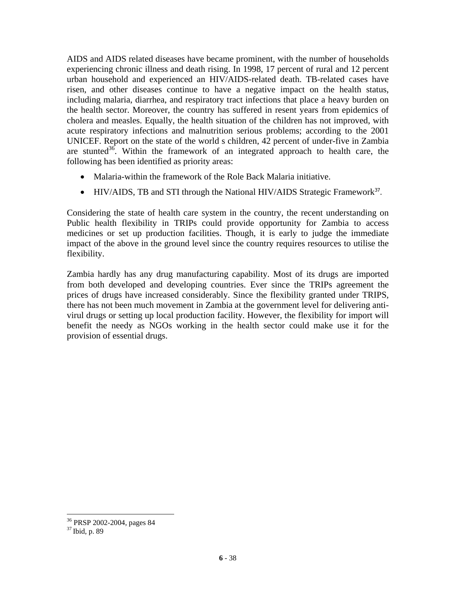AIDS and AIDS related diseases have became prominent, with the number of households experiencing chronic illness and death rising. In 1998, 17 percent of rural and 12 percent urban household and experienced an HIV/AIDS-related death. TB-related cases have risen, and other diseases continue to have a negative impact on the health status, including malaria, diarrhea, and respiratory tract infections that place a heavy burden on the health sector. Moreover, the country has suffered in resent years from epidemics of cholera and measles. Equally, the health situation of the children has not improved, with acute respiratory infections and malnutrition serious problems; according to the 2001 UNICEF. Report on the state of the world s children, 42 percent of under-five in Zambia are stunted<sup>36</sup>. Within the framework of an integrated approach to health care, the following has been identified as priority areas:

- Malaria-within the framework of the Role Back Malaria initiative.
- HIV/AIDS, TB and STI through the National HIV/AIDS Strategic Framework<sup>37</sup>.

Considering the state of health care system in the country, the recent understanding on Public health flexibility in TRIPs could provide opportunity for Zambia to access medicines or set up production facilities. Though, it is early to judge the immediate impact of the above in the ground level since the country requires resources to utilise the flexibility.

Zambia hardly has any drug manufacturing capability. Most of its drugs are imported from both developed and developing countries. Ever since the TRIPs agreement the prices of drugs have increased considerably. Since the flexibility granted under TRIPS, there has not been much movement in Zambia at the government level for delivering antivirul drugs or setting up local production facility. However, the flexibility for import will benefit the needy as NGOs working in the health sector could make use it for the provision of essential drugs.

<sup>36</sup> PRSP 2002-2004, pages 84

<sup>37</sup> Ibid, p. 89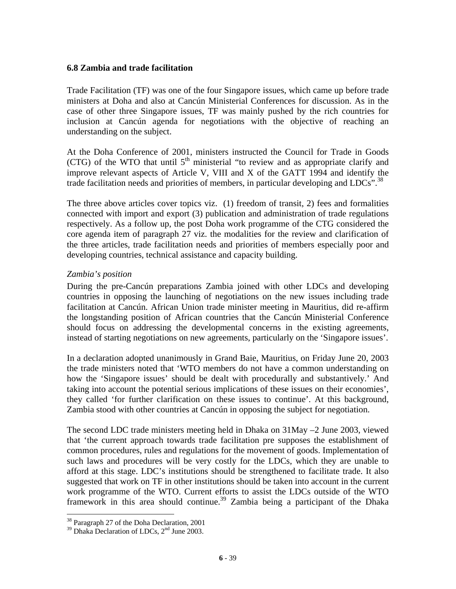#### **6.8 Zambia and trade facilitation**

Trade Facilitation (TF) was one of the four Singapore issues, which came up before trade ministers at Doha and also at Cancún Ministerial Conferences for discussion. As in the case of other three Singapore issues, TF was mainly pushed by the rich countries for inclusion at Cancún agenda for negotiations with the objective of reaching an understanding on the subject.

At the Doha Conference of 2001, ministers instructed the Council for Trade in Goods (CTG) of the WTO that until  $5<sup>th</sup>$  ministerial "to review and as appropriate clarify and improve relevant aspects of Article V, VIII and X of the GATT 1994 and identify the trade facilitation needs and priorities of members, in particular developing and LDCs".<sup>38</sup>

The three above articles cover topics viz. (1) freedom of transit, 2) fees and formalities connected with import and export (3) publication and administration of trade regulations respectively. As a follow up, the post Doha work programme of the CTG considered the core agenda item of paragraph 27 viz. the modalities for the review and clarification of the three articles, trade facilitation needs and priorities of members especially poor and developing countries, technical assistance and capacity building.

# *Zambia's position*

During the pre-Cancún preparations Zambia joined with other LDCs and developing countries in opposing the launching of negotiations on the new issues including trade facilitation at Cancún. African Union trade minister meeting in Mauritius, did re-affirm the longstanding position of African countries that the Cancún Ministerial Conference should focus on addressing the developmental concerns in the existing agreements, instead of starting negotiations on new agreements, particularly on the 'Singapore issues'.

In a declaration adopted unanimously in Grand Baie, Mauritius, on Friday June 20, 2003 the trade ministers noted that 'WTO members do not have a common understanding on how the 'Singapore issues' should be dealt with procedurally and substantively.' And taking into account the potential serious implications of these issues on their economies', they called 'for further clarification on these issues to continue'. At this background, Zambia stood with other countries at Cancún in opposing the subject for negotiation.

The second LDC trade ministers meeting held in Dhaka on 31May –2 June 2003, viewed that 'the current approach towards trade facilitation pre supposes the establishment of common procedures, rules and regulations for the movement of goods. Implementation of such laws and procedures will be very costly for the LDCs, which they are unable to afford at this stage. LDC's institutions should be strengthened to facilitate trade. It also suggested that work on TF in other institutions should be taken into account in the current work programme of the WTO. Current efforts to assist the LDCs outside of the WTO framework in this area should continue.<sup>39</sup> Zambia being a participant of the Dhaka

<sup>38</sup> Paragraph 27 of the Doha Declaration, 2001

<sup>&</sup>lt;sup>39</sup> Dhaka Declaration of LDCs, 2<sup>nd</sup> June 2003.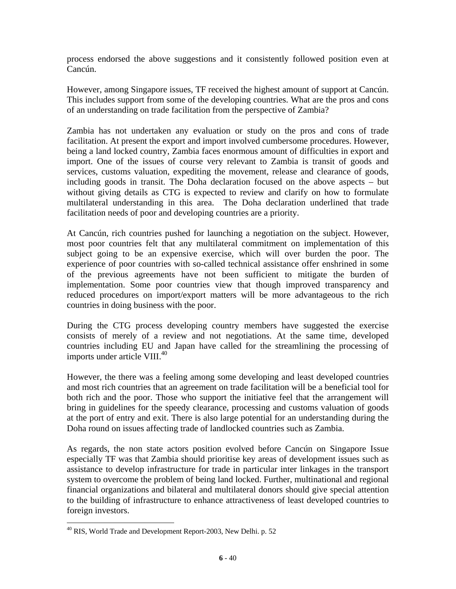process endorsed the above suggestions and it consistently followed position even at Cancún.

However, among Singapore issues, TF received the highest amount of support at Cancún. This includes support from some of the developing countries. What are the pros and cons of an understanding on trade facilitation from the perspective of Zambia?

Zambia has not undertaken any evaluation or study on the pros and cons of trade facilitation. At present the export and import involved cumbersome procedures. However, being a land locked country, Zambia faces enormous amount of difficulties in export and import. One of the issues of course very relevant to Zambia is transit of goods and services, customs valuation, expediting the movement, release and clearance of goods, including goods in transit. The Doha declaration focused on the above aspects – but without giving details as CTG is expected to review and clarify on how to formulate multilateral understanding in this area. The Doha declaration underlined that trade facilitation needs of poor and developing countries are a priority.

At Cancún, rich countries pushed for launching a negotiation on the subject. However, most poor countries felt that any multilateral commitment on implementation of this subject going to be an expensive exercise, which will over burden the poor. The experience of poor countries with so-called technical assistance offer enshrined in some of the previous agreements have not been sufficient to mitigate the burden of implementation. Some poor countries view that though improved transparency and reduced procedures on import/export matters will be more advantageous to the rich countries in doing business with the poor.

During the CTG process developing country members have suggested the exercise consists of merely of a review and not negotiations. At the same time, developed countries including EU and Japan have called for the streamlining the processing of imports under article VIII.<sup>40</sup>

However, the there was a feeling among some developing and least developed countries and most rich countries that an agreement on trade facilitation will be a beneficial tool for both rich and the poor. Those who support the initiative feel that the arrangement will bring in guidelines for the speedy clearance, processing and customs valuation of goods at the port of entry and exit. There is also large potential for an understanding during the Doha round on issues affecting trade of landlocked countries such as Zambia.

As regards, the non state actors position evolved before Cancún on Singapore Issue especially TF was that Zambia should prioritise key areas of development issues such as assistance to develop infrastructure for trade in particular inter linkages in the transport system to overcome the problem of being land locked. Further, multinational and regional financial organizations and bilateral and multilateral donors should give special attention to the building of infrastructure to enhance attractiveness of least developed countries to foreign investors.

<sup>40</sup> RIS, World Trade and Development Report-2003, New Delhi. p. 52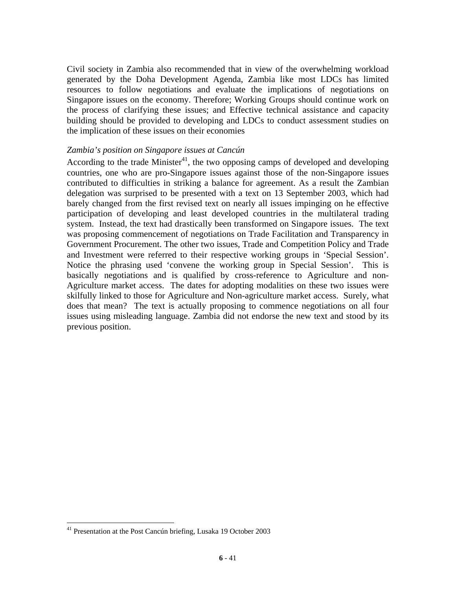Civil society in Zambia also recommended that in view of the overwhelming workload generated by the Doha Development Agenda, Zambia like most LDCs has limited resources to follow negotiations and evaluate the implications of negotiations on Singapore issues on the economy. Therefore; Working Groups should continue work on the process of clarifying these issues; and Effective technical assistance and capacity building should be provided to developing and LDCs to conduct assessment studies on the implication of these issues on their economies

#### *Zambia's position on Singapore issues at Cancún*

According to the trade Minister<sup>41</sup>, the two opposing camps of developed and developing countries, one who are pro-Singapore issues against those of the non-Singapore issues contributed to difficulties in striking a balance for agreement. As a result the Zambian delegation was surprised to be presented with a text on 13 September 2003, which had barely changed from the first revised text on nearly all issues impinging on he effective participation of developing and least developed countries in the multilateral trading system. Instead, the text had drastically been transformed on Singapore issues. The text was proposing commencement of negotiations on Trade Facilitation and Transparency in Government Procurement. The other two issues, Trade and Competition Policy and Trade and Investment were referred to their respective working groups in 'Special Session'. Notice the phrasing used 'convene the working group in Special Session'. This is basically negotiations and is qualified by cross-reference to Agriculture and non-Agriculture market access. The dates for adopting modalities on these two issues were skilfully linked to those for Agriculture and Non-agriculture market access. Surely, what does that mean? The text is actually proposing to commence negotiations on all four issues using misleading language. Zambia did not endorse the new text and stood by its previous position.

<sup>41</sup> Presentation at the Post Cancún briefing, Lusaka 19 October 2003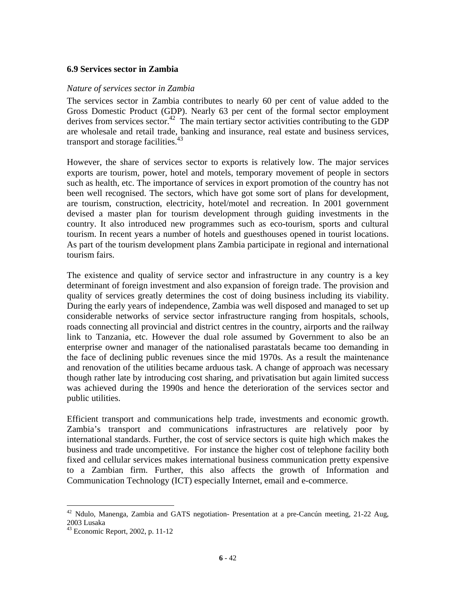#### **6.9 Services sector in Zambia**

#### *Nature of services sector in Zambia*

The services sector in Zambia contributes to nearly 60 per cent of value added to the Gross Domestic Product (GDP). Nearly 63 per cent of the formal sector employment derives from services sector.<sup>42</sup> The main tertiary sector activities contributing to the GDP are wholesale and retail trade, banking and insurance, real estate and business services, transport and storage facilities.<sup>43</sup>

However, the share of services sector to exports is relatively low. The major services exports are tourism, power, hotel and motels, temporary movement of people in sectors such as health, etc. The importance of services in export promotion of the country has not been well recognised. The sectors, which have got some sort of plans for development, are tourism, construction, electricity, hotel/motel and recreation. In 2001 government devised a master plan for tourism development through guiding investments in the country. It also introduced new programmes such as eco-tourism, sports and cultural tourism. In recent years a number of hotels and guesthouses opened in tourist locations. As part of the tourism development plans Zambia participate in regional and international tourism fairs.

The existence and quality of service sector and infrastructure in any country is a key determinant of foreign investment and also expansion of foreign trade. The provision and quality of services greatly determines the cost of doing business including its viability. During the early years of independence, Zambia was well disposed and managed to set up considerable networks of service sector infrastructure ranging from hospitals, schools, roads connecting all provincial and district centres in the country, airports and the railway link to Tanzania, etc. However the dual role assumed by Government to also be an enterprise owner and manager of the nationalised parastatals became too demanding in the face of declining public revenues since the mid 1970s. As a result the maintenance and renovation of the utilities became arduous task. A change of approach was necessary though rather late by introducing cost sharing, and privatisation but again limited success was achieved during the 1990s and hence the deterioration of the services sector and public utilities.

Efficient transport and communications help trade, investments and economic growth. Zambia's transport and communications infrastructures are relatively poor by international standards. Further, the cost of service sectors is quite high which makes the business and trade uncompetitive. For instance the higher cost of telephone facility both fixed and cellular services makes international business communication pretty expensive to a Zambian firm. Further, this also affects the growth of Information and Communication Technology (ICT) especially Internet, email and e-commerce.

 $42$  Ndulo, Manenga, Zambia and GATS negotiation- Presentation at a pre-Cancún meeting, 21-22 Aug, 2003 Lusaka

<sup>43</sup> Economic Report, 2002, p. 11-12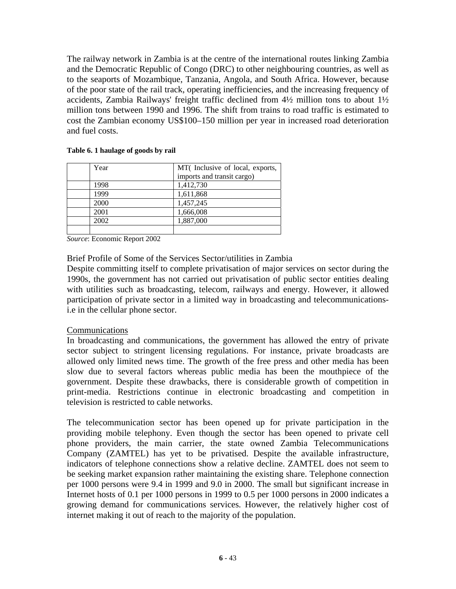The railway network in Zambia is at the centre of the international routes linking Zambia and the Democratic Republic of Congo (DRC) to other neighbouring countries, as well as to the seaports of Mozambique, Tanzania, Angola, and South Africa. However, because of the poor state of the rail track, operating inefficiencies, and the increasing frequency of accidents, Zambia Railways' freight traffic declined from 4½ million tons to about 1½ million tons between 1990 and 1996. The shift from trains to road traffic is estimated to cost the Zambian economy US\$100–150 million per year in increased road deterioration and fuel costs.

| Year | MT(Inclusive of local, exports, |
|------|---------------------------------|
|      | imports and transit cargo)      |
| 1998 | 1,412,730                       |
| 1999 | 1,611,868                       |
| 2000 | 1,457,245                       |
| 2001 | 1,666,008                       |
| 2002 | 1,887,000                       |
|      |                                 |

#### **Table 6. 1 haulage of goods by rail**

*Source*: Economic Report 2002

Brief Profile of Some of the Services Sector/utilities in Zambia

Despite committing itself to complete privatisation of major services on sector during the 1990s, the government has not carried out privatisation of public sector entities dealing with utilities such as broadcasting, telecom, railways and energy. However, it allowed participation of private sector in a limited way in broadcasting and telecommunicationsi.e in the cellular phone sector.

#### Communications

In broadcasting and communications, the government has allowed the entry of private sector subject to stringent licensing regulations. For instance, private broadcasts are allowed only limited news time. The growth of the free press and other media has been slow due to several factors whereas public media has been the mouthpiece of the government. Despite these drawbacks, there is considerable growth of competition in print-media. Restrictions continue in electronic broadcasting and competition in television is restricted to cable networks.

The telecommunication sector has been opened up for private participation in the providing mobile telephony. Even though the sector has been opened to private cell phone providers, the main carrier, the state owned Zambia Telecommunications Company (ZAMTEL) has yet to be privatised. Despite the available infrastructure, indicators of telephone connections show a relative decline. ZAMTEL does not seem to be seeking market expansion rather maintaining the existing share. Telephone connection per 1000 persons were 9.4 in 1999 and 9.0 in 2000. The small but significant increase in Internet hosts of 0.1 per 1000 persons in 1999 to 0.5 per 1000 persons in 2000 indicates a growing demand for communications services. However, the relatively higher cost of internet making it out of reach to the majority of the population.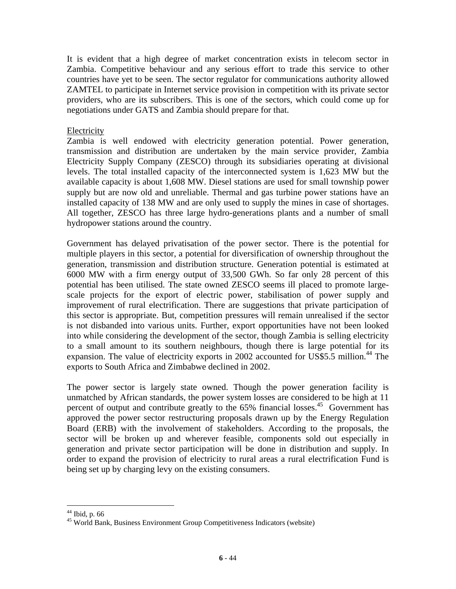It is evident that a high degree of market concentration exists in telecom sector in Zambia. Competitive behaviour and any serious effort to trade this service to other countries have yet to be seen. The sector regulator for communications authority allowed ZAMTEL to participate in Internet service provision in competition with its private sector providers, who are its subscribers. This is one of the sectors, which could come up for negotiations under GATS and Zambia should prepare for that.

#### **Electricity**

Zambia is well endowed with electricity generation potential. Power generation, transmission and distribution are undertaken by the main service provider, Zambia Electricity Supply Company (ZESCO) through its subsidiaries operating at divisional levels. The total installed capacity of the interconnected system is 1,623 MW but the available capacity is about 1,608 MW. Diesel stations are used for small township power supply but are now old and unreliable. Thermal and gas turbine power stations have an installed capacity of 138 MW and are only used to supply the mines in case of shortages. All together, ZESCO has three large hydro-generations plants and a number of small hydropower stations around the country.

Government has delayed privatisation of the power sector. There is the potential for multiple players in this sector, a potential for diversification of ownership throughout the generation, transmission and distribution structure. Generation potential is estimated at 6000 MW with a firm energy output of 33,500 GWh. So far only 28 percent of this potential has been utilised. The state owned ZESCO seems ill placed to promote largescale projects for the export of electric power, stabilisation of power supply and improvement of rural electrification. There are suggestions that private participation of this sector is appropriate. But, competition pressures will remain unrealised if the sector is not disbanded into various units. Further, export opportunities have not been looked into while considering the development of the sector, though Zambia is selling electricity to a small amount to its southern neighbours, though there is large potential for its expansion. The value of electricity exports in 2002 accounted for US\$5.5 million.<sup>44</sup> The exports to South Africa and Zimbabwe declined in 2002.

The power sector is largely state owned. Though the power generation facility is unmatched by African standards, the power system losses are considered to be high at 11 percent of output and contribute greatly to the  $65\%$  financial losses.<sup>45</sup> Government has approved the power sector restructuring proposals drawn up by the Energy Regulation Board (ERB) with the involvement of stakeholders. According to the proposals, the sector will be broken up and wherever feasible, components sold out especially in generation and private sector participation will be done in distribution and supply. In order to expand the provision of electricity to rural areas a rural electrification Fund is being set up by charging levy on the existing consumers.

<sup>44</sup> Ibid, p. 66

<sup>45</sup> World Bank, Business Environment Group Competitiveness Indicators (website)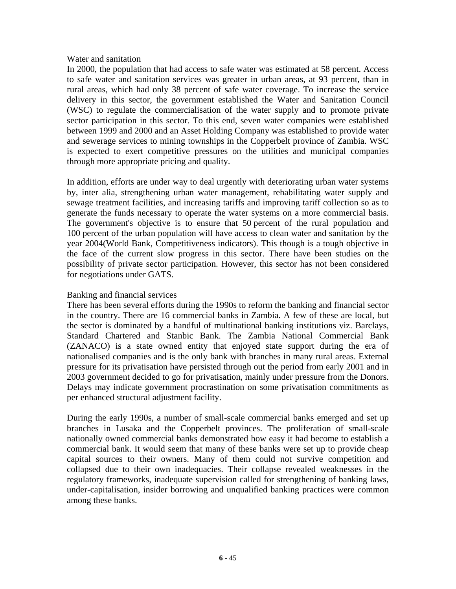#### Water and sanitation

In 2000, the population that had access to safe water was estimated at 58 percent. Access to safe water and sanitation services was greater in urban areas, at 93 percent, than in rural areas, which had only 38 percent of safe water coverage. To increase the service delivery in this sector, the government established the Water and Sanitation Council (WSC) to regulate the commercialisation of the water supply and to promote private sector participation in this sector. To this end, seven water companies were established between 1999 and 2000 and an Asset Holding Company was established to provide water and sewerage services to mining townships in the Copperbelt province of Zambia. WSC is expected to exert competitive pressures on the utilities and municipal companies through more appropriate pricing and quality.

In addition, efforts are under way to deal urgently with deteriorating urban water systems by, inter alia, strengthening urban water management, rehabilitating water supply and sewage treatment facilities, and increasing tariffs and improving tariff collection so as to generate the funds necessary to operate the water systems on a more commercial basis. The government's objective is to ensure that 50 percent of the rural population and 100 percent of the urban population will have access to clean water and sanitation by the year 2004(World Bank, Competitiveness indicators). This though is a tough objective in the face of the current slow progress in this sector. There have been studies on the possibility of private sector participation. However, this sector has not been considered for negotiations under GATS.

## Banking and financial services

There has been several efforts during the 1990s to reform the banking and financial sector in the country. There are 16 commercial banks in Zambia. A few of these are local, but the sector is dominated by a handful of multinational banking institutions viz. Barclays, Standard Chartered and Stanbic Bank. The Zambia National Commercial Bank (ZANACO) is a state owned entity that enjoyed state support during the era of nationalised companies and is the only bank with branches in many rural areas. External pressure for its privatisation have persisted through out the period from early 2001 and in 2003 government decided to go for privatisation, mainly under pressure from the Donors. Delays may indicate government procrastination on some privatisation commitments as per enhanced structural adjustment facility.

During the early 1990s, a number of small-scale commercial banks emerged and set up branches in Lusaka and the Copperbelt provinces. The proliferation of small-scale nationally owned commercial banks demonstrated how easy it had become to establish a commercial bank. It would seem that many of these banks were set up to provide cheap capital sources to their owners. Many of them could not survive competition and collapsed due to their own inadequacies. Their collapse revealed weaknesses in the regulatory frameworks, inadequate supervision called for strengthening of banking laws, under-capitalisation, insider borrowing and unqualified banking practices were common among these banks.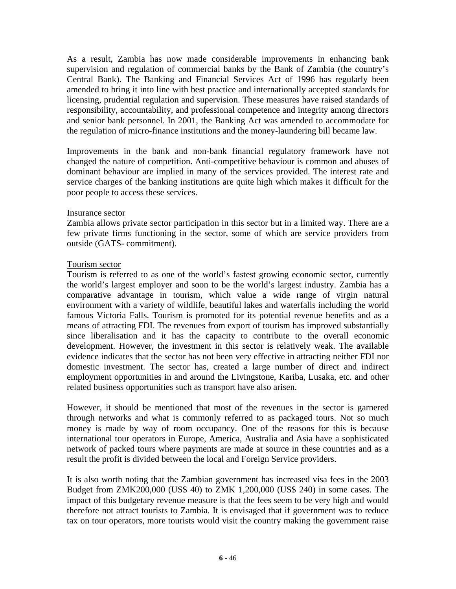As a result, Zambia has now made considerable improvements in enhancing bank supervision and regulation of commercial banks by the Bank of Zambia (the country's Central Bank). The Banking and Financial Services Act of 1996 has regularly been amended to bring it into line with best practice and internationally accepted standards for licensing, prudential regulation and supervision. These measures have raised standards of responsibility, accountability, and professional competence and integrity among directors and senior bank personnel. In 2001, the Banking Act was amended to accommodate for the regulation of micro-finance institutions and the money-laundering bill became law.

Improvements in the bank and non-bank financial regulatory framework have not changed the nature of competition. Anti-competitive behaviour is common and abuses of dominant behaviour are implied in many of the services provided. The interest rate and service charges of the banking institutions are quite high which makes it difficult for the poor people to access these services.

#### Insurance sector

Zambia allows private sector participation in this sector but in a limited way. There are a few private firms functioning in the sector, some of which are service providers from outside (GATS- commitment).

## Tourism sector

Tourism is referred to as one of the world's fastest growing economic sector, currently the world's largest employer and soon to be the world's largest industry. Zambia has a comparative advantage in tourism, which value a wide range of virgin natural environment with a variety of wildlife, beautiful lakes and waterfalls including the world famous Victoria Falls. Tourism is promoted for its potential revenue benefits and as a means of attracting FDI. The revenues from export of tourism has improved substantially since liberalisation and it has the capacity to contribute to the overall economic development. However, the investment in this sector is relatively weak. The available evidence indicates that the sector has not been very effective in attracting neither FDI nor domestic investment. The sector has, created a large number of direct and indirect employment opportunities in and around the Livingstone, Kariba, Lusaka, etc. and other related business opportunities such as transport have also arisen.

However, it should be mentioned that most of the revenues in the sector is garnered through networks and what is commonly referred to as packaged tours. Not so much money is made by way of room occupancy. One of the reasons for this is because international tour operators in Europe, America, Australia and Asia have a sophisticated network of packed tours where payments are made at source in these countries and as a result the profit is divided between the local and Foreign Service providers.

It is also worth noting that the Zambian government has increased visa fees in the 2003 Budget from ZMK200,000 (US\$ 40) to ZMK 1,200,000 (US\$ 240) in some cases. The impact of this budgetary revenue measure is that the fees seem to be very high and would therefore not attract tourists to Zambia. It is envisaged that if government was to reduce tax on tour operators, more tourists would visit the country making the government raise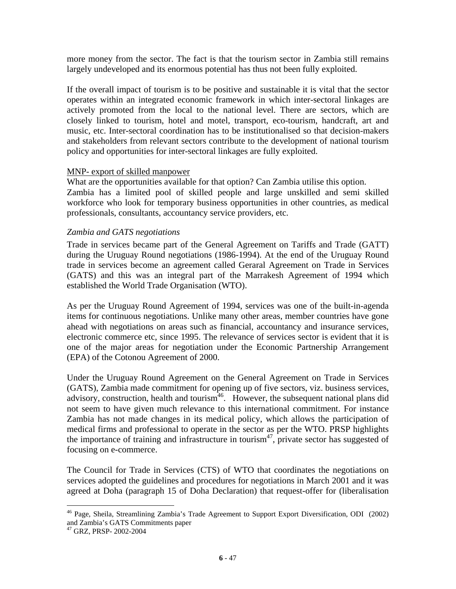more money from the sector. The fact is that the tourism sector in Zambia still remains largely undeveloped and its enormous potential has thus not been fully exploited.

If the overall impact of tourism is to be positive and sustainable it is vital that the sector operates within an integrated economic framework in which inter-sectoral linkages are actively promoted from the local to the national level. There are sectors, which are closely linked to tourism, hotel and motel, transport, eco-tourism, handcraft, art and music, etc. Inter-sectoral coordination has to be institutionalised so that decision-makers and stakeholders from relevant sectors contribute to the development of national tourism policy and opportunities for inter-sectoral linkages are fully exploited.

## MNP- export of skilled manpower

What are the opportunities available for that option? Can Zambia utilise this option. Zambia has a limited pool of skilled people and large unskilled and semi skilled workforce who look for temporary business opportunities in other countries, as medical professionals, consultants, accountancy service providers, etc.

#### *Zambia and GATS negotiations*

Trade in services became part of the General Agreement on Tariffs and Trade (GATT) during the Uruguay Round negotiations (1986-1994). At the end of the Uruguay Round trade in services become an agreement called Geraral Agreement on Trade in Services (GATS) and this was an integral part of the Marrakesh Agreement of 1994 which established the World Trade Organisation (WTO).

As per the Uruguay Round Agreement of 1994, services was one of the built-in-agenda items for continuous negotiations. Unlike many other areas, member countries have gone ahead with negotiations on areas such as financial, accountancy and insurance services, electronic commerce etc, since 1995. The relevance of services sector is evident that it is one of the major areas for negotiation under the Economic Partnership Arrangement (EPA) of the Cotonou Agreement of 2000.

Under the Uruguay Round Agreement on the General Agreement on Trade in Services (GATS), Zambia made commitment for opening up of five sectors, viz. business services, advisory, construction, health and tourism<sup> $46$ </sup>. However, the subsequent national plans did not seem to have given much relevance to this international commitment. For instance Zambia has not made changes in its medical policy, which allows the participation of medical firms and professional to operate in the sector as per the WTO. PRSP highlights the importance of training and infrastructure in tourism<sup>47</sup>, private sector has suggested of focusing on e-commerce.

The Council for Trade in Services (CTS) of WTO that coordinates the negotiations on services adopted the guidelines and procedures for negotiations in March 2001 and it was agreed at Doha (paragraph 15 of Doha Declaration) that request-offer for (liberalisation

<sup>46</sup> Page, Sheila, Streamlining Zambia's Trade Agreement to Support Export Diversification, ODI (2002) and Zambia's GATS Commitments paper

<sup>47</sup> GRZ, PRSP- 2002-2004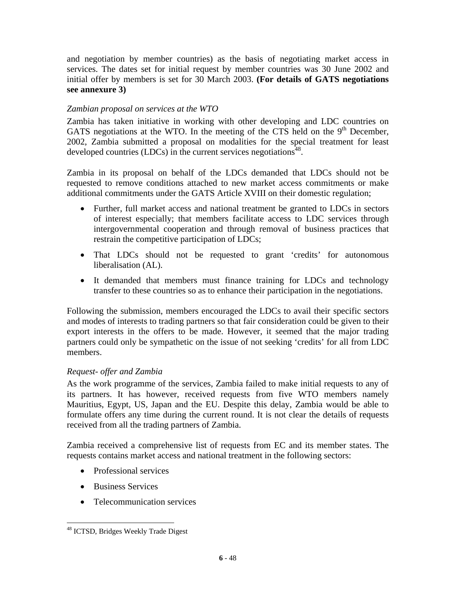and negotiation by member countries) as the basis of negotiating market access in services. The dates set for initial request by member countries was 30 June 2002 and initial offer by members is set for 30 March 2003. **(For details of GATS negotiations see annexure 3)** 

# *Zambian proposal on services at the WTO*

Zambia has taken initiative in working with other developing and LDC countries on GATS negotiations at the WTO. In the meeting of the CTS held on the  $9<sup>th</sup>$  December, 2002, Zambia submitted a proposal on modalities for the special treatment for least developed countries (LDCs) in the current services negotiations<sup>48</sup>.

Zambia in its proposal on behalf of the LDCs demanded that LDCs should not be requested to remove conditions attached to new market access commitments or make additional commitments under the GATS Article XVIII on their domestic regulation;

- Further, full market access and national treatment be granted to LDCs in sectors of interest especially; that members facilitate access to LDC services through intergovernmental cooperation and through removal of business practices that restrain the competitive participation of LDCs;
- That LDCs should not be requested to grant 'credits' for autonomous liberalisation (AL).
- It demanded that members must finance training for LDCs and technology transfer to these countries so as to enhance their participation in the negotiations.

Following the submission, members encouraged the LDCs to avail their specific sectors and modes of interests to trading partners so that fair consideration could be given to their export interests in the offers to be made. However, it seemed that the major trading partners could only be sympathetic on the issue of not seeking 'credits' for all from LDC members.

# *Request- offer and Zambia*

As the work programme of the services, Zambia failed to make initial requests to any of its partners. It has however, received requests from five WTO members namely Mauritius, Egypt, US, Japan and the EU. Despite this delay, Zambia would be able to formulate offers any time during the current round. It is not clear the details of requests received from all the trading partners of Zambia.

Zambia received a comprehensive list of requests from EC and its member states. The requests contains market access and national treatment in the following sectors:

- Professional services
- Business Services

 $\overline{a}$ 

• Telecommunication services

<sup>48</sup> ICTSD, Bridges Weekly Trade Digest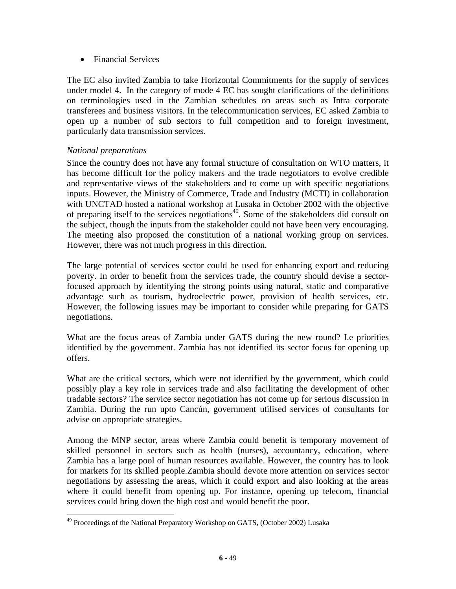• Financial Services

The EC also invited Zambia to take Horizontal Commitments for the supply of services under model 4. In the category of mode 4 EC has sought clarifications of the definitions on terminologies used in the Zambian schedules on areas such as Intra corporate transferees and business visitors. In the telecommunication services, EC asked Zambia to open up a number of sub sectors to full competition and to foreign investment, particularly data transmission services.

# *National preparations*

Since the country does not have any formal structure of consultation on WTO matters, it has become difficult for the policy makers and the trade negotiators to evolve credible and representative views of the stakeholders and to come up with specific negotiations inputs. However, the Ministry of Commerce, Trade and Industry (MCTI) in collaboration with UNCTAD hosted a national workshop at Lusaka in October 2002 with the objective of preparing itself to the services negotiations<sup> $49$ </sup>. Some of the stakeholders did consult on the subject, though the inputs from the stakeholder could not have been very encouraging. The meeting also proposed the constitution of a national working group on services. However, there was not much progress in this direction.

The large potential of services sector could be used for enhancing export and reducing poverty. In order to benefit from the services trade, the country should devise a sectorfocused approach by identifying the strong points using natural, static and comparative advantage such as tourism, hydroelectric power, provision of health services, etc. However, the following issues may be important to consider while preparing for GATS negotiations.

What are the focus areas of Zambia under GATS during the new round? I.e priorities identified by the government. Zambia has not identified its sector focus for opening up offers.

What are the critical sectors, which were not identified by the government, which could possibly play a key role in services trade and also facilitating the development of other tradable sectors? The service sector negotiation has not come up for serious discussion in Zambia. During the run upto Cancún, government utilised services of consultants for advise on appropriate strategies.

Among the MNP sector, areas where Zambia could benefit is temporary movement of skilled personnel in sectors such as health (nurses), accountancy, education, where Zambia has a large pool of human resources available. However, the country has to look for markets for its skilled people.Zambia should devote more attention on services sector negotiations by assessing the areas, which it could export and also looking at the areas where it could benefit from opening up. For instance, opening up telecom, financial services could bring down the high cost and would benefit the poor.

 $\overline{a}$ <sup>49</sup> Proceedings of the National Preparatory Workshop on GATS, (October 2002) Lusaka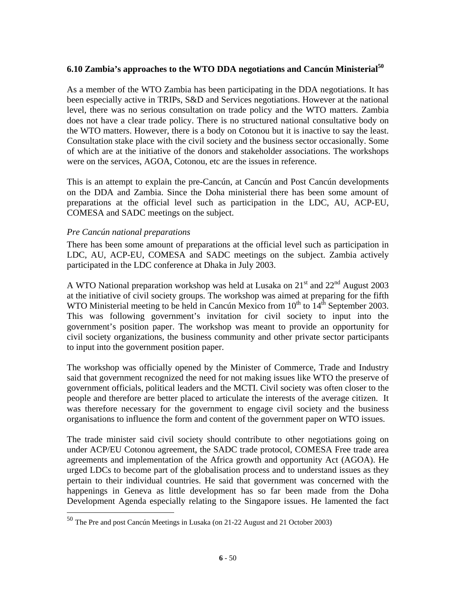## **6.10 Zambia's approaches to the WTO DDA negotiations and Cancún Ministerial50**

As a member of the WTO Zambia has been participating in the DDA negotiations. It has been especially active in TRIPs, S&D and Services negotiations. However at the national level, there was no serious consultation on trade policy and the WTO matters. Zambia does not have a clear trade policy. There is no structured national consultative body on the WTO matters. However, there is a body on Cotonou but it is inactive to say the least. Consultation stake place with the civil society and the business sector occasionally. Some of which are at the initiative of the donors and stakeholder associations. The workshops were on the services, AGOA, Cotonou, etc are the issues in reference.

This is an attempt to explain the pre-Cancún, at Cancún and Post Cancún developments on the DDA and Zambia. Since the Doha ministerial there has been some amount of preparations at the official level such as participation in the LDC, AU, ACP-EU, COMESA and SADC meetings on the subject.

#### *Pre Cancún national preparations*

 $\overline{a}$ 

There has been some amount of preparations at the official level such as participation in LDC, AU, ACP-EU, COMESA and SADC meetings on the subject. Zambia actively participated in the LDC conference at Dhaka in July 2003.

A WTO National preparation workshop was held at Lusaka on 21<sup>st</sup> and 22<sup>nd</sup> August 2003 at the initiative of civil society groups. The workshop was aimed at preparing for the fifth WTO Ministerial meeting to be held in Cancún Mexico from  $10^{th}$  to  $14^{th}$  September 2003. This was following government's invitation for civil society to input into the government's position paper. The workshop was meant to provide an opportunity for civil society organizations, the business community and other private sector participants to input into the government position paper.

The workshop was officially opened by the Minister of Commerce, Trade and Industry said that government recognized the need for not making issues like WTO the preserve of government officials, political leaders and the MCTI. Civil society was often closer to the people and therefore are better placed to articulate the interests of the average citizen. It was therefore necessary for the government to engage civil society and the business organisations to influence the form and content of the government paper on WTO issues.

The trade minister said civil society should contribute to other negotiations going on under ACP/EU Cotonou agreement, the SADC trade protocol, COMESA Free trade area agreements and implementation of the Africa growth and opportunity Act (AGOA). He urged LDCs to become part of the globalisation process and to understand issues as they pertain to their individual countries. He said that government was concerned with the happenings in Geneva as little development has so far been made from the Doha Development Agenda especially relating to the Singapore issues. He lamented the fact

<sup>50</sup> The Pre and post Cancún Meetings in Lusaka (on 21-22 August and 21 October 2003)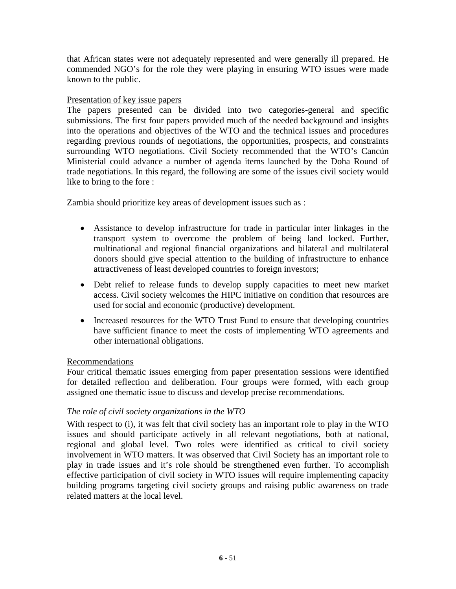that African states were not adequately represented and were generally ill prepared. He commended NGO's for the role they were playing in ensuring WTO issues were made known to the public.

## Presentation of key issue papers

The papers presented can be divided into two categories-general and specific submissions. The first four papers provided much of the needed background and insights into the operations and objectives of the WTO and the technical issues and procedures regarding previous rounds of negotiations, the opportunities, prospects, and constraints surrounding WTO negotiations. Civil Society recommended that the WTO's Cancún Ministerial could advance a number of agenda items launched by the Doha Round of trade negotiations. In this regard, the following are some of the issues civil society would like to bring to the fore :

Zambia should prioritize key areas of development issues such as :

- Assistance to develop infrastructure for trade in particular inter linkages in the transport system to overcome the problem of being land locked. Further, multinational and regional financial organizations and bilateral and multilateral donors should give special attention to the building of infrastructure to enhance attractiveness of least developed countries to foreign investors;
- Debt relief to release funds to develop supply capacities to meet new market access. Civil society welcomes the HIPC initiative on condition that resources are used for social and economic (productive) development.
- Increased resources for the WTO Trust Fund to ensure that developing countries have sufficient finance to meet the costs of implementing WTO agreements and other international obligations.

#### Recommendations

Four critical thematic issues emerging from paper presentation sessions were identified for detailed reflection and deliberation. Four groups were formed, with each group assigned one thematic issue to discuss and develop precise recommendations.

# *The role of civil society organizations in the WTO*

With respect to (i), it was felt that civil society has an important role to play in the WTO issues and should participate actively in all relevant negotiations, both at national, regional and global level. Two roles were identified as critical to civil society involvement in WTO matters. It was observed that Civil Society has an important role to play in trade issues and it's role should be strengthened even further. To accomplish effective participation of civil society in WTO issues will require implementing capacity building programs targeting civil society groups and raising public awareness on trade related matters at the local level.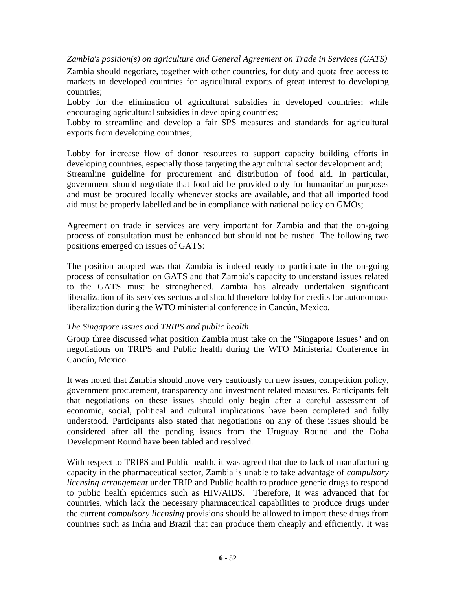*Zambia's position(s) on agriculture and General Agreement on Trade in Services (GATS)* 

Zambia should negotiate, together with other countries, for duty and quota free access to markets in developed countries for agricultural exports of great interest to developing countries;

Lobby for the elimination of agricultural subsidies in developed countries; while encouraging agricultural subsidies in developing countries;

Lobby to streamline and develop a fair SPS measures and standards for agricultural exports from developing countries;

Lobby for increase flow of donor resources to support capacity building efforts in developing countries, especially those targeting the agricultural sector development and; Streamline guideline for procurement and distribution of food aid. In particular, government should negotiate that food aid be provided only for humanitarian purposes and must be procured locally whenever stocks are available, and that all imported food aid must be properly labelled and be in compliance with national policy on GMOs;

Agreement on trade in services are very important for Zambia and that the on-going process of consultation must be enhanced but should not be rushed. The following two positions emerged on issues of GATS:

The position adopted was that Zambia is indeed ready to participate in the on-going process of consultation on GATS and that Zambia's capacity to understand issues related to the GATS must be strengthened. Zambia has already undertaken significant liberalization of its services sectors and should therefore lobby for credits for autonomous liberalization during the WTO ministerial conference in Cancún, Mexico.

#### *The Singapore issues and TRIPS and public health*

Group three discussed what position Zambia must take on the "Singapore Issues" and on negotiations on TRIPS and Public health during the WTO Ministerial Conference in Cancún, Mexico.

It was noted that Zambia should move very cautiously on new issues, competition policy, government procurement, transparency and investment related measures. Participants felt that negotiations on these issues should only begin after a careful assessment of economic, social, political and cultural implications have been completed and fully understood. Participants also stated that negotiations on any of these issues should be considered after all the pending issues from the Uruguay Round and the Doha Development Round have been tabled and resolved.

With respect to TRIPS and Public health, it was agreed that due to lack of manufacturing capacity in the pharmaceutical sector, Zambia is unable to take advantage of *compulsory licensing arrangement* under TRIP and Public health to produce generic drugs to respond to public health epidemics such as HIV/AIDS. Therefore, It was advanced that for countries, which lack the necessary pharmaceutical capabilities to produce drugs under the current *compulsory licensing* provisions should be allowed to import these drugs from countries such as India and Brazil that can produce them cheaply and efficiently. It was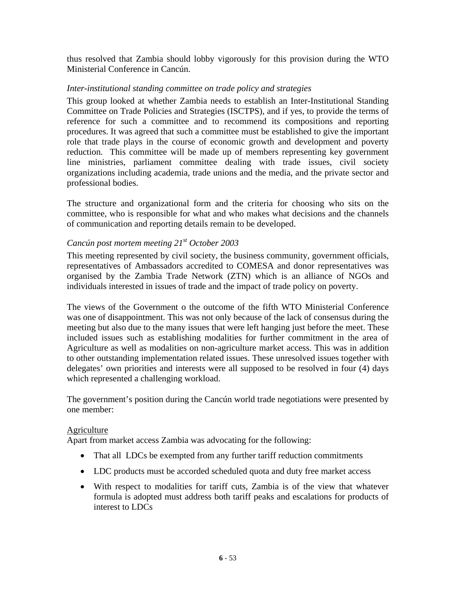thus resolved that Zambia should lobby vigorously for this provision during the WTO Ministerial Conference in Cancún.

## *Inter-institutional standing committee on trade policy and strategies*

This group looked at whether Zambia needs to establish an Inter-Institutional Standing Committee on Trade Policies and Strategies (ISCTPS), and if yes, to provide the terms of reference for such a committee and to recommend its compositions and reporting procedures. It was agreed that such a committee must be established to give the important role that trade plays in the course of economic growth and development and poverty reduction. This committee will be made up of members representing key government line ministries, parliament committee dealing with trade issues, civil society organizations including academia, trade unions and the media, and the private sector and professional bodies.

The structure and organizational form and the criteria for choosing who sits on the committee, who is responsible for what and who makes what decisions and the channels of communication and reporting details remain to be developed.

# *Cancún post mortem meeting 21st October 2003*

This meeting represented by civil society, the business community, government officials, representatives of Ambassadors accredited to COMESA and donor representatives was organised by the Zambia Trade Network (ZTN) which is an alliance of NGOs and individuals interested in issues of trade and the impact of trade policy on poverty.

The views of the Government o the outcome of the fifth WTO Ministerial Conference was one of disappointment. This was not only because of the lack of consensus during the meeting but also due to the many issues that were left hanging just before the meet. These included issues such as establishing modalities for further commitment in the area of Agriculture as well as modalities on non-agriculture market access. This was in addition to other outstanding implementation related issues. These unresolved issues together with delegates' own priorities and interests were all supposed to be resolved in four (4) days which represented a challenging workload.

The government's position during the Cancún world trade negotiations were presented by one member:

#### Agriculture

Apart from market access Zambia was advocating for the following:

- That all LDCs be exempted from any further tariff reduction commitments
- LDC products must be accorded scheduled quota and duty free market access
- With respect to modalities for tariff cuts, Zambia is of the view that whatever formula is adopted must address both tariff peaks and escalations for products of interest to LDCs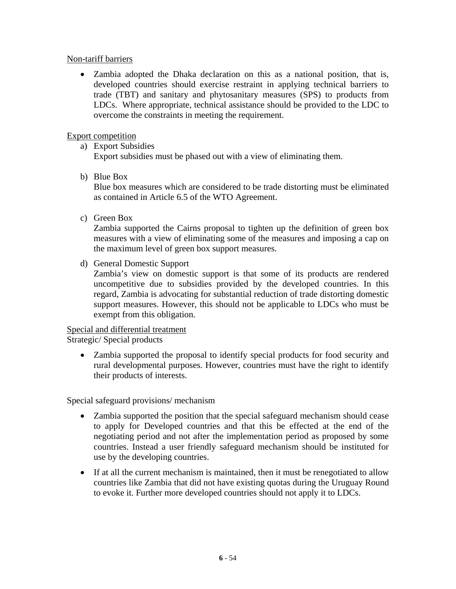## Non-tariff barriers

• Zambia adopted the Dhaka declaration on this as a national position, that is, developed countries should exercise restraint in applying technical barriers to trade (TBT) and sanitary and phytosanitary measures (SPS) to products from LDCs. Where appropriate, technical assistance should be provided to the LDC to overcome the constraints in meeting the requirement.

## Export competition

a) Export Subsidies

Export subsidies must be phased out with a view of eliminating them.

b) Blue Box

Blue box measures which are considered to be trade distorting must be eliminated as contained in Article 6.5 of the WTO Agreement.

c) Green Box

Zambia supported the Cairns proposal to tighten up the definition of green box measures with a view of eliminating some of the measures and imposing a cap on the maximum level of green box support measures.

d) General Domestic Support

Zambia's view on domestic support is that some of its products are rendered uncompetitive due to subsidies provided by the developed countries. In this regard, Zambia is advocating for substantial reduction of trade distorting domestic support measures. However, this should not be applicable to LDCs who must be exempt from this obligation.

# Special and differential treatment

Strategic/ Special products

• Zambia supported the proposal to identify special products for food security and rural developmental purposes. However, countries must have the right to identify their products of interests.

Special safeguard provisions/ mechanism

- Zambia supported the position that the special safeguard mechanism should cease to apply for Developed countries and that this be effected at the end of the negotiating period and not after the implementation period as proposed by some countries. Instead a user friendly safeguard mechanism should be instituted for use by the developing countries.
- If at all the current mechanism is maintained, then it must be renegotiated to allow countries like Zambia that did not have existing quotas during the Uruguay Round to evoke it. Further more developed countries should not apply it to LDCs.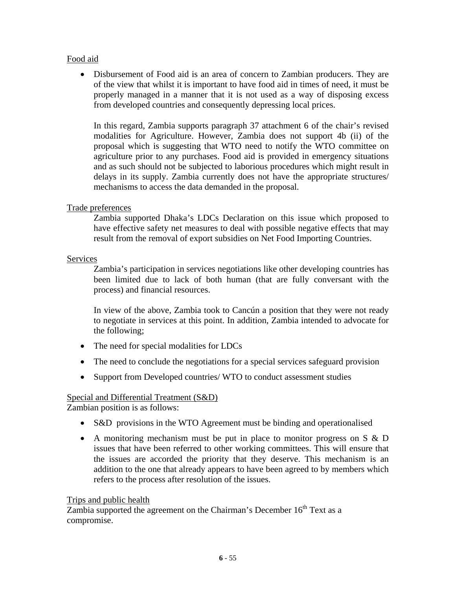# Food aid

• Disbursement of Food aid is an area of concern to Zambian producers. They are of the view that whilst it is important to have food aid in times of need, it must be properly managed in a manner that it is not used as a way of disposing excess from developed countries and consequently depressing local prices.

In this regard, Zambia supports paragraph 37 attachment 6 of the chair's revised modalities for Agriculture. However, Zambia does not support 4b (ii) of the proposal which is suggesting that WTO need to notify the WTO committee on agriculture prior to any purchases. Food aid is provided in emergency situations and as such should not be subjected to laborious procedures which might result in delays in its supply. Zambia currently does not have the appropriate structures/ mechanisms to access the data demanded in the proposal.

# Trade preferences

Zambia supported Dhaka's LDCs Declaration on this issue which proposed to have effective safety net measures to deal with possible negative effects that may result from the removal of export subsidies on Net Food Importing Countries.

# **Services**

Zambia's participation in services negotiations like other developing countries has been limited due to lack of both human (that are fully conversant with the process) and financial resources.

In view of the above, Zambia took to Cancún a position that they were not ready to negotiate in services at this point. In addition, Zambia intended to advocate for the following;

- The need for special modalities for LDCs
- The need to conclude the negotiations for a special services safeguard provision
- Support from Developed countries/ WTO to conduct assessment studies

# Special and Differential Treatment (S&D)

Zambian position is as follows:

- S&D provisions in the WTO Agreement must be binding and operationalised
- A monitoring mechanism must be put in place to monitor progress on S & D issues that have been referred to other working committees. This will ensure that the issues are accorded the priority that they deserve. This mechanism is an addition to the one that already appears to have been agreed to by members which refers to the process after resolution of the issues.

# Trips and public health

Zambia supported the agreement on the Chairman's December  $16<sup>th</sup>$  Text as a compromise.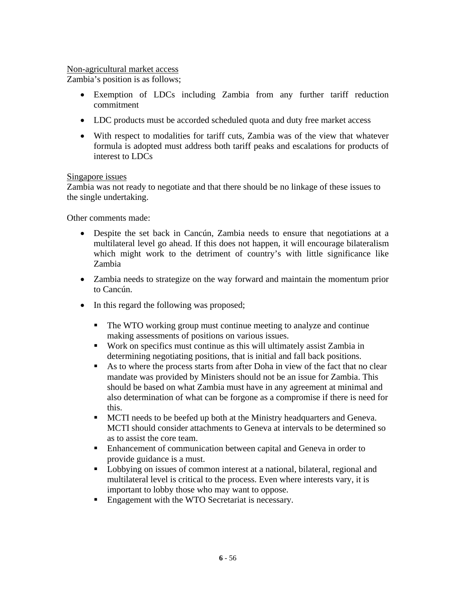## Non-agricultural market access

Zambia's position is as follows;

- Exemption of LDCs including Zambia from any further tariff reduction commitment
- LDC products must be accorded scheduled quota and duty free market access
- With respect to modalities for tariff cuts, Zambia was of the view that whatever formula is adopted must address both tariff peaks and escalations for products of interest to LDCs

## Singapore issues

Zambia was not ready to negotiate and that there should be no linkage of these issues to the single undertaking.

Other comments made:

- Despite the set back in Cancún, Zambia needs to ensure that negotiations at a multilateral level go ahead. If this does not happen, it will encourage bilateralism which might work to the detriment of country's with little significance like Zambia
- Zambia needs to strategize on the way forward and maintain the momentum prior to Cancún.
- In this regard the following was proposed;
	- The WTO working group must continue meeting to analyze and continue making assessments of positions on various issues.
	- Work on specifics must continue as this will ultimately assist Zambia in determining negotiating positions, that is initial and fall back positions.
	- As to where the process starts from after Doha in view of the fact that no clear mandate was provided by Ministers should not be an issue for Zambia. This should be based on what Zambia must have in any agreement at minimal and also determination of what can be forgone as a compromise if there is need for this.
	- MCTI needs to be beefed up both at the Ministry headquarters and Geneva. MCTI should consider attachments to Geneva at intervals to be determined so as to assist the core team.
	- **Enhancement of communication between capital and Geneva in order to** provide guidance is a must.
	- **Lobbying on issues of common interest at a national, bilateral, regional and** multilateral level is critical to the process. Even where interests vary, it is important to lobby those who may want to oppose.
	- **Engagement with the WTO Secretariat is necessary.**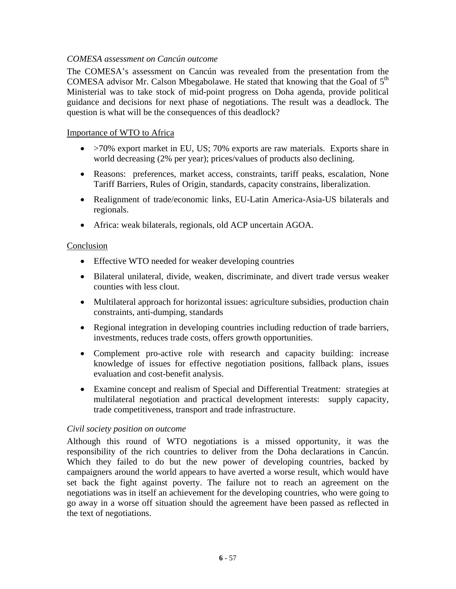## *COMESA assessment on Cancún outcome*

The COMESA's assessment on Cancún was revealed from the presentation from the COMESA advisor Mr. Calson Mbegabolawe. He stated that knowing that the Goal of  $5<sup>th</sup>$ Ministerial was to take stock of mid-point progress on Doha agenda, provide political guidance and decisions for next phase of negotiations. The result was a deadlock. The question is what will be the consequences of this deadlock?

#### Importance of WTO to Africa

- >70% export market in EU, US; 70% exports are raw materials. Exports share in world decreasing (2% per year); prices/values of products also declining.
- Reasons: preferences, market access, constraints, tariff peaks, escalation, None Tariff Barriers, Rules of Origin, standards, capacity constrains, liberalization.
- Realignment of trade/economic links, EU-Latin America-Asia-US bilaterals and regionals.
- Africa: weak bilaterals, regionals, old ACP uncertain AGOA.

#### Conclusion

- Effective WTO needed for weaker developing countries
- Bilateral unilateral, divide, weaken, discriminate, and divert trade versus weaker counties with less clout.
- Multilateral approach for horizontal issues: agriculture subsidies, production chain constraints, anti-dumping, standards
- Regional integration in developing countries including reduction of trade barriers, investments, reduces trade costs, offers growth opportunities.
- Complement pro-active role with research and capacity building: increase knowledge of issues for effective negotiation positions, fallback plans, issues evaluation and cost-benefit analysis.
- Examine concept and realism of Special and Differential Treatment: strategies at multilateral negotiation and practical development interests: supply capacity, trade competitiveness, transport and trade infrastructure.

#### *Civil society position on outcome*

Although this round of WTO negotiations is a missed opportunity, it was the responsibility of the rich countries to deliver from the Doha declarations in Cancún. Which they failed to do but the new power of developing countries, backed by campaigners around the world appears to have averted a worse result, which would have set back the fight against poverty. The failure not to reach an agreement on the negotiations was in itself an achievement for the developing countries, who were going to go away in a worse off situation should the agreement have been passed as reflected in the text of negotiations.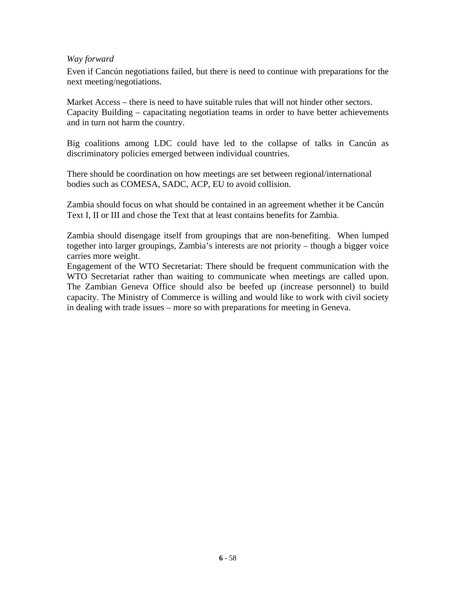## *Way forward*

Even if Cancún negotiations failed, but there is need to continue with preparations for the next meeting/negotiations.

Market Access – there is need to have suitable rules that will not hinder other sectors. Capacity Building – capacitating negotiation teams in order to have better achievements and in turn not harm the country.

Big coalitions among LDC could have led to the collapse of talks in Cancún as discriminatory policies emerged between individual countries.

There should be coordination on how meetings are set between regional/international bodies such as COMESA, SADC, ACP, EU to avoid collision.

Zambia should focus on what should be contained in an agreement whether it be Cancún Text I, II or III and chose the Text that at least contains benefits for Zambia.

Zambia should disengage itself from groupings that are non-benefiting. When lumped together into larger groupings, Zambia's interests are not priority – though a bigger voice carries more weight.

Engagement of the WTO Secretariat: There should be frequent communication with the WTO Secretariat rather than waiting to communicate when meetings are called upon. The Zambian Geneva Office should also be beefed up (increase personnel) to build capacity. The Ministry of Commerce is willing and would like to work with civil society in dealing with trade issues – more so with preparations for meeting in Geneva.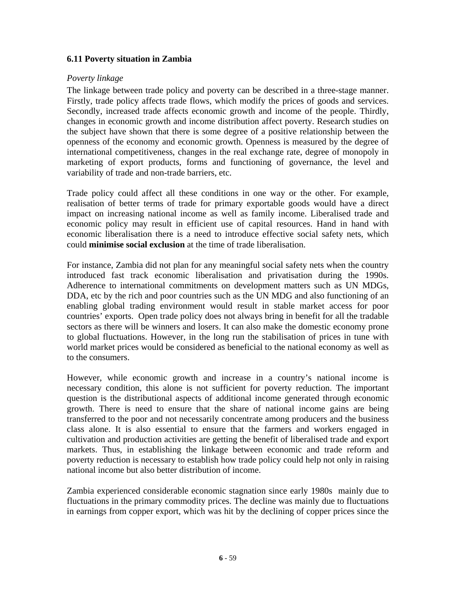## **6.11 Poverty situation in Zambia**

#### *Poverty linkage*

The linkage between trade policy and poverty can be described in a three-stage manner. Firstly, trade policy affects trade flows, which modify the prices of goods and services. Secondly, increased trade affects economic growth and income of the people. Thirdly, changes in economic growth and income distribution affect poverty. Research studies on the subject have shown that there is some degree of a positive relationship between the openness of the economy and economic growth. Openness is measured by the degree of international competitiveness, changes in the real exchange rate, degree of monopoly in marketing of export products, forms and functioning of governance, the level and variability of trade and non-trade barriers, etc.

Trade policy could affect all these conditions in one way or the other. For example, realisation of better terms of trade for primary exportable goods would have a direct impact on increasing national income as well as family income. Liberalised trade and economic policy may result in efficient use of capital resources. Hand in hand with economic liberalisation there is a need to introduce effective social safety nets, which could **minimise social exclusion** at the time of trade liberalisation.

For instance, Zambia did not plan for any meaningful social safety nets when the country introduced fast track economic liberalisation and privatisation during the 1990s. Adherence to international commitments on development matters such as UN MDGs, DDA, etc by the rich and poor countries such as the UN MDG and also functioning of an enabling global trading environment would result in stable market access for poor countries' exports. Open trade policy does not always bring in benefit for all the tradable sectors as there will be winners and losers. It can also make the domestic economy prone to global fluctuations. However, in the long run the stabilisation of prices in tune with world market prices would be considered as beneficial to the national economy as well as to the consumers.

However, while economic growth and increase in a country's national income is necessary condition, this alone is not sufficient for poverty reduction. The important question is the distributional aspects of additional income generated through economic growth. There is need to ensure that the share of national income gains are being transferred to the poor and not necessarily concentrate among producers and the business class alone. It is also essential to ensure that the farmers and workers engaged in cultivation and production activities are getting the benefit of liberalised trade and export markets. Thus, in establishing the linkage between economic and trade reform and poverty reduction is necessary to establish how trade policy could help not only in raising national income but also better distribution of income.

Zambia experienced considerable economic stagnation since early 1980s mainly due to fluctuations in the primary commodity prices. The decline was mainly due to fluctuations in earnings from copper export, which was hit by the declining of copper prices since the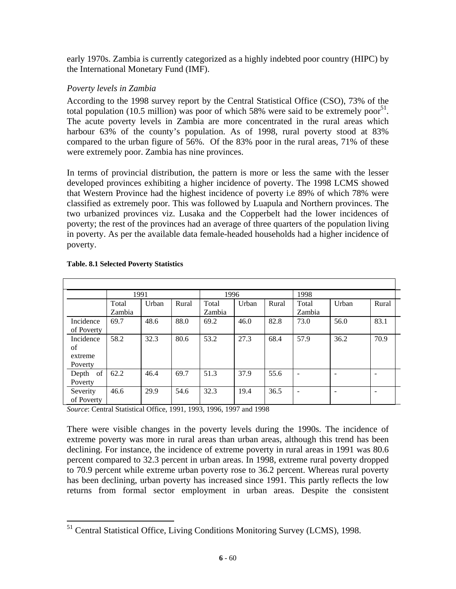early 1970s. Zambia is currently categorized as a highly indebted poor country (HIPC) by the International Monetary Fund (IMF).

# *Poverty levels in Zambia*

According to the 1998 survey report by the Central Statistical Office (CSO), 73% of the total population (10.5 million) was poor of which 58% were said to be extremely poor<sup>51</sup>. The acute poverty levels in Zambia are more concentrated in the rural areas which harbour 63% of the county's population. As of 1998, rural poverty stood at 83% compared to the urban figure of 56%. Of the 83% poor in the rural areas, 71% of these were extremely poor. Zambia has nine provinces.

In terms of provincial distribution, the pattern is more or less the same with the lesser developed provinces exhibiting a higher incidence of poverty. The 1998 LCMS showed that Western Province had the highest incidence of poverty i.e 89% of which 78% were classified as extremely poor. This was followed by Luapula and Northern provinces. The two urbanized provinces viz. Lusaka and the Copperbelt had the lower incidences of poverty; the rest of the provinces had an average of three quarters of the population living in poverty. As per the available data female-headed households had a higher incidence of poverty.

|                                       |                 | 1991  |       | 1996            |       |       | 1998                         |       |       |
|---------------------------------------|-----------------|-------|-------|-----------------|-------|-------|------------------------------|-------|-------|
|                                       | Total<br>Zambia | Urban | Rural | Total<br>Zambia | Urban | Rural | Total<br>Zambia              | Urban | Rural |
| Incidence<br>of Poverty               | 69.7            | 48.6  | 88.0  | 69.2            | 46.0  | 82.8  | 73.0                         | 56.0  | 83.1  |
| Incidence<br>of<br>extreme<br>Poverty | 58.2            | 32.3  | 80.6  | 53.2            | 27.3  | 68.4  | 57.9                         | 36.2  | 70.9  |
| of<br>Depth<br>Poverty                | 62.2            | 46.4  | 69.7  | 51.3            | 37.9  | 55.6  | $\overline{\phantom{a}}$     | ۰     |       |
| Severity<br>of Poverty                | 46.6            | 29.9  | 54.6  | 32.3            | 19.4  | 36.5  | $\qquad \qquad \blacksquare$ | -     |       |

#### **Table. 8.1 Selected Poverty Statistics**

*Source*: Central Statistical Office, 1991, 1993, 1996, 1997 and 1998

There were visible changes in the poverty levels during the 1990s. The incidence of extreme poverty was more in rural areas than urban areas, although this trend has been declining. For instance, the incidence of extreme poverty in rural areas in 1991 was 80.6 percent compared to 32.3 percent in urban areas. In 1998, extreme rural poverty dropped to 70.9 percent while extreme urban poverty rose to 36.2 percent. Whereas rural poverty has been declining, urban poverty has increased since 1991. This partly reflects the low returns from formal sector employment in urban areas. Despite the consistent

 $\overline{a}$ <sup>51</sup> Central Statistical Office, Living Conditions Monitoring Survey (LCMS), 1998.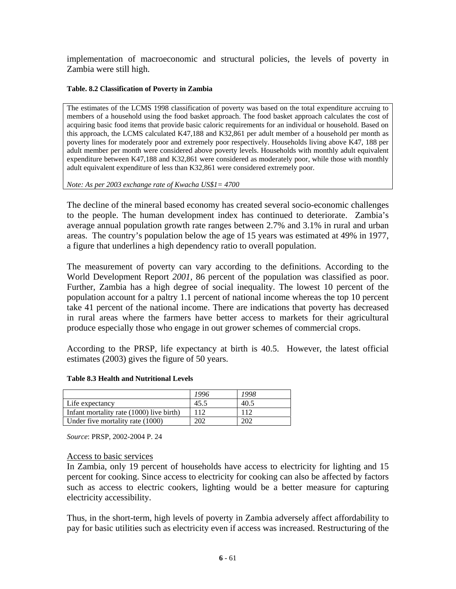implementation of macroeconomic and structural policies, the levels of poverty in Zambia were still high.

#### **Table. 8.2 Classification of Poverty in Zambia**

The estimates of the LCMS 1998 classification of poverty was based on the total expenditure accruing to members of a household using the food basket approach. The food basket approach calculates the cost of acquiring basic food items that provide basic caloric requirements for an individual or household. Based on this approach, the LCMS calculated K47,188 and K32,861 per adult member of a household per month as poverty lines for moderately poor and extremely poor respectively. Households living above K47, 188 per adult member per month were considered above poverty levels. Households with monthly adult equivalent expenditure between K47,188 and K32,861 were considered as moderately poor, while those with monthly adult equivalent expenditure of less than K32,861 were considered extremely poor.

*Note: As per 2003 exchange rate of Kwacha US\$1= 4700* 

The decline of the mineral based economy has created several socio-economic challenges to the people. The human development index has continued to deteriorate. Zambia's average annual population growth rate ranges between 2.7% and 3.1% in rural and urban areas. The country's population below the age of 15 years was estimated at 49% in 1977, a figure that underlines a high dependency ratio to overall population.

The measurement of poverty can vary according to the definitions. According to the World Development Report *2001,* 86 percent of the population was classified as poor. Further, Zambia has a high degree of social inequality. The lowest 10 percent of the population account for a paltry 1.1 percent of national income whereas the top 10 percent take 41 percent of the national income. There are indications that poverty has decreased in rural areas where the farmers have better access to markets for their agricultural produce especially those who engage in out grower schemes of commercial crops.

According to the PRSP, life expectancy at birth is 40.5. However, the latest official estimates (2003) gives the figure of 50 years.

#### **Table 8.3 Health and Nutritional Levels**

|                                          | 1996 | 1998 |
|------------------------------------------|------|------|
| Life expectancy                          | 45.5 | 40.5 |
| Infant mortality rate (1000) live birth) | 112  | 112  |
| Under five mortality rate (1000)         |      |      |

*Source*: PRSP, 2002-2004 P. 24

#### Access to basic services

In Zambia, only 19 percent of households have access to electricity for lighting and 15 percent for cooking. Since access to electricity for cooking can also be affected by factors such as access to electric cookers, lighting would be a better measure for capturing electricity accessibility.

Thus, in the short-term, high levels of poverty in Zambia adversely affect affordability to pay for basic utilities such as electricity even if access was increased. Restructuring of the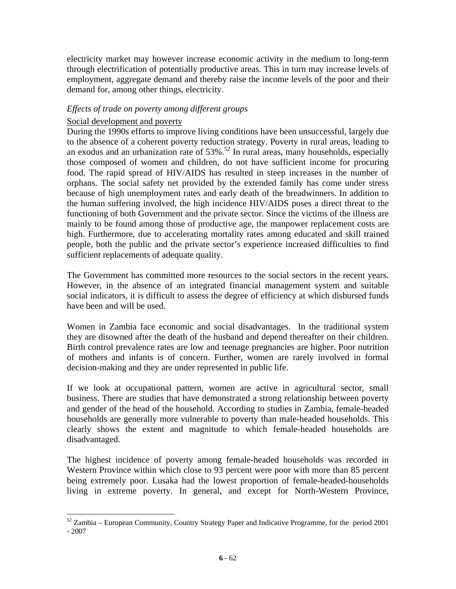electricity market may however increase economic activity in the medium to long-term through electrification of potentially productive areas. This in turn may increase levels of employment, aggregate demand and thereby raise the income levels of the poor and their demand for, among other things, electricity.

### *Effects of trade on poverty among different groups*

### Social development and poverty

 $\overline{a}$ 

During the 1990s efforts to improve living conditions have been unsuccessful, largely due to the absence of a coherent poverty reduction strategy. Poverty in rural areas, leading to an exodus and an urbanization rate of  $53\%$ .<sup>52</sup> In rural areas, many households, especially those composed of women and children, do not have sufficient income for procuring food. The rapid spread of HIV/AIDS has resulted in steep increases in the number of orphans. The social safety net provided by the extended family has come under stress because of high unemployment rates and early death of the breadwinners. In addition to the human suffering involved, the high incidence HIV/AIDS poses a direct threat to the functioning of both Government and the private sector. Since the victims of the illness are mainly to be found among those of productive age, the manpower replacement costs are high. Furthermore, due to accelerating mortality rates among educated and skill trained people, both the public and the private sector's experience increased difficulties to find sufficient replacements of adequate quality.

The Government has committed more resources to the social sectors in the recent years. However, in the absence of an integrated financial management system and suitable social indicators, it is difficult to assess the degree of efficiency at which disbursed funds have been and will be used.

Women in Zambia face economic and social disadvantages. In the traditional system they are disowned after the death of the husband and depend thereafter on their children. Birth control prevalence rates are low and teenage pregnancies are higher. Poor nutrition of mothers and infants is of concern. Further, women are rarely involved in formal decision-making and they are under represented in public life.

If we look at occupational pattern, women are active in agricultural sector, small business. There are studies that have demonstrated a strong relationship between poverty and gender of the head of the household. According to studies in Zambia, female-headed households are generally more vulnerable to poverty than male-headed households. This clearly shows the extent and magnitude to which female-headed households are disadvantaged.

The highest incidence of poverty among female-headed households was recorded in Western Province within which close to 93 percent were poor with more than 85 percent being extremely poor. Lusaka had the lowest proportion of female-headed-households living in extreme poverty. In general, and except for North-Western Province,

 $52$  Zambia – European Community, Country Strategy Paper and Indicative Programme, for the period 2001 - 2007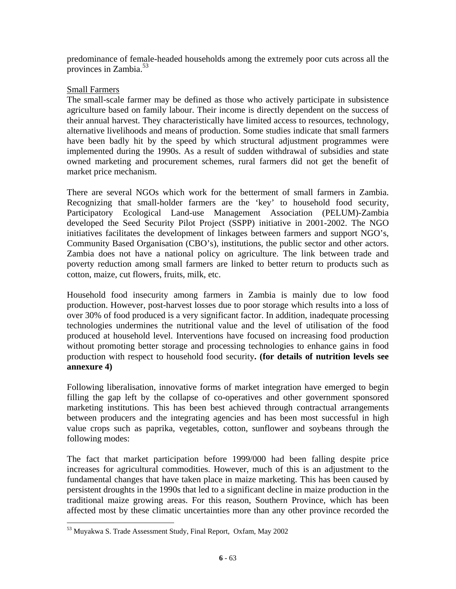predominance of female-headed households among the extremely poor cuts across all the provinces in Zambia.<sup>53</sup>

## Small Farmers

The small-scale farmer may be defined as those who actively participate in subsistence agriculture based on family labour. Their income is directly dependent on the success of their annual harvest. They characteristically have limited access to resources, technology, alternative livelihoods and means of production. Some studies indicate that small farmers have been badly hit by the speed by which structural adjustment programmes were implemented during the 1990s. As a result of sudden withdrawal of subsidies and state owned marketing and procurement schemes, rural farmers did not get the benefit of market price mechanism.

There are several NGOs which work for the betterment of small farmers in Zambia. Recognizing that small-holder farmers are the 'key' to household food security, Participatory Ecological Land-use Management Association (PELUM)-Zambia developed the Seed Security Pilot Project (SSPP) initiative in 2001-2002. The NGO initiatives facilitates the development of linkages between farmers and support NGO's, Community Based Organisation (CBO's), institutions, the public sector and other actors. Zambia does not have a national policy on agriculture. The link between trade and poverty reduction among small farmers are linked to better return to products such as cotton, maize, cut flowers, fruits, milk, etc.

Household food insecurity among farmers in Zambia is mainly due to low food production. However, post-harvest losses due to poor storage which results into a loss of over 30% of food produced is a very significant factor. In addition, inadequate processing technologies undermines the nutritional value and the level of utilisation of the food produced at household level. Interventions have focused on increasing food production without promoting better storage and processing technologies to enhance gains in food production with respect to household food security**. (for details of nutrition levels see annexure 4)** 

Following liberalisation, innovative forms of market integration have emerged to begin filling the gap left by the collapse of co-operatives and other government sponsored marketing institutions. This has been best achieved through contractual arrangements between producers and the integrating agencies and has been most successful in high value crops such as paprika, vegetables, cotton, sunflower and soybeans through the following modes:

The fact that market participation before 1999/000 had been falling despite price increases for agricultural commodities. However, much of this is an adjustment to the fundamental changes that have taken place in maize marketing. This has been caused by persistent droughts in the 1990s that led to a significant decline in maize production in the traditional maize growing areas. For this reason, Southern Province, which has been affected most by these climatic uncertainties more than any other province recorded the

<sup>53</sup> Muyakwa S. Trade Assessment Study, Final Report, Oxfam, May 2002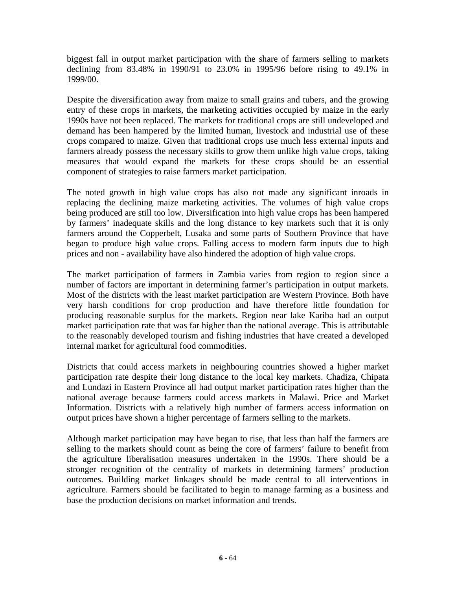biggest fall in output market participation with the share of farmers selling to markets declining from 83.48% in 1990/91 to 23.0% in 1995/96 before rising to 49.1% in 1999/00.

Despite the diversification away from maize to small grains and tubers, and the growing entry of these crops in markets, the marketing activities occupied by maize in the early 1990s have not been replaced. The markets for traditional crops are still undeveloped and demand has been hampered by the limited human, livestock and industrial use of these crops compared to maize. Given that traditional crops use much less external inputs and farmers already possess the necessary skills to grow them unlike high value crops, taking measures that would expand the markets for these crops should be an essential component of strategies to raise farmers market participation.

The noted growth in high value crops has also not made any significant inroads in replacing the declining maize marketing activities. The volumes of high value crops being produced are still too low. Diversification into high value crops has been hampered by farmers' inadequate skills and the long distance to key markets such that it is only farmers around the Copperbelt, Lusaka and some parts of Southern Province that have began to produce high value crops. Falling access to modern farm inputs due to high prices and non - availability have also hindered the adoption of high value crops.

The market participation of farmers in Zambia varies from region to region since a number of factors are important in determining farmer's participation in output markets. Most of the districts with the least market participation are Western Province. Both have very harsh conditions for crop production and have therefore little foundation for producing reasonable surplus for the markets. Region near lake Kariba had an output market participation rate that was far higher than the national average. This is attributable to the reasonably developed tourism and fishing industries that have created a developed internal market for agricultural food commodities.

Districts that could access markets in neighbouring countries showed a higher market participation rate despite their long distance to the local key markets. Chadiza, Chipata and Lundazi in Eastern Province all had output market participation rates higher than the national average because farmers could access markets in Malawi. Price and Market Information. Districts with a relatively high number of farmers access information on output prices have shown a higher percentage of farmers selling to the markets.

Although market participation may have began to rise, that less than half the farmers are selling to the markets should count as being the core of farmers' failure to benefit from the agriculture liberalisation measures undertaken in the 1990s. There should be a stronger recognition of the centrality of markets in determining farmers' production outcomes. Building market linkages should be made central to all interventions in agriculture. Farmers should be facilitated to begin to manage farming as a business and base the production decisions on market information and trends.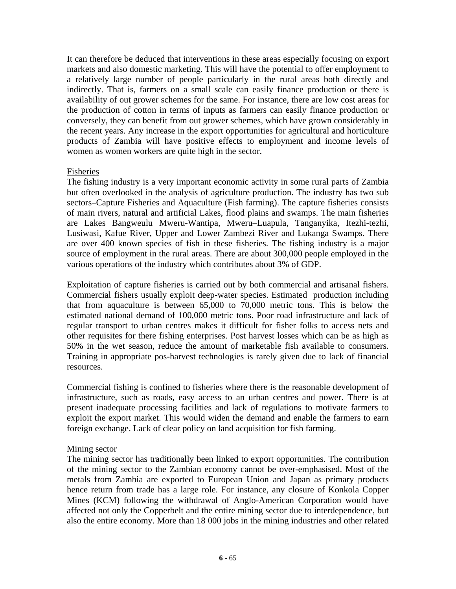It can therefore be deduced that interventions in these areas especially focusing on export markets and also domestic marketing. This will have the potential to offer employment to a relatively large number of people particularly in the rural areas both directly and indirectly. That is, farmers on a small scale can easily finance production or there is availability of out grower schemes for the same. For instance, there are low cost areas for the production of cotton in terms of inputs as farmers can easily finance production or conversely, they can benefit from out grower schemes, which have grown considerably in the recent years. Any increase in the export opportunities for agricultural and horticulture products of Zambia will have positive effects to employment and income levels of women as women workers are quite high in the sector.

#### Fisheries

The fishing industry is a very important economic activity in some rural parts of Zambia but often overlooked in the analysis of agriculture production. The industry has two sub sectors–Capture Fisheries and Aquaculture (Fish farming). The capture fisheries consists of main rivers, natural and artificial Lakes, flood plains and swamps. The main fisheries are Lakes Bangweulu Mweru-Wantipa, Mweru–Luapula, Tanganyika, Itezhi-tezhi, Lusiwasi, Kafue River, Upper and Lower Zambezi River and Lukanga Swamps. There are over 400 known species of fish in these fisheries. The fishing industry is a major source of employment in the rural areas. There are about 300,000 people employed in the various operations of the industry which contributes about 3% of GDP.

Exploitation of capture fisheries is carried out by both commercial and artisanal fishers. Commercial fishers usually exploit deep-water species. Estimated production including that from aquaculture is between 65,000 to 70,000 metric tons. This is below the estimated national demand of 100,000 metric tons. Poor road infrastructure and lack of regular transport to urban centres makes it difficult for fisher folks to access nets and other requisites for there fishing enterprises. Post harvest losses which can be as high as 50% in the wet season, reduce the amount of marketable fish available to consumers. Training in appropriate pos-harvest technologies is rarely given due to lack of financial resources.

Commercial fishing is confined to fisheries where there is the reasonable development of infrastructure, such as roads, easy access to an urban centres and power. There is at present inadequate processing facilities and lack of regulations to motivate farmers to exploit the export market. This would widen the demand and enable the farmers to earn foreign exchange. Lack of clear policy on land acquisition for fish farming.

#### Mining sector

The mining sector has traditionally been linked to export opportunities. The contribution of the mining sector to the Zambian economy cannot be over-emphasised. Most of the metals from Zambia are exported to European Union and Japan as primary products hence return from trade has a large role. For instance, any closure of Konkola Copper Mines (KCM) following the withdrawal of Anglo-American Corporation would have affected not only the Copperbelt and the entire mining sector due to interdependence, but also the entire economy. More than 18 000 jobs in the mining industries and other related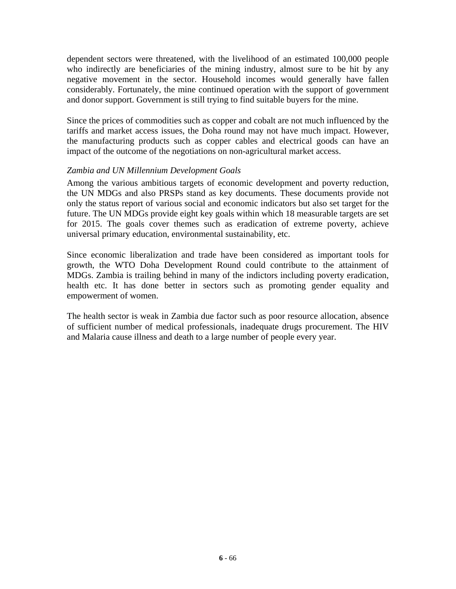dependent sectors were threatened, with the livelihood of an estimated 100,000 people who indirectly are beneficiaries of the mining industry, almost sure to be hit by any negative movement in the sector. Household incomes would generally have fallen considerably. Fortunately, the mine continued operation with the support of government and donor support. Government is still trying to find suitable buyers for the mine.

Since the prices of commodities such as copper and cobalt are not much influenced by the tariffs and market access issues, the Doha round may not have much impact. However, the manufacturing products such as copper cables and electrical goods can have an impact of the outcome of the negotiations on non-agricultural market access.

## *Zambia and UN Millennium Development Goals*

Among the various ambitious targets of economic development and poverty reduction, the UN MDGs and also PRSPs stand as key documents. These documents provide not only the status report of various social and economic indicators but also set target for the future. The UN MDGs provide eight key goals within which 18 measurable targets are set for 2015. The goals cover themes such as eradication of extreme poverty, achieve universal primary education, environmental sustainability, etc.

Since economic liberalization and trade have been considered as important tools for growth, the WTO Doha Development Round could contribute to the attainment of MDGs. Zambia is trailing behind in many of the indictors including poverty eradication, health etc. It has done better in sectors such as promoting gender equality and empowerment of women.

The health sector is weak in Zambia due factor such as poor resource allocation, absence of sufficient number of medical professionals, inadequate drugs procurement. The HIV and Malaria cause illness and death to a large number of people every year.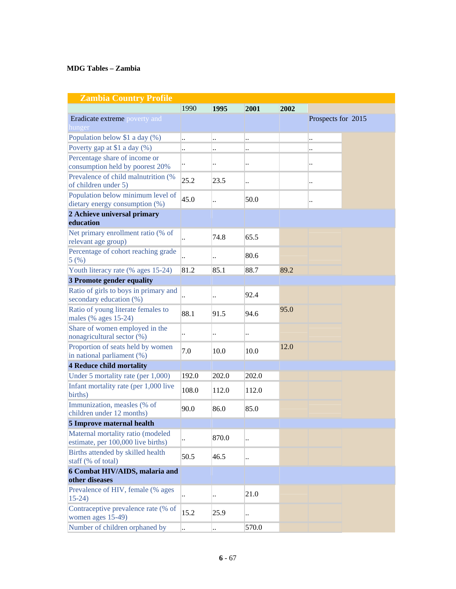#### **MDG Tables – Zambia**

| <b>Zambia Country Profile</b>                                           |                      |                      |       |      |                      |  |
|-------------------------------------------------------------------------|----------------------|----------------------|-------|------|----------------------|--|
|                                                                         | 1990                 | 1995                 | 2001  | 2002 |                      |  |
| <b>Eradicate extreme</b> poverty and<br>hunger                          |                      |                      |       |      | Prospects for 2015   |  |
| Population below \$1 a day (%)                                          | $\ddot{\phantom{a}}$ | $\ddot{\phantom{a}}$ |       |      | $\ddot{\phantom{a}}$ |  |
| Poverty gap at \$1 a day (%)                                            |                      | $\ddot{\phantom{0}}$ |       |      | $\ddot{\phantom{0}}$ |  |
| Percentage share of income or<br>consumption held by poorest 20%        | $\ddotsc$            | $\ddot{\phantom{a}}$ |       |      | $\ddot{\phantom{0}}$ |  |
| Prevalence of child malnutrition (%)<br>of children under 5)            | 25.2                 | 23.5                 |       |      | $\ddot{\phantom{0}}$ |  |
| Population below minimum level of<br>dietary energy consumption (%)     | 45.0                 | $\ddot{\phantom{a}}$ | 50.0  |      | $\ddot{\phantom{0}}$ |  |
| 2 Achieve universal primary                                             |                      |                      |       |      |                      |  |
| education                                                               |                      |                      |       |      |                      |  |
| Net primary enrollment ratio (% of<br>relevant age group)               |                      | 74.8                 | 65.5  |      |                      |  |
| Percentage of cohort reaching grade<br>5(%)                             |                      | $\ddot{\phantom{a}}$ | 80.6  |      |                      |  |
| Youth literacy rate (% ages 15-24)                                      | 81.2                 | 85.1                 | 88.7  | 89.2 |                      |  |
| 3 Promote gender equality                                               |                      |                      |       |      |                      |  |
| Ratio of girls to boys in primary and<br>secondary education (%)        |                      | $\ddot{\phantom{a}}$ | 92.4  |      |                      |  |
| Ratio of young literate females to<br>males (% ages 15-24)              | 88.1                 | 91.5                 | 94.6  | 95.0 |                      |  |
| Share of women employed in the<br>nonagricultural sector (%)            |                      | $\ddot{\phantom{0}}$ |       |      |                      |  |
| Proportion of seats held by women<br>in national parliament (%)         | 7.0                  | 10.0                 | 10.0  | 12.0 |                      |  |
| <b>4 Reduce child mortality</b>                                         |                      |                      |       |      |                      |  |
| Under 5 mortality rate (per 1,000)                                      | 192.0                | 202.0                | 202.0 |      |                      |  |
| Infant mortality rate (per 1,000 live<br>births)                        | 108.0                | 112.0                | 112.0 |      |                      |  |
| Immunization, measles (% of<br>children under 12 months)                | 90.0                 | 86.0                 | 85.0  |      |                      |  |
| 5 Improve maternal health                                               |                      |                      |       |      |                      |  |
| Maternal mortality ratio (modeled<br>estimate, per 100,000 live births) |                      | 870.0                |       |      |                      |  |
| Births attended by skilled health<br>staff (% of total)                 | 50.5                 | 46.5                 |       |      |                      |  |
| 6 Combat HIV/AIDS, malaria and                                          |                      |                      |       |      |                      |  |
| other diseases                                                          |                      |                      |       |      |                      |  |
| Prevalence of HIV, female (% ages<br>$15-24$                            |                      | $\ddot{\phantom{a}}$ | 21.0  |      |                      |  |
| Contraceptive prevalence rate (% of<br>women ages 15-49)                | 15.2                 | 25.9                 |       |      |                      |  |
| Number of children orphaned by                                          | $\cdot$              | $\ddotsc$            | 570.0 |      |                      |  |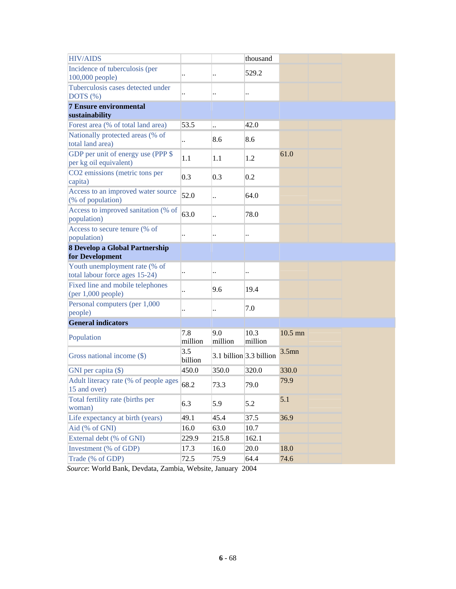| <b>HIV/AIDS</b>                                                 |                      |                      | thousand                  |           |
|-----------------------------------------------------------------|----------------------|----------------------|---------------------------|-----------|
| Incidence of tuberculosis (per<br>$100,000$ people)             | $\ddot{\phantom{0}}$ | $\ddot{\phantom{a}}$ | 529.2                     |           |
| Tuberculosis cases detected under<br>DOTS (%)                   | $\ddot{\phantom{0}}$ | $\ddot{\phantom{a}}$ |                           |           |
| <b>7 Ensure environmental</b><br>sustainability                 |                      |                      |                           |           |
| Forest area (% of total land area)                              | 53.5                 | $\ddotsc$            | 42.0                      |           |
| Nationally protected areas (% of<br>total land area)            |                      | 8.6                  | 8.6                       |           |
| GDP per unit of energy use (PPP \$<br>per kg oil equivalent)    | 1.1                  | 1.1                  | 1.2                       | 61.0      |
| CO2 emissions (metric tons per<br>capita)                       | 0.3                  | 0.3                  | 0.2                       |           |
| Access to an improved water source<br>(% of population)         | 52.0                 | $\ddotsc$            | 64.0                      |           |
| Access to improved sanitation (% of<br>population)              | 63.0                 | $\ddot{\phantom{a}}$ | 78.0                      |           |
| Access to secure tenure (% of<br>population)                    |                      | $\ddot{\phantom{a}}$ |                           |           |
| 8 Develop a Global Partnership                                  |                      |                      |                           |           |
| for Development                                                 |                      |                      |                           |           |
| Youth unemployment rate (% of<br>total labour force ages 15-24) | $\ddot{\phantom{0}}$ | $\ddot{\phantom{a}}$ |                           |           |
| Fixed line and mobile telephones<br>(per 1,000 people)          | $\ddot{\phantom{a}}$ | 9.6                  | 19.4                      |           |
| Personal computers (per 1,000<br>people)                        |                      | $\ddot{\phantom{a}}$ | 7.0                       |           |
| <b>General indicators</b>                                       |                      |                      |                           |           |
| Population                                                      | 7.8<br>million       | 9.0<br>million       | 10.3<br>million           | $10.5$ mn |
| Gross national income (\$)                                      | 3.5<br>billion       |                      | 3.1 billion $3.3$ billion | $3.5$ mn  |
| GNI per capita (\$)                                             | 450.0                | 350.0                | 320.0                     | 330.0     |
| Adult literacy rate (% of people ages<br>15 and over)           | 68.2                 | 73.3                 | 79.0                      | 79.9      |
| Total fertility rate (births per<br>woman)                      | 6.3                  | 5.9                  | 5.2                       | 5.1       |
| Life expectancy at birth (years)                                | 49.1                 | 45.4                 | 37.5                      | 36.9      |
| Aid (% of GNI)                                                  | 16.0                 | 63.0                 | 10.7                      |           |
| External debt (% of GNI)                                        | 229.9                | 215.8                | 162.1                     |           |
| Investment (% of GDP)                                           | 17.3                 | 16.0                 | 20.0                      | 18.0      |
| Trade (% of GDP)                                                | 72.5                 | 75.9                 | 64.4                      | 74.6      |

*Source*: World Bank, Devdata, Zambia, Website, January 2004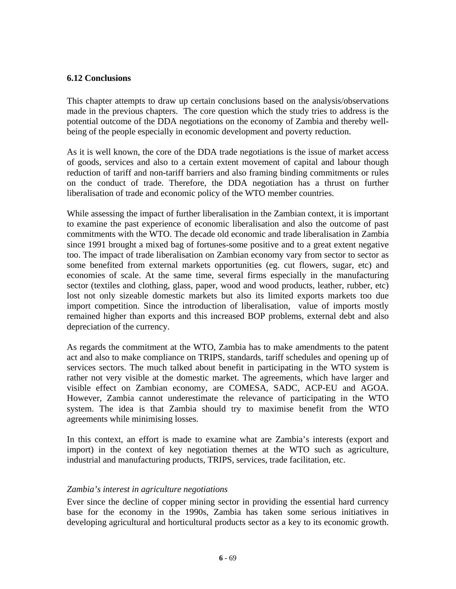### **6.12 Conclusions**

This chapter attempts to draw up certain conclusions based on the analysis/observations made in the previous chapters. The core question which the study tries to address is the potential outcome of the DDA negotiations on the economy of Zambia and thereby wellbeing of the people especially in economic development and poverty reduction.

As it is well known, the core of the DDA trade negotiations is the issue of market access of goods, services and also to a certain extent movement of capital and labour though reduction of tariff and non-tariff barriers and also framing binding commitments or rules on the conduct of trade. Therefore, the DDA negotiation has a thrust on further liberalisation of trade and economic policy of the WTO member countries.

While assessing the impact of further liberalisation in the Zambian context, it is important to examine the past experience of economic liberalisation and also the outcome of past commitments with the WTO. The decade old economic and trade liberalisation in Zambia since 1991 brought a mixed bag of fortunes-some positive and to a great extent negative too. The impact of trade liberalisation on Zambian economy vary from sector to sector as some benefited from external markets opportunities (eg. cut flowers, sugar, etc) and economies of scale. At the same time, several firms especially in the manufacturing sector (textiles and clothing, glass, paper, wood and wood products, leather, rubber, etc) lost not only sizeable domestic markets but also its limited exports markets too due import competition. Since the introduction of liberalisation, value of imports mostly remained higher than exports and this increased BOP problems, external debt and also depreciation of the currency.

As regards the commitment at the WTO, Zambia has to make amendments to the patent act and also to make compliance on TRIPS, standards, tariff schedules and opening up of services sectors. The much talked about benefit in participating in the WTO system is rather not very visible at the domestic market. The agreements, which have larger and visible effect on Zambian economy, are COMESA, SADC, ACP-EU and AGOA. However, Zambia cannot underestimate the relevance of participating in the WTO system. The idea is that Zambia should try to maximise benefit from the WTO agreements while minimising losses.

In this context, an effort is made to examine what are Zambia's interests (export and import) in the context of key negotiation themes at the WTO such as agriculture, industrial and manufacturing products, TRIPS, services, trade facilitation, etc.

#### *Zambia's interest in agriculture negotiations*

Ever since the decline of copper mining sector in providing the essential hard currency base for the economy in the 1990s, Zambia has taken some serious initiatives in developing agricultural and horticultural products sector as a key to its economic growth.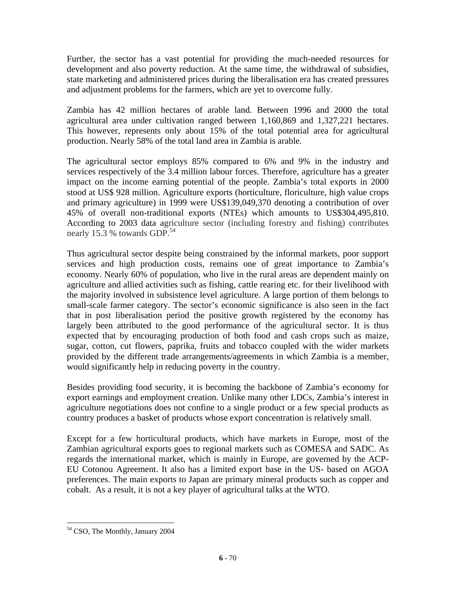Further, the sector has a vast potential for providing the much-needed resources for development and also poverty reduction. At the same time, the withdrawal of subsidies, state marketing and administered prices during the liberalisation era has created pressures and adjustment problems for the farmers, which are yet to overcome fully.

Zambia has 42 million hectares of arable land. Between 1996 and 2000 the total agricultural area under cultivation ranged between 1,160,869 and 1,327,221 hectares. This however, represents only about 15% of the total potential area for agricultural production. Nearly 58% of the total land area in Zambia is arable.

The agricultural sector employs 85% compared to 6% and 9% in the industry and services respectively of the 3.4 million labour forces. Therefore, agriculture has a greater impact on the income earning potential of the people. Zambia's total exports in 2000 stood at US\$ 928 million. Agriculture exports (horticulture, floriculture, high value crops and primary agriculture) in 1999 were US\$139,049,370 denoting a contribution of over 45% of overall non-traditional exports (NTEs) which amounts to US\$304,495,810. According to 2003 data agriculture sector (including forestry and fishing) contributes nearly 15.3 % towards GDP.<sup>54</sup>

Thus agricultural sector despite being constrained by the informal markets, poor support services and high production costs, remains one of great importance to Zambia's economy. Nearly 60% of population, who live in the rural areas are dependent mainly on agriculture and allied activities such as fishing, cattle rearing etc. for their livelihood with the majority involved in subsistence level agriculture. A large portion of them belongs to small-scale farmer category. The sector's economic significance is also seen in the fact that in post liberalisation period the positive growth registered by the economy has largely been attributed to the good performance of the agricultural sector. It is thus expected that by encouraging production of both food and cash crops such as maize, sugar, cotton, cut flowers, paprika, fruits and tobacco coupled with the wider markets provided by the different trade arrangements/agreements in which Zambia is a member, would significantly help in reducing poverty in the country.

Besides providing food security, it is becoming the backbone of Zambia's economy for export earnings and employment creation. Unlike many other LDCs, Zambia's interest in agriculture negotiations does not confine to a single product or a few special products as country produces a basket of products whose export concentration is relatively small.

Except for a few horticultural products, which have markets in Europe, most of the Zambian agricultural exports goes to regional markets such as COMESA and SADC. As regards the international market, which is mainly in Europe, are governed by the ACP-EU Cotonou Agreement. It also has a limited export base in the US- based on AGOA preferences. The main exports to Japan are primary mineral products such as copper and cobalt. As a result, it is not a key player of agricultural talks at the WTO.

<sup>54</sup> CSO, The Monthly, January 2004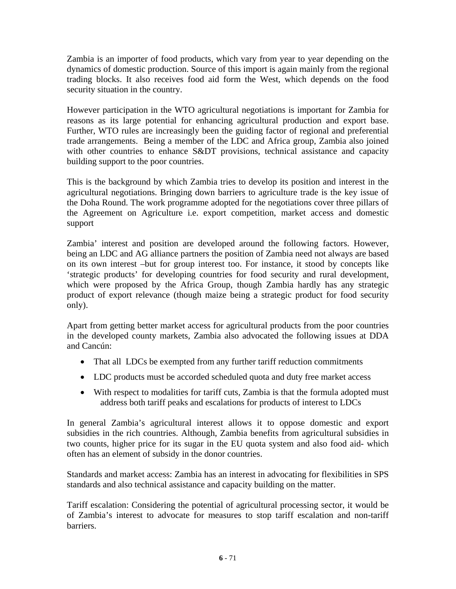Zambia is an importer of food products, which vary from year to year depending on the dynamics of domestic production. Source of this import is again mainly from the regional trading blocks. It also receives food aid form the West, which depends on the food security situation in the country.

However participation in the WTO agricultural negotiations is important for Zambia for reasons as its large potential for enhancing agricultural production and export base. Further, WTO rules are increasingly been the guiding factor of regional and preferential trade arrangements. Being a member of the LDC and Africa group, Zambia also joined with other countries to enhance S&DT provisions, technical assistance and capacity building support to the poor countries.

This is the background by which Zambia tries to develop its position and interest in the agricultural negotiations. Bringing down barriers to agriculture trade is the key issue of the Doha Round. The work programme adopted for the negotiations cover three pillars of the Agreement on Agriculture i.e. export competition, market access and domestic support

Zambia' interest and position are developed around the following factors. However, being an LDC and AG alliance partners the position of Zambia need not always are based on its own interest –but for group interest too. For instance, it stood by concepts like 'strategic products' for developing countries for food security and rural development, which were proposed by the Africa Group, though Zambia hardly has any strategic product of export relevance (though maize being a strategic product for food security only).

Apart from getting better market access for agricultural products from the poor countries in the developed county markets, Zambia also advocated the following issues at DDA and Cancún:

- That all LDCs be exempted from any further tariff reduction commitments
- LDC products must be accorded scheduled quota and duty free market access
- With respect to modalities for tariff cuts, Zambia is that the formula adopted must address both tariff peaks and escalations for products of interest to LDCs

In general Zambia's agricultural interest allows it to oppose domestic and export subsidies in the rich countries. Although, Zambia benefits from agricultural subsidies in two counts, higher price for its sugar in the EU quota system and also food aid- which often has an element of subsidy in the donor countries.

Standards and market access: Zambia has an interest in advocating for flexibilities in SPS standards and also technical assistance and capacity building on the matter.

Tariff escalation: Considering the potential of agricultural processing sector, it would be of Zambia's interest to advocate for measures to stop tariff escalation and non-tariff barriers.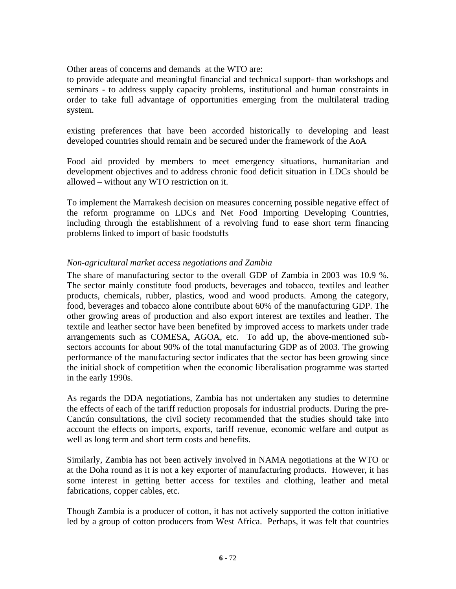Other areas of concerns and demands at the WTO are:

to provide adequate and meaningful financial and technical support- than workshops and seminars - to address supply capacity problems, institutional and human constraints in order to take full advantage of opportunities emerging from the multilateral trading system.

existing preferences that have been accorded historically to developing and least developed countries should remain and be secured under the framework of the AoA

Food aid provided by members to meet emergency situations, humanitarian and development objectives and to address chronic food deficit situation in LDCs should be allowed – without any WTO restriction on it.

To implement the Marrakesh decision on measures concerning possible negative effect of the reform programme on LDCs and Net Food Importing Developing Countries, including through the establishment of a revolving fund to ease short term financing problems linked to import of basic foodstuffs

# *Non-agricultural market access negotiations and Zambia*

The share of manufacturing sector to the overall GDP of Zambia in 2003 was 10.9 %. The sector mainly constitute food products, beverages and tobacco, textiles and leather products, chemicals, rubber, plastics, wood and wood products. Among the category, food, beverages and tobacco alone contribute about 60% of the manufacturing GDP. The other growing areas of production and also export interest are textiles and leather. The textile and leather sector have been benefited by improved access to markets under trade arrangements such as COMESA, AGOA, etc. To add up, the above-mentioned subsectors accounts for about 90% of the total manufacturing GDP as of 2003. The growing performance of the manufacturing sector indicates that the sector has been growing since the initial shock of competition when the economic liberalisation programme was started in the early 1990s.

As regards the DDA negotiations, Zambia has not undertaken any studies to determine the effects of each of the tariff reduction proposals for industrial products. During the pre-Cancún consultations, the civil society recommended that the studies should take into account the effects on imports, exports, tariff revenue, economic welfare and output as well as long term and short term costs and benefits.

Similarly, Zambia has not been actively involved in NAMA negotiations at the WTO or at the Doha round as it is not a key exporter of manufacturing products. However, it has some interest in getting better access for textiles and clothing, leather and metal fabrications, copper cables, etc.

Though Zambia is a producer of cotton, it has not actively supported the cotton initiative led by a group of cotton producers from West Africa. Perhaps, it was felt that countries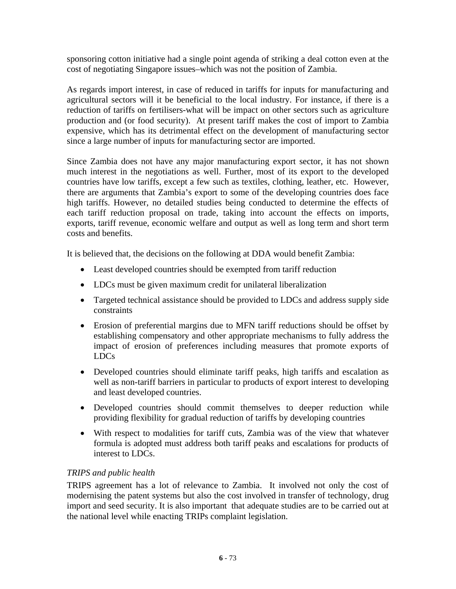sponsoring cotton initiative had a single point agenda of striking a deal cotton even at the cost of negotiating Singapore issues–which was not the position of Zambia.

As regards import interest, in case of reduced in tariffs for inputs for manufacturing and agricultural sectors will it be beneficial to the local industry. For instance, if there is a reduction of tariffs on fertilisers-what will be impact on other sectors such as agriculture production and (or food security). At present tariff makes the cost of import to Zambia expensive, which has its detrimental effect on the development of manufacturing sector since a large number of inputs for manufacturing sector are imported.

Since Zambia does not have any major manufacturing export sector, it has not shown much interest in the negotiations as well. Further, most of its export to the developed countries have low tariffs, except a few such as textiles, clothing, leather, etc. However, there are arguments that Zambia's export to some of the developing countries does face high tariffs. However, no detailed studies being conducted to determine the effects of each tariff reduction proposal on trade, taking into account the effects on imports, exports, tariff revenue, economic welfare and output as well as long term and short term costs and benefits.

It is believed that, the decisions on the following at DDA would benefit Zambia:

- Least developed countries should be exempted from tariff reduction
- LDCs must be given maximum credit for unilateral liberalization
- Targeted technical assistance should be provided to LDCs and address supply side constraints
- Erosion of preferential margins due to MFN tariff reductions should be offset by establishing compensatory and other appropriate mechanisms to fully address the impact of erosion of preferences including measures that promote exports of LDCs
- Developed countries should eliminate tariff peaks, high tariffs and escalation as well as non-tariff barriers in particular to products of export interest to developing and least developed countries.
- Developed countries should commit themselves to deeper reduction while providing flexibility for gradual reduction of tariffs by developing countries
- With respect to modalities for tariff cuts, Zambia was of the view that whatever formula is adopted must address both tariff peaks and escalations for products of interest to LDCs.

## *TRIPS and public health*

TRIPS agreement has a lot of relevance to Zambia. It involved not only the cost of modernising the patent systems but also the cost involved in transfer of technology, drug import and seed security. It is also important that adequate studies are to be carried out at the national level while enacting TRIPs complaint legislation.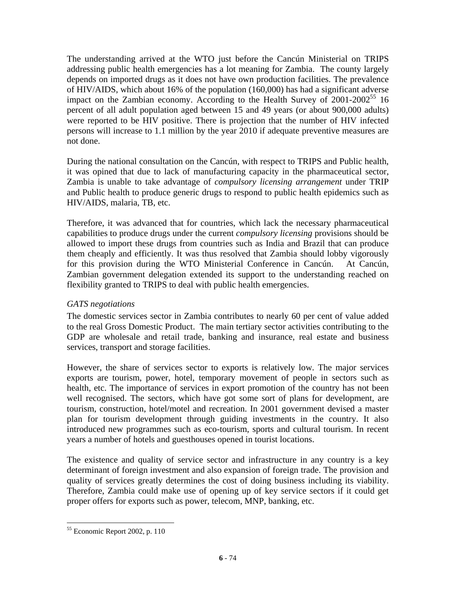The understanding arrived at the WTO just before the Cancún Ministerial on TRIPS addressing public health emergencies has a lot meaning for Zambia. The county largely depends on imported drugs as it does not have own production facilities. The prevalence of HIV/AIDS, which about 16% of the population (160,000) has had a significant adverse impact on the Zambian economy. According to the Health Survey of  $2001$ - $2002^{55}$  16 percent of all adult population aged between 15 and 49 years (or about 900,000 adults) were reported to be HIV positive. There is projection that the number of HIV infected persons will increase to 1.1 million by the year 2010 if adequate preventive measures are not done.

During the national consultation on the Cancún, with respect to TRIPS and Public health, it was opined that due to lack of manufacturing capacity in the pharmaceutical sector, Zambia is unable to take advantage of *compulsory licensing arrangement* under TRIP and Public health to produce generic drugs to respond to public health epidemics such as HIV/AIDS, malaria, TB, etc.

Therefore, it was advanced that for countries, which lack the necessary pharmaceutical capabilities to produce drugs under the current *compulsory licensing* provisions should be allowed to import these drugs from countries such as India and Brazil that can produce them cheaply and efficiently. It was thus resolved that Zambia should lobby vigorously for this provision during the WTO Ministerial Conference in Cancún. At Cancún, Zambian government delegation extended its support to the understanding reached on flexibility granted to TRIPS to deal with public health emergencies.

# *GATS negotiations*

The domestic services sector in Zambia contributes to nearly 60 per cent of value added to the real Gross Domestic Product. The main tertiary sector activities contributing to the GDP are wholesale and retail trade, banking and insurance, real estate and business services, transport and storage facilities.

However, the share of services sector to exports is relatively low. The major services exports are tourism, power, hotel, temporary movement of people in sectors such as health, etc. The importance of services in export promotion of the country has not been well recognised. The sectors, which have got some sort of plans for development, are tourism, construction, hotel/motel and recreation. In 2001 government devised a master plan for tourism development through guiding investments in the country. It also introduced new programmes such as eco-tourism, sports and cultural tourism. In recent years a number of hotels and guesthouses opened in tourist locations.

The existence and quality of service sector and infrastructure in any country is a key determinant of foreign investment and also expansion of foreign trade. The provision and quality of services greatly determines the cost of doing business including its viability. Therefore, Zambia could make use of opening up of key service sectors if it could get proper offers for exports such as power, telecom, MNP, banking, etc.

 $\overline{a}$ 

<sup>55</sup> Economic Report 2002, p. 110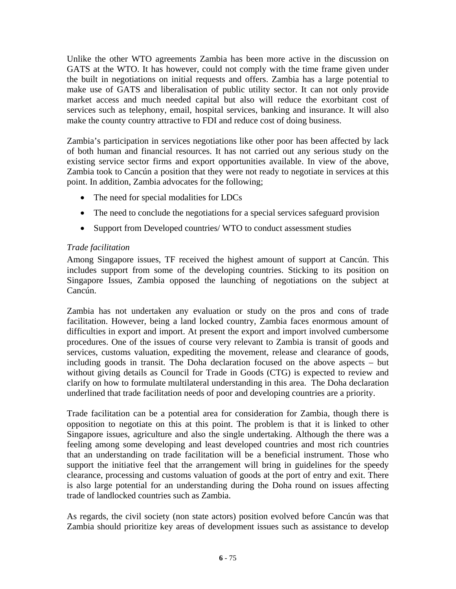Unlike the other WTO agreements Zambia has been more active in the discussion on GATS at the WTO. It has however, could not comply with the time frame given under the built in negotiations on initial requests and offers. Zambia has a large potential to make use of GATS and liberalisation of public utility sector. It can not only provide market access and much needed capital but also will reduce the exorbitant cost of services such as telephony, email, hospital services, banking and insurance. It will also make the county country attractive to FDI and reduce cost of doing business.

Zambia's participation in services negotiations like other poor has been affected by lack of both human and financial resources. It has not carried out any serious study on the existing service sector firms and export opportunities available. In view of the above, Zambia took to Cancún a position that they were not ready to negotiate in services at this point. In addition, Zambia advocates for the following;

- The need for special modalities for LDCs
- The need to conclude the negotiations for a special services safeguard provision
- Support from Developed countries/ WTO to conduct assessment studies

## *Trade facilitation*

Among Singapore issues, TF received the highest amount of support at Cancún. This includes support from some of the developing countries. Sticking to its position on Singapore Issues, Zambia opposed the launching of negotiations on the subject at Cancún.

Zambia has not undertaken any evaluation or study on the pros and cons of trade facilitation. However, being a land locked country, Zambia faces enormous amount of difficulties in export and import. At present the export and import involved cumbersome procedures. One of the issues of course very relevant to Zambia is transit of goods and services, customs valuation, expediting the movement, release and clearance of goods, including goods in transit. The Doha declaration focused on the above aspects – but without giving details as Council for Trade in Goods (CTG) is expected to review and clarify on how to formulate multilateral understanding in this area. The Doha declaration underlined that trade facilitation needs of poor and developing countries are a priority.

Trade facilitation can be a potential area for consideration for Zambia, though there is opposition to negotiate on this at this point. The problem is that it is linked to other Singapore issues, agriculture and also the single undertaking. Although the there was a feeling among some developing and least developed countries and most rich countries that an understanding on trade facilitation will be a beneficial instrument. Those who support the initiative feel that the arrangement will bring in guidelines for the speedy clearance, processing and customs valuation of goods at the port of entry and exit. There is also large potential for an understanding during the Doha round on issues affecting trade of landlocked countries such as Zambia.

As regards, the civil society (non state actors) position evolved before Cancún was that Zambia should prioritize key areas of development issues such as assistance to develop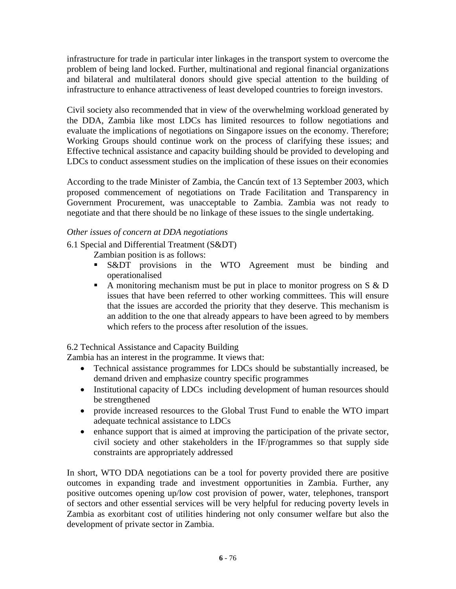infrastructure for trade in particular inter linkages in the transport system to overcome the problem of being land locked. Further, multinational and regional financial organizations and bilateral and multilateral donors should give special attention to the building of infrastructure to enhance attractiveness of least developed countries to foreign investors.

Civil society also recommended that in view of the overwhelming workload generated by the DDA, Zambia like most LDCs has limited resources to follow negotiations and evaluate the implications of negotiations on Singapore issues on the economy. Therefore; Working Groups should continue work on the process of clarifying these issues; and Effective technical assistance and capacity building should be provided to developing and LDCs to conduct assessment studies on the implication of these issues on their economies

According to the trade Minister of Zambia, the Cancún text of 13 September 2003, which proposed commencement of negotiations on Trade Facilitation and Transparency in Government Procurement, was unacceptable to Zambia. Zambia was not ready to negotiate and that there should be no linkage of these issues to the single undertaking.

## *Other issues of concern at DDA negotiations*

6.1 Special and Differential Treatment (S&DT)

- Zambian position is as follows:
- **S&DT** provisions in the WTO Agreement must be binding and operationalised
- A monitoring mechanism must be put in place to monitor progress on  $S \& D$ issues that have been referred to other working committees. This will ensure that the issues are accorded the priority that they deserve. This mechanism is an addition to the one that already appears to have been agreed to by members which refers to the process after resolution of the issues.

6.2 Technical Assistance and Capacity Building

Zambia has an interest in the programme. It views that:

- Technical assistance programmes for LDCs should be substantially increased, be demand driven and emphasize country specific programmes
- Institutional capacity of LDCs including development of human resources should be strengthened
- provide increased resources to the Global Trust Fund to enable the WTO impart adequate technical assistance to LDCs
- enhance support that is aimed at improving the participation of the private sector, civil society and other stakeholders in the IF/programmes so that supply side constraints are appropriately addressed

In short, WTO DDA negotiations can be a tool for poverty provided there are positive outcomes in expanding trade and investment opportunities in Zambia. Further, any positive outcomes opening up/low cost provision of power, water, telephones, transport of sectors and other essential services will be very helpful for reducing poverty levels in Zambia as exorbitant cost of utilities hindering not only consumer welfare but also the development of private sector in Zambia.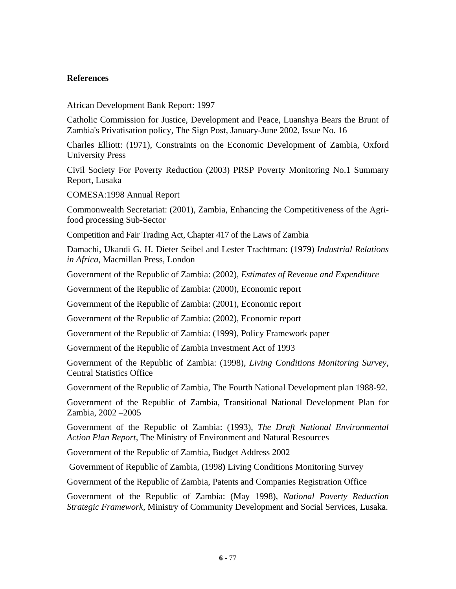## **References**

African Development Bank Report: 1997

Catholic Commission for Justice, Development and Peace, Luanshya Bears the Brunt of Zambia's Privatisation policy, The Sign Post, January-June 2002, Issue No. 16

Charles Elliott: (1971), Constraints on the Economic Development of Zambia, Oxford University Press

Civil Society For Poverty Reduction (2003) PRSP Poverty Monitoring No.1 Summary Report, Lusaka

COMESA:1998 Annual Report

Commonwealth Secretariat: (2001), Zambia, Enhancing the Competitiveness of the Agrifood processing Sub-Sector

Competition and Fair Trading Act, Chapter 417 of the Laws of Zambia

Damachi, Ukandi G. H. Dieter Seibel and Lester Trachtman: (1979) *Industrial Relations in Africa*, Macmillan Press, London

Government of the Republic of Zambia: (2002), *Estimates of Revenue and Expenditure* 

Government of the Republic of Zambia: (2000), Economic report

Government of the Republic of Zambia: (2001), Economic report

Government of the Republic of Zambia: (2002), Economic report

Government of the Republic of Zambia: (1999), Policy Framework paper

Government of the Republic of Zambia Investment Act of 1993

Government of the Republic of Zambia: (1998), *Living Conditions Monitoring Survey*, Central Statistics Office

Government of the Republic of Zambia, The Fourth National Development plan 1988-92.

Government of the Republic of Zambia, Transitional National Development Plan for Zambia, 2002 –2005

Government of the Republic of Zambia: (1993), *The Draft National Environmental Action Plan Report*, The Ministry of Environment and Natural Resources

Government of the Republic of Zambia, Budget Address 2002

Government of Republic of Zambia, (1998**)** Living Conditions Monitoring Survey

Government of the Republic of Zambia, Patents and Companies Registration Office

Government of the Republic of Zambia: (May 1998), *National Poverty Reduction Strategic Framework,* Ministry of Community Development and Social Services, Lusaka.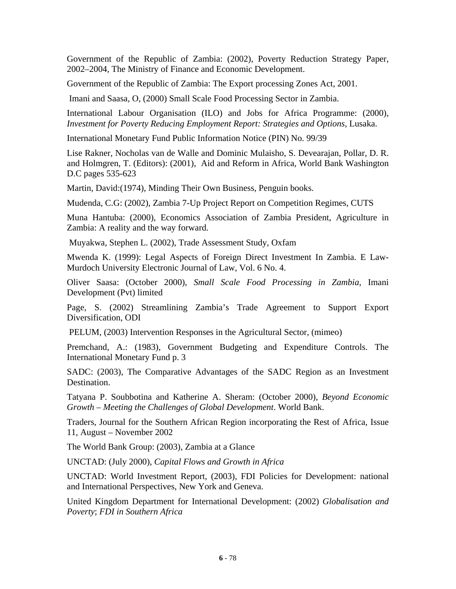Government of the Republic of Zambia: (2002), Poverty Reduction Strategy Paper, 2002–2004, The Ministry of Finance and Economic Development.

Government of the Republic of Zambia: The Export processing Zones Act, 2001.

Imani and Saasa, O, (2000) Small Scale Food Processing Sector in Zambia.

International Labour Organisation (ILO) and Jobs for Africa Programme: (2000), *Investment for Poverty Reducing Employment Report: Strategies and Options*, Lusaka.

International Monetary Fund Public Information Notice (PIN) No. 99/39

Lise Rakner, Nocholas van de Walle and Dominic Mulaisho, S. Devearajan, Pollar, D. R. and Holmgren, T. (Editors): (2001), Aid and Reform in Africa, World Bank Washington D.C pages 535-623

Martin, David:(1974), Minding Their Own Business, Penguin books.

Mudenda, C.G: (2002), Zambia 7-Up Project Report on Competition Regimes, CUTS

Muna Hantuba: (2000), Economics Association of Zambia President, Agriculture in Zambia: A reality and the way forward.

Muyakwa, Stephen L. (2002), Trade Assessment Study, Oxfam

Mwenda K. (1999): Legal Aspects of Foreign Direct Investment In Zambia. E Law-Murdoch University Electronic Journal of Law, Vol. 6 No. 4.

Oliver Saasa: (October 2000), *Small Scale Food Processing in Zambia*, Imani Development (Pvt) limited

Page, S. (2002) Streamlining Zambia's Trade Agreement to Support Export Diversification, ODI

PELUM, (2003) Intervention Responses in the Agricultural Sector, (mimeo)

Premchand, A.: (1983), Government Budgeting and Expenditure Controls. The International Monetary Fund p. 3

SADC: (2003), The Comparative Advantages of the SADC Region as an Investment Destination.

Tatyana P. Soubbotina and Katherine A. Sheram: (October 2000), *Beyond Economic Growth – Meeting the Challenges of Global Development*. World Bank.

Traders, Journal for the Southern African Region incorporating the Rest of Africa, Issue 11, August – November 2002

The World Bank Group: (2003), Zambia at a Glance

UNCTAD: (July 2000), *Capital Flows and Growth in Africa*

UNCTAD: World Investment Report, (2003), FDI Policies for Development: national and International Perspectives, New York and Geneva.

United Kingdom Department for International Development: (2002) *Globalisation and Poverty*; *FDI in Southern Africa*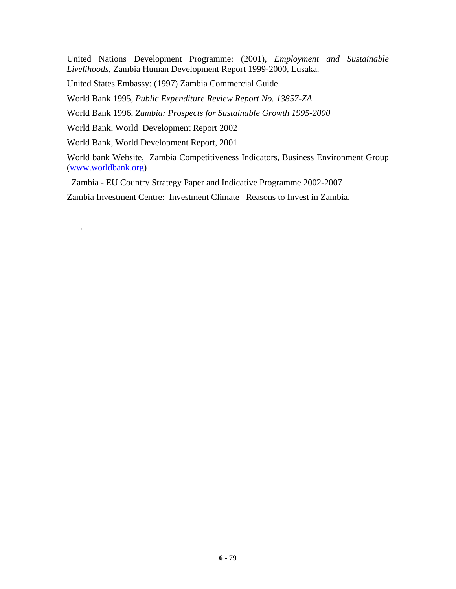United Nations Development Programme: (2001), *Employment and Sustainable Livelihoods*, Zambia Human Development Report 1999-2000, Lusaka.

United States Embassy: (1997) Zambia Commercial Guide.

World Bank 1995, *Public Expenditure Review Report No. 13857-ZA* 

World Bank 1996, *Zambia: Prospects for Sustainable Growth 1995-2000* 

World Bank, World Development Report 2002

World Bank, World Development Report, 2001

.

World bank Website, Zambia Competitiveness Indicators, Business Environment Group (www.worldbank.org)

Zambia - EU Country Strategy Paper and Indicative Programme 2002-2007

Zambia Investment Centre: Investment Climate– Reasons to Invest in Zambia.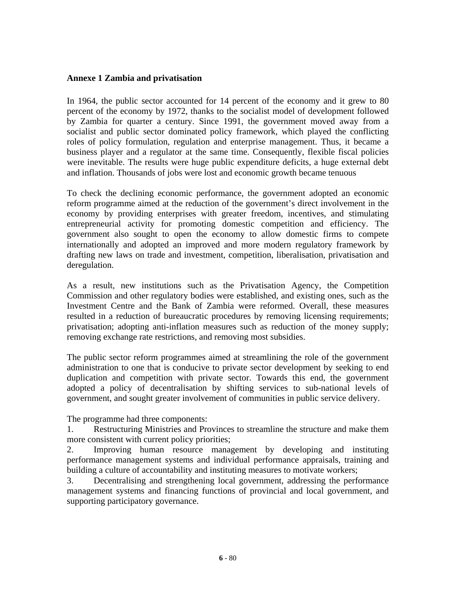#### **Annexe 1 Zambia and privatisation**

In 1964, the public sector accounted for 14 percent of the economy and it grew to 80 percent of the economy by 1972, thanks to the socialist model of development followed by Zambia for quarter a century. Since 1991, the government moved away from a socialist and public sector dominated policy framework, which played the conflicting roles of policy formulation, regulation and enterprise management. Thus, it became a business player and a regulator at the same time. Consequently, flexible fiscal policies were inevitable. The results were huge public expenditure deficits, a huge external debt and inflation. Thousands of jobs were lost and economic growth became tenuous

To check the declining economic performance, the government adopted an economic reform programme aimed at the reduction of the government's direct involvement in the economy by providing enterprises with greater freedom, incentives, and stimulating entrepreneurial activity for promoting domestic competition and efficiency. The government also sought to open the economy to allow domestic firms to compete internationally and adopted an improved and more modern regulatory framework by drafting new laws on trade and investment, competition, liberalisation, privatisation and deregulation.

As a result, new institutions such as the Privatisation Agency, the Competition Commission and other regulatory bodies were established, and existing ones, such as the Investment Centre and the Bank of Zambia were reformed. Overall, these measures resulted in a reduction of bureaucratic procedures by removing licensing requirements; privatisation; adopting anti-inflation measures such as reduction of the money supply; removing exchange rate restrictions, and removing most subsidies.

The public sector reform programmes aimed at streamlining the role of the government administration to one that is conducive to private sector development by seeking to end duplication and competition with private sector. Towards this end, the government adopted a policy of decentralisation by shifting services to sub-national levels of government, and sought greater involvement of communities in public service delivery.

The programme had three components:

1. Restructuring Ministries and Provinces to streamline the structure and make them more consistent with current policy priorities;

2. Improving human resource management by developing and instituting performance management systems and individual performance appraisals, training and building a culture of accountability and instituting measures to motivate workers;

3. Decentralising and strengthening local government, addressing the performance management systems and financing functions of provincial and local government, and supporting participatory governance.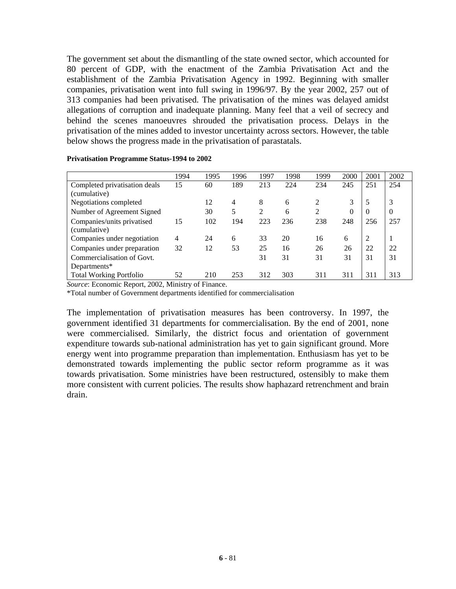The government set about the dismantling of the state owned sector, which accounted for 80 percent of GDP, with the enactment of the Zambia Privatisation Act and the establishment of the Zambia Privatisation Agency in 1992. Beginning with smaller companies, privatisation went into full swing in 1996/97. By the year 2002, 257 out of 313 companies had been privatised. The privatisation of the mines was delayed amidst allegations of corruption and inadequate planning. Many feel that a veil of secrecy and behind the scenes manoeuvres shrouded the privatisation process. Delays in the privatisation of the mines added to investor uncertainty across sectors. However, the table below shows the progress made in the privatisation of parastatals.

|                                | 1994           | 1995 | 1996 | 1997 | 1998 | 1999           | 2000     | 2001     | 2002     |
|--------------------------------|----------------|------|------|------|------|----------------|----------|----------|----------|
| Completed privatisation deals  | 15             | 60   | 189  | 213  | 224  | 234            | 245      | 251      | 254      |
| (cumulative)                   |                |      |      |      |      |                |          |          |          |
| Negotiations completed         |                | 12   | 4    | 8    | 6    | $\overline{c}$ | 3        | 5        | 3        |
| Number of Agreement Signed     |                | 30   | 5    | 2    | 6    | $\overline{2}$ | $\theta$ | $\Omega$ | $\theta$ |
| Companies/units privatised     | 15             | 102  | 194  | 223  | 236  | 238            | 248      | 256      | 257      |
| (cumulative)                   |                |      |      |      |      |                |          |          |          |
| Companies under negotiation    | $\overline{4}$ | 24   | 6    | 33   | 20   | 16             | 6        | 2        |          |
| Companies under preparation    | 32             | 12   | 53   | 25   | 16   | 26             | 26       | 22       | 22       |
| Commercialisation of Govt.     |                |      |      | 31   | 31   | 31             | 31       | 31       | 31       |
| Departments*                   |                |      |      |      |      |                |          |          |          |
| <b>Total Working Portfolio</b> | 52             | 210  | 253  | 312  | 303  | 311            | 311      | 311      | 313      |

**Privatisation Programme Status-1994 to 2002** 

*Source*: Economic Report, 2002, Ministry of Finance.

\*Total number of Government departments identified for commercialisation

The implementation of privatisation measures has been controversy. In 1997, the government identified 31 departments for commercialisation. By the end of 2001, none were commercialised. Similarly, the district focus and orientation of government expenditure towards sub-national administration has yet to gain significant ground. More energy went into programme preparation than implementation. Enthusiasm has yet to be demonstrated towards implementing the public sector reform programme as it was towards privatisation. Some ministries have been restructured, ostensibly to make them more consistent with current policies. The results show haphazard retrenchment and brain drain.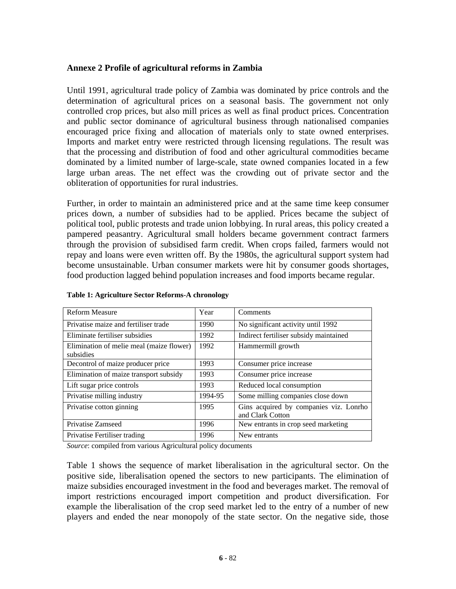## **Annexe 2 Profile of agricultural reforms in Zambia**

Until 1991, agricultural trade policy of Zambia was dominated by price controls and the determination of agricultural prices on a seasonal basis. The government not only controlled crop prices, but also mill prices as well as final product prices. Concentration and public sector dominance of agricultural business through nationalised companies encouraged price fixing and allocation of materials only to state owned enterprises. Imports and market entry were restricted through licensing regulations. The result was that the processing and distribution of food and other agricultural commodities became dominated by a limited number of large-scale, state owned companies located in a few large urban areas. The net effect was the crowding out of private sector and the obliteration of opportunities for rural industries.

Further, in order to maintain an administered price and at the same time keep consumer prices down, a number of subsidies had to be applied. Prices became the subject of political tool, public protests and trade union lobbying. In rural areas, this policy created a pampered peasantry. Agricultural small holders became government contract farmers through the provision of subsidised farm credit. When crops failed, farmers would not repay and loans were even written off. By the 1980s, the agricultural support system had become unsustainable. Urban consumer markets were hit by consumer goods shortages, food production lagged behind population increases and food imports became regular.

| <b>Reform Measure</b>                                 | Year    | Comments                                                   |  |
|-------------------------------------------------------|---------|------------------------------------------------------------|--|
| Privatise maize and fertiliser trade                  | 1990    | No significant activity until 1992                         |  |
| Eliminate fertiliser subsidies                        | 1992    | Indirect fertiliser subsidy maintained                     |  |
| Elimination of melie meal (maize flower)<br>subsidies | 1992    | Hammermill growth                                          |  |
| Decontrol of maize producer price                     | 1993    | Consumer price increase                                    |  |
| Elimination of maize transport subsidy                | 1993    | Consumer price increase                                    |  |
| Lift sugar price controls                             | 1993    | Reduced local consumption                                  |  |
| Privatise milling industry                            | 1994-95 | Some milling companies close down                          |  |
| Privatise cotton ginning                              | 1995    | Gins acquired by companies viz. Lonrho<br>and Clark Cotton |  |
| Privatise Zamseed                                     | 1996    | New entrants in crop seed marketing                        |  |
| Privatise Fertiliser trading                          | 1996    | New entrants                                               |  |

**Table 1: Agriculture Sector Reforms-A chronology** 

*Source*: compiled from various Agricultural policy documents

Table 1 shows the sequence of market liberalisation in the agricultural sector. On the positive side, liberalisation opened the sectors to new participants. The elimination of maize subsidies encouraged investment in the food and beverages market. The removal of import restrictions encouraged import competition and product diversification. For example the liberalisation of the crop seed market led to the entry of a number of new players and ended the near monopoly of the state sector. On the negative side, those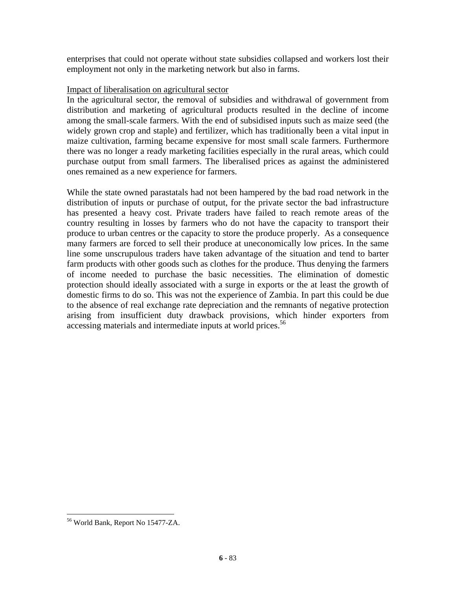enterprises that could not operate without state subsidies collapsed and workers lost their employment not only in the marketing network but also in farms.

#### Impact of liberalisation on agricultural sector

In the agricultural sector, the removal of subsidies and withdrawal of government from distribution and marketing of agricultural products resulted in the decline of income among the small-scale farmers. With the end of subsidised inputs such as maize seed (the widely grown crop and staple) and fertilizer, which has traditionally been a vital input in maize cultivation, farming became expensive for most small scale farmers. Furthermore there was no longer a ready marketing facilities especially in the rural areas, which could purchase output from small farmers. The liberalised prices as against the administered ones remained as a new experience for farmers.

While the state owned parastatals had not been hampered by the bad road network in the distribution of inputs or purchase of output, for the private sector the bad infrastructure has presented a heavy cost. Private traders have failed to reach remote areas of the country resulting in losses by farmers who do not have the capacity to transport their produce to urban centres or the capacity to store the produce properly. As a consequence many farmers are forced to sell their produce at uneconomically low prices. In the same line some unscrupulous traders have taken advantage of the situation and tend to barter farm products with other goods such as clothes for the produce. Thus denying the farmers of income needed to purchase the basic necessities. The elimination of domestic protection should ideally associated with a surge in exports or the at least the growth of domestic firms to do so. This was not the experience of Zambia. In part this could be due to the absence of real exchange rate depreciation and the remnants of negative protection arising from insufficient duty drawback provisions, which hinder exporters from accessing materials and intermediate inputs at world prices.<sup>56</sup>

 $\overline{a}$ 

<sup>56</sup> World Bank, Report No 15477-ZA.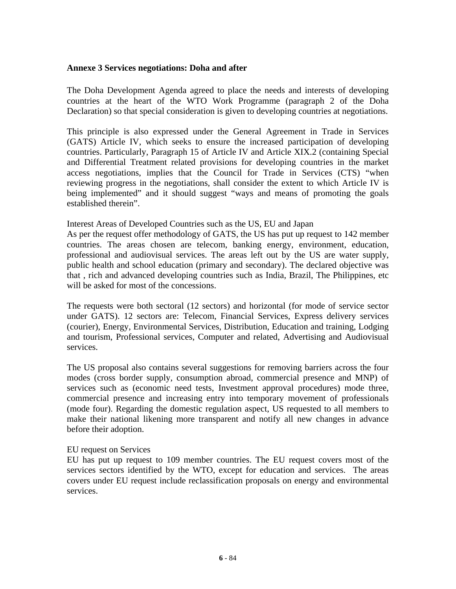#### **Annexe 3 Services negotiations: Doha and after**

The Doha Development Agenda agreed to place the needs and interests of developing countries at the heart of the WTO Work Programme (paragraph 2 of the Doha Declaration) so that special consideration is given to developing countries at negotiations.

This principle is also expressed under the General Agreement in Trade in Services (GATS) Article IV, which seeks to ensure the increased participation of developing countries. Particularly, Paragraph 15 of Article IV and Article XIX.2 (containing Special and Differential Treatment related provisions for developing countries in the market access negotiations, implies that the Council for Trade in Services (CTS) "when reviewing progress in the negotiations, shall consider the extent to which Article IV is being implemented" and it should suggest "ways and means of promoting the goals established therein".

Interest Areas of Developed Countries such as the US, EU and Japan

As per the request offer methodology of GATS, the US has put up request to 142 member countries. The areas chosen are telecom, banking energy, environment, education, professional and audiovisual services. The areas left out by the US are water supply, public health and school education (primary and secondary). The declared objective was that , rich and advanced developing countries such as India, Brazil, The Philippines, etc will be asked for most of the concessions.

The requests were both sectoral (12 sectors) and horizontal (for mode of service sector under GATS). 12 sectors are: Telecom, Financial Services, Express delivery services (courier), Energy, Environmental Services, Distribution, Education and training, Lodging and tourism, Professional services, Computer and related, Advertising and Audiovisual services.

The US proposal also contains several suggestions for removing barriers across the four modes (cross border supply, consumption abroad, commercial presence and MNP) of services such as (economic need tests, Investment approval procedures) mode three, commercial presence and increasing entry into temporary movement of professionals (mode four). Regarding the domestic regulation aspect, US requested to all members to make their national likening more transparent and notify all new changes in advance before their adoption.

#### EU request on Services

EU has put up request to 109 member countries. The EU request covers most of the services sectors identified by the WTO, except for education and services. The areas covers under EU request include reclassification proposals on energy and environmental services.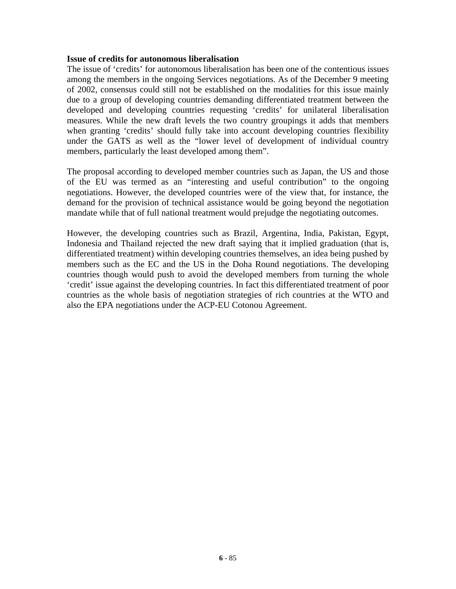#### **Issue of credits for autonomous liberalisation**

The issue of 'credits' for autonomous liberalisation has been one of the contentious issues among the members in the ongoing Services negotiations. As of the December 9 meeting of 2002, consensus could still not be established on the modalities for this issue mainly due to a group of developing countries demanding differentiated treatment between the developed and developing countries requesting 'credits' for unilateral liberalisation measures. While the new draft levels the two country groupings it adds that members when granting 'credits' should fully take into account developing countries flexibility under the GATS as well as the "lower level of development of individual country members, particularly the least developed among them".

The proposal according to developed member countries such as Japan, the US and those of the EU was termed as an "interesting and useful contribution" to the ongoing negotiations. However, the developed countries were of the view that, for instance, the demand for the provision of technical assistance would be going beyond the negotiation mandate while that of full national treatment would prejudge the negotiating outcomes.

However, the developing countries such as Brazil, Argentina, India, Pakistan, Egypt, Indonesia and Thailand rejected the new draft saying that it implied graduation (that is, differentiated treatment) within developing countries themselves, an idea being pushed by members such as the EC and the US in the Doha Round negotiations. The developing countries though would push to avoid the developed members from turning the whole 'credit' issue against the developing countries. In fact this differentiated treatment of poor countries as the whole basis of negotiation strategies of rich countries at the WTO and also the EPA negotiations under the ACP-EU Cotonou Agreement.